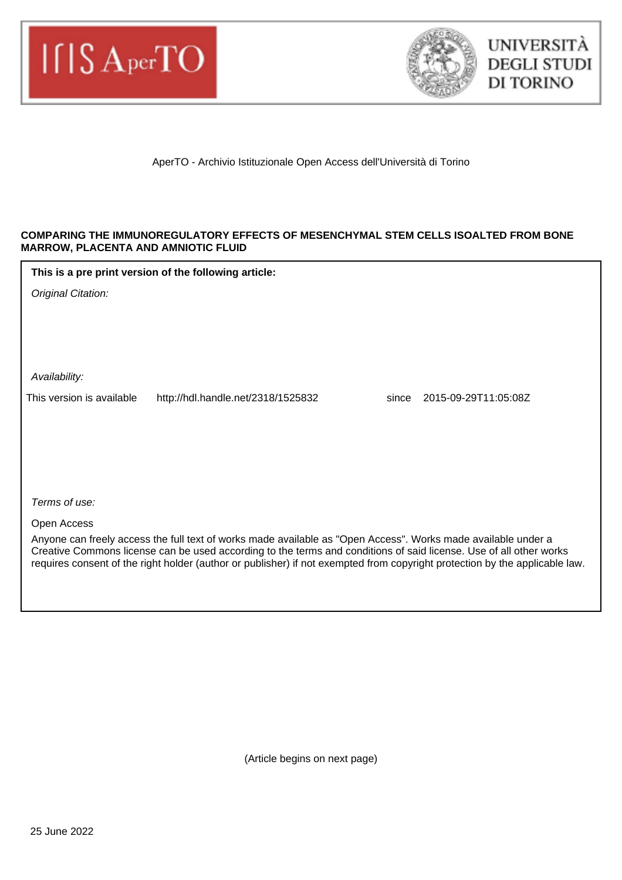



AperTO - Archivio Istituzionale Open Access dell'Università di Torino

### **COMPARING THE IMMUNOREGULATORY EFFECTS OF MESENCHYMAL STEM CELLS ISOALTED FROM BONE MARROW, PLACENTA AND AMNIOTIC FLUID**

**This is a pre print version of the following article:**

Original Citation:

Availability:

This version is available http://hdl.handle.net/2318/1525832 since 2015-09-29T11:05:08Z

Terms of use:

Open Access

Anyone can freely access the full text of works made available as "Open Access". Works made available under a Creative Commons license can be used according to the terms and conditions of said license. Use of all other works requires consent of the right holder (author or publisher) if not exempted from copyright protection by the applicable law.

(Article begins on next page)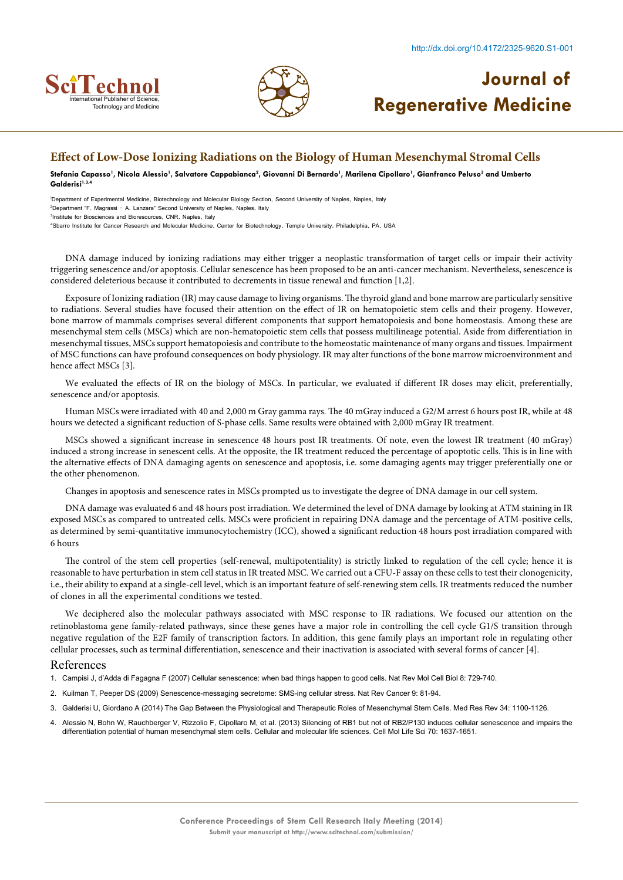



### **Effect of Low-Dose Ionizing Radiations on the Biology of Human Mesenchymal Stromal Cells**

Stefania Capasso', Nicola Alessio', Salvatore Cappabianca<sup>2</sup>, Giovanni Di Bernardo', Marilena Cipollaro', Gianfranco Peluso<sup>3</sup> and Umberto **Galderisi1,3,4**

1 Department of Experimental Medicine, Biotechnology and Molecular Biology Section, Second University of Naples, Naples, Italy 2 Department "F. Magrassi – A. Lanzara" Second University of Naples, Naples, Italy 3 Institute for Biosciences and Bioresources, CNR, Naples, Italy

4 Sbarro Institute for Cancer Research and Molecular Medicine, Center for Biotechnology, Temple University, Philadelphia, PA, USA

DNA damage induced by ionizing radiations may either trigger a neoplastic transformation of target cells or impair their activity triggering senescence and/or apoptosis. Cellular senescence has been proposed to be an anti-cancer mechanism. Nevertheless, senescence is considered deleterious because it contributed to decrements in tissue renewal and function [1,2].

Exposure of Ionizing radiation (IR) may cause damage to living organisms. The thyroid gland and bone marrow are particularly sensitive to radiations. Several studies have focused their attention on the effect of IR on hematopoietic stem cells and their progeny. However, bone marrow of mammals comprises several different components that support hematopoiesis and bone homeostasis. Among these are mesenchymal stem cells (MSCs) which are non-hematopoietic stem cells that possess multilineage potential. Aside from differentiation in mesenchymal tissues, MSCs support hematopoiesis and contribute to the homeostatic maintenance of many organs and tissues. Impairment of MSC functions can have profound consequences on body physiology. IR may alter functions of the bone marrow microenvironment and hence affect MSCs [3].

We evaluated the effects of IR on the biology of MSCs. In particular, we evaluated if different IR doses may elicit, preferentially, senescence and/or apoptosis.

Human MSCs were irradiated with 40 and 2,000 m Gray gamma rays. The 40 mGray induced a G2/M arrest 6 hours post IR, while at 48 hours we detected a significant reduction of S-phase cells. Same results were obtained with 2,000 mGray IR treatment.

MSCs showed a significant increase in senescence 48 hours post IR treatments. Of note, even the lowest IR treatment (40 mGray) induced a strong increase in senescent cells. At the opposite, the IR treatment reduced the percentage of apoptotic cells. This is in line with the alternative effects of DNA damaging agents on senescence and apoptosis, i.e. some damaging agents may trigger preferentially one or the other phenomenon.

Changes in apoptosis and senescence rates in MSCs prompted us to investigate the degree of DNA damage in our cell system.

DNA damage was evaluated 6 and 48 hours post irradiation. We determined the level of DNA damage by looking at ATM staining in IR exposed MSCs as compared to untreated cells. MSCs were proficient in repairing DNA damage and the percentage of ATM-positive cells, as determined by semi-quantitative immunocytochemistry (ICC), showed a significant reduction 48 hours post irradiation compared with 6 hours

The control of the stem cell properties (self-renewal, multipotentiality) is strictly linked to regulation of the cell cycle; hence it is reasonable to have perturbation in stem cell status in IR treated MSC. We carried out a CFU-F assay on these cells to test their clonogenicity, i.e., their ability to expand at a single-cell level, which is an important feature of self-renewing stem cells. IR treatments reduced the number of clones in all the experimental conditions we tested.

We deciphered also the molecular pathways associated with MSC response to IR radiations. We focused our attention on the retinoblastoma gene family-related pathways, since these genes have a major role in controlling the cell cycle G1/S transition through negative regulation of the E2F family of transcription factors. In addition, this gene family plays an important role in regulating other cellular processes, such as terminal differentiation, senescence and their inactivation is associated with several forms of cancer [4].

#### References

1. [Campisi J, d'Adda di Fagagna F \(2007\) Cellular senescence: when bad things happen to good cells. Nat Rev Mol Cell Biol 8: 729-740.](http://www.ncbi.nlm.nih.gov/pubmed/17667954)

- 2. [Kuilman T, Peeper DS \(2009\) Senescence-messaging secretome: SMS-ing cellular stress. Nat Rev Cancer](http://www.ncbi.nlm.nih.gov/pubmed/19132009) 9: 81-94.
- 3. [Galderisi U, Giordano A \(2014\) The Gap Between the Physiological and Therapeutic Roles of Mesenchymal Stem Cells. Med Res Rev](http://onlinelibrary.wiley.com/doi/10.1002/med.21322/abstract) 34: 1100-1126.
- 4. [Alessio N, Bohn W, Rauchberger V, Rizzolio F, Cipollaro M, et al. \(2013\) Silencing of RB1 but not of RB2/P130 induces cellular senescence and impairs the](http://link.springer.com/article/10.1007%2Fs00018-012-1224-x) [differentiation potential of human mesenchymal stem cells. Cellular and molecular life sciences. Cell Mol Life Sci](http://link.springer.com/article/10.1007%2Fs00018-012-1224-x) 70: 1637-1651.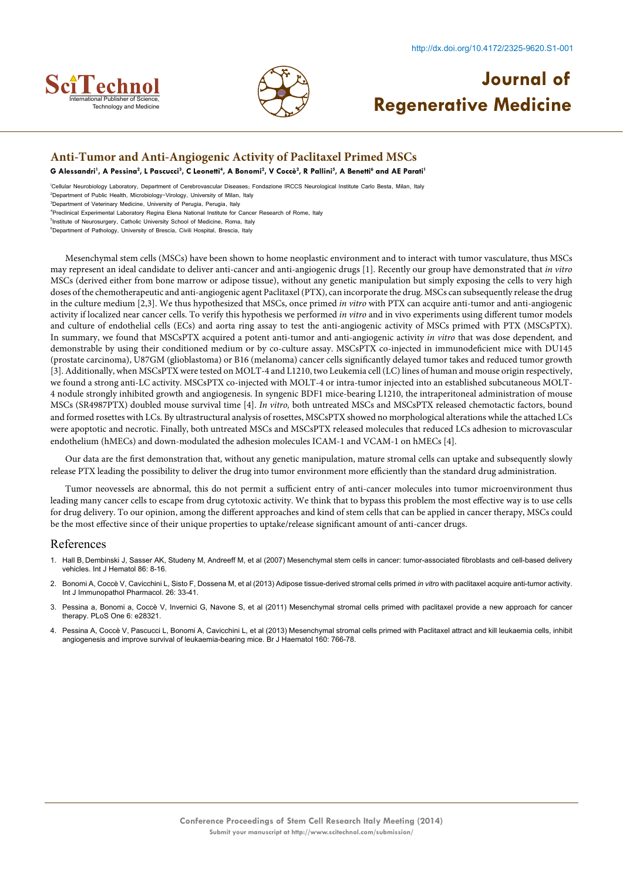



### **Anti-Tumor and Anti-Angiogenic Activity of Paclitaxel Primed MSCs**

 $\bf G$  Alessandri<sup>1</sup>, A Pessina<sup>2</sup>, L Pascucci<sup>3</sup>, C Leonetti<sup>4</sup>, A Bonomi<sup>2</sup>, V Coccè<sup>2</sup>, R Pallini<sup>5</sup>, A Benetti<sup>6</sup> and AE Parati<sup>1</sup>

1 Cellular Neurobiology Laboratory, Department of Cerebrovascular Diseases; Fondazione IRCCS Neurological Institute Carlo Besta, Milan, Italy

2 Department of Public Health, Microbiology-Virology, University of Milan, Italy 3 Department of Veterinary Medicine, University of Perugia, Perugia, Italy

4 Preclinical Experimental Laboratory Regina Elena National Institute for Cancer Research of Rome, Italy

5 Institute of Neurosurgery, Catholic University School of Medicine, Roma, Italy

6 Department of Pathology, University of Brescia, Civili Hospital, Brescia, Italy

Mesenchymal stem cells (MSCs) have been shown to home neoplastic environment and to interact with tumor vasculature, thus MSCs may represent an ideal candidate to deliver anti-cancer and anti-angiogenic drugs [1]. Recently our group have demonstrated that *in vitro*  MSCs (derived either from bone marrow or adipose tissue), without any genetic manipulation but simply exposing the cells to very high doses of the chemotherapeutic and anti-angiogenic agent Paclitaxel (PTX), can incorporate the drug. MSCs can subsequently release the drug in the culture medium [2,3]. We thus hypothesized that MSCs, once primed *in vitro* with PTX can acquire anti-tumor and anti-angiogenic activity if localized near cancer cells. To verify this hypothesis we performed *in vitro* and in vivo experiments using different tumor models and culture of endothelial cells (ECs) and aorta ring assay to test the anti-angiogenic activity of MSCs primed with PTX (MSCsPTX). In summary, we found that MSCsPTX acquired a potent anti-tumor and anti-angiogenic activity *in vitro* that was dose dependent*,* and demonstrable by using their conditioned medium or by co-culture assay. MSCsPTX co-injected in immunodeficient mice with DU145 (prostate carcinoma), U87GM (glioblastoma) or B16 (melanoma) cancer cells significantly delayed tumor takes and reduced tumor growth [3]. Additionally, when MSCsPTX were tested on MOLT-4 and L1210, two Leukemia cell (LC) lines of human and mouse origin respectively, we found a strong anti-LC activity. MSCsPTX co-injected with MOLT-4 or intra-tumor injected into an established subcutaneous MOLT-4 nodule strongly inhibited growth and angiogenesis. In syngenic BDF1 mice-bearing L1210, the intraperitoneal administration of mouse MSCs (SR4987PTX) doubled mouse survival time [4]. *In vitro,* both untreated MSCs and MSCsPTX released chemotactic factors, bound and formed rosettes with LCs. By ultrastructural analysis of rosettes, MSCsPTX showed no morphological alterations while the attached LCs were apoptotic and necrotic. Finally, both untreated MSCs and MSCsPTX released molecules that reduced LCs adhesion to microvascular endothelium (hMECs) and down-modulated the adhesion molecules ICAM-1 and VCAM-1 on hMECs [4].

Our data are the first demonstration that, without any genetic manipulation, mature stromal cells can uptake and subsequently slowly release PTX leading the possibility to deliver the drug into tumor environment more efficiently than the standard drug administration.

Tumor neovessels are abnormal, this do not permit a sufficient entry of anti-cancer molecules into tumor microenvironment thus leading many cancer cells to escape from drug cytotoxic activity. We think that to bypass this problem the most effective way is to use cells for drug delivery. To our opinion, among the different approaches and kind of stem cells that can be applied in cancer therapy, MSCs could be the most effective since of their unique properties to uptake/release significant amount of anti-cancer drugs.

- 1. Hall B, [Dembinski J, Sasser AK, Studeny M, Andreeff M, et al \(2007\) Mesenchymal stem cells in cancer: tumor-associated fibroblasts and cell-based delivery](http://www.ncbi.nlm.nih.gov/pubmed/17675260) [vehicles. Int J Hematol 86: 8-16.](http://www.ncbi.nlm.nih.gov/pubmed/17675260)
- 2. [Bonomi A, Coccè V, Cavicchini L, Sisto F, Dossena M, et al \(2013\) Adipose tissue-derived stromal cells primed](http://www.ncbi.nlm.nih.gov/pubmed/24046947) *in vitro* with paclitaxel acquire anti-tumor activity. [Int J Immunopathol Pharmacol. 26: 33-41.](http://www.ncbi.nlm.nih.gov/pubmed/24046947)
- [Pessina a, Bonomi a, Coccè V, Invernici G, Navone S, et al \(2011\) Mesenchymal stromal cells primed with paclitaxel provide a new approach for cancer](http://www.plosone.org/article/info%3Adoi%2F10.1371%2Fjournal.pone.0028321http:/www.ncbi.nlm.nih.gov/pubmed/22205945) [therapy. PLoS One 6: e28321.](http://www.plosone.org/article/info%3Adoi%2F10.1371%2Fjournal.pone.0028321http:/www.ncbi.nlm.nih.gov/pubmed/22205945)
- [Pessina A, Coccè V, Pascucci L, Bonomi A, Cavicchini L, et al \(2013\) Mesenchymal stromal cells primed with Paclitaxel attract and kill leukaemia cells, inhibit](http://www.ncbi.nlm.nih.gov/pubmed/23293837) [angiogenesis and improve survival of leukaemia-bearing mice. Br J Haematol 160: 766-78.](http://www.ncbi.nlm.nih.gov/pubmed/23293837)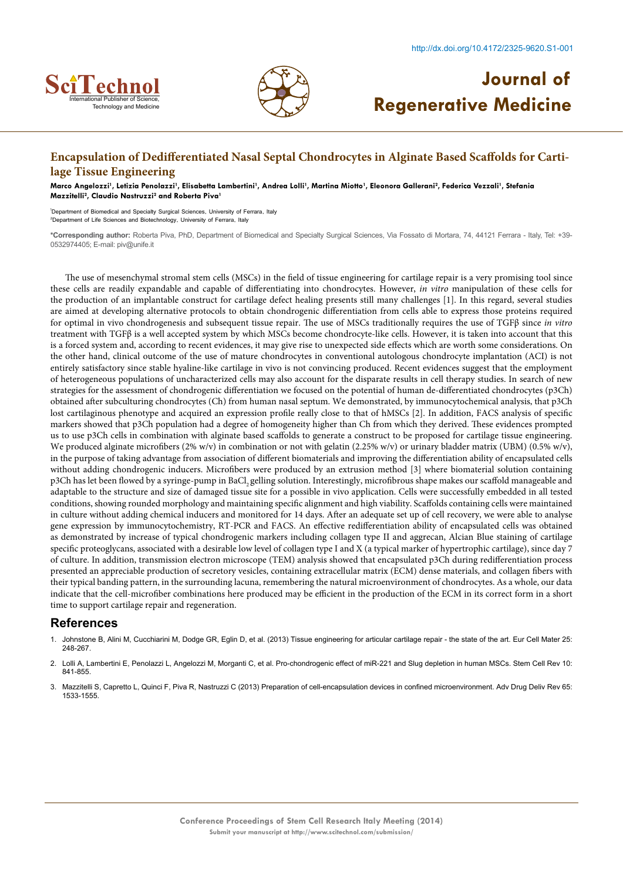



### **Encapsulation of Dedifferentiated Nasal Septal Chondrocytes in Alginate Based Scaffolds for Cartilage Tissue Engineering**

Marco Angelozzi<sup>1</sup>, Letizia Penolazzi<sup>1</sup>, Elisabetta Lambertini<sup>1</sup>, Andrea Lolli<sup>1</sup>, Martina Miotto<sup>1</sup>, Eleonora Gallerani<sup>2</sup>, Federica Vezzali<sup>1</sup>, Stefania **Mazzitelli2 , Claudio Nastruzzi2 and Roberta Piva1**

1 Department of Biomedical and Specialty Surgical Sciences, University of Ferrara, Italy 2 Department of Life Sciences and Biotechnology, University of Ferrara, Italy

**\*Corresponding author:** Roberta Piva, PhD, Department of Biomedical and Specialty Surgical Sciences, Via Fossato di Mortara, 74, 44121 Ferrara - Italy, Tel: +39- 0532974405; E-mail: piv@unife.it

The use of mesenchymal stromal stem cells (MSCs) in the field of tissue engineering for cartilage repair is a very promising tool since these cells are readily expandable and capable of differentiating into chondrocytes. However, *in vitro* manipulation of these cells for the production of an implantable construct for cartilage defect healing presents still many challenges [1]. In this regard, several studies are aimed at developing alternative protocols to obtain chondrogenic differentiation from cells able to express those proteins required for optimal in vivo chondrogenesis and subsequent tissue repair. The use of MSCs traditionally requires the use of TGFβ since *in vitro*  treatment with TGFβ is a well accepted system by which MSCs become chondrocyte-like cells. However, it is taken into account that this is a forced system and, according to recent evidences, it may give rise to unexpected side effects which are worth some considerations. On the other hand, clinical outcome of the use of mature chondrocytes in conventional autologous chondrocyte implantation (ACI) is not entirely satisfactory since stable hyaline-like cartilage in vivo is not convincing produced. Recent evidences suggest that the employment of heterogeneous populations of uncharacterized cells may also account for the disparate results in cell therapy studies. In search of new strategies for the assessment of chondrogenic differentiation we focused on the potential of human de-differentiated chondrocytes (p3Ch) obtained after subculturing chondrocytes (Ch) from human nasal septum. We demonstrated, by immunocytochemical analysis, that p3Ch lost cartilaginous phenotype and acquired an expression profile really close to that of hMSCs [2]. In addition, FACS analysis of specific markers showed that p3Ch population had a degree of homogeneity higher than Ch from which they derived. These evidences prompted us to use p3Ch cells in combination with alginate based scaffolds to generate a construct to be proposed for cartilage tissue engineering. We produced alginate microfibers (2% w/v) in combination or not with gelatin (2.25% w/v) or urinary bladder matrix (UBM) (0.5% w/v), in the purpose of taking advantage from association of different biomaterials and improving the differentiation ability of encapsulated cells without adding chondrogenic inducers. Microfibers were produced by an extrusion method [3] where biomaterial solution containing p3Ch has let been flowed by a syringe-pump in BaCl, gelling solution. Interestingly, microfibrous shape makes our scaffold manageable and adaptable to the structure and size of damaged tissue site for a possible in vivo application. Cells were successfully embedded in all tested conditions, showing rounded morphology and maintaining specific alignment and high viability. Scaffolds containing cells were maintained in culture without adding chemical inducers and monitored for 14 days. After an adequate set up of cell recovery, we were able to analyse gene expression by immunocytochemistry, RT-PCR and FACS. An effective redifferentiation ability of encapsulated cells was obtained as demonstrated by increase of typical chondrogenic markers including collagen type II and aggrecan, Alcian Blue staining of cartilage specific proteoglycans, associated with a desirable low level of collagen type I and X (a typical marker of hypertrophic cartilage), since day 7 of culture. In addition, transmission electron microscope (TEM) analysis showed that encapsulated p3Ch during redifferentiation process presented an appreciable production of secretory vesicles, containing extracellular matrix (ECM) dense materials, and collagen fibers with their typical banding pattern, in the surrounding lacuna, remembering the natural microenvironment of chondrocytes. As a whole, our data indicate that the cell-microfiber combinations here produced may be efficient in the production of the ECM in its correct form in a short time to support cartilage repair and regeneration.

- 1. [Johnstone B, Alini M, Cucchiarini M, Dodge GR, Eglin D, et al. \(2013\) Tissue engineering for articular cartilage repair the state of the art. Eur Cell Mater 25:](http://www.ncbi.nlm.nih.gov/pubmed/23636950) [248-267.](http://www.ncbi.nlm.nih.gov/pubmed/23636950)
- 2. [Lolli A, Lambertini E, Penolazzi L, Angelozzi M, Morganti C, et al. Pro-chondrogenic effect of miR-221 and Slug depletion in human MSCs. Stem Cell Rev 10:](http://www.ncbi.nlm.nih.gov/pubmed/24923882) [841-855.](http://www.ncbi.nlm.nih.gov/pubmed/24923882)
- 3. [Mazzitelli S, Capretto L, Quinci F, Piva R, Nastruzzi C \(2013\) Preparation of cell-encapsulation devices in confined microenvironment. Adv Drug Deliv Rev 65:](http://www.ncbi.nlm.nih.gov/pubmed/23933618) [1533-1555.](http://www.ncbi.nlm.nih.gov/pubmed/23933618)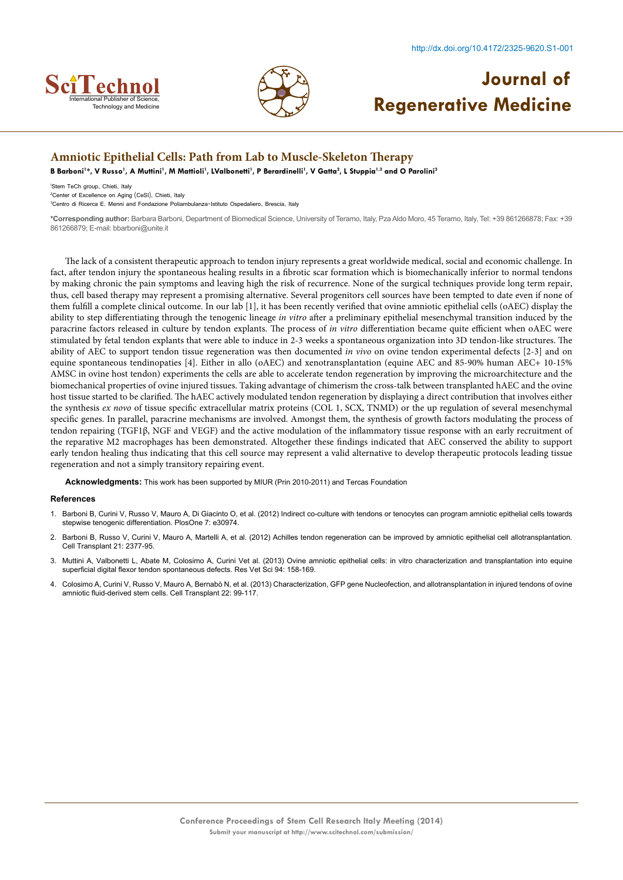



# **Journal of Rechnology and Medicine International Publisher of Science, Capable 2018**

### **Amniotic Epithelial Cells: Path from Lab to Muscle-Skeleton Therapy**

B Barboni<sup>1</sup>\*, V Russo<sup>1</sup>, A Muttini<sup>1</sup>, M Mattioli<sup>1</sup>, LValbonetti<sup>1</sup>, P Berardinelli<sup>1</sup>, V Gatta<sup>2</sup>, L Stuppia<sup>1,3</sup> and O Parolini<sup>3</sup>

1 Stem TeCh group, Chieti, Italy 2 Center of Excellence on Aging (CeSI), Chieti, Italy

3 Centro di Ricerca E. Menni and Fondazione Poliambulanza-Istituto Ospedaliero, Brescia, Italy

**\*Corresponding author:** Barbara Barboni, Department of Biomedical Science, University of Teramo, Italy, Pza Aldo Moro, 45 Teramo, Italy, Tel: +39 861266878; Fax: +39 861266879; E-mail: bbarboni@unite.it

The lack of a consistent therapeutic approach to tendon injury represents a great worldwide medical, social and economic challenge. In fact, after tendon injury the spontaneous healing results in a fibrotic scar formation which is biomechanically inferior to normal tendons by making chronic the pain symptoms and leaving high the risk of recurrence. None of the surgical techniques provide long term repair, thus, cell based therapy may represent a promising alternative. Several progenitors cell sources have been tempted to date even if none of them fulfill a complete clinical outcome. In our lab [1], it has been recently verified that ovine amniotic epithelial cells (oAEC) display the ability to step differentiating through the tenogenic lineage *in vitro* after a preliminary epithelial mesenchymal transition induced by the paracrine factors released in culture by tendon explants. The process of *in vitro* differentiation became quite efficient when oAEC were stimulated by fetal tendon explants that were able to induce in 2-3 weeks a spontaneous organization into 3D tendon-like structures. The ability of AEC to support tendon tissue regeneration was then documented *in vivo* on ovine tendon experimental defects [2-3] and on equine spontaneous tendinopaties [4]. Either in allo (oAEC) and xenotransplantation (equine AEC and 85-90% human AEC+ 10-15% AMSC in ovine host tendon) experiments the cells are able to accelerate tendon regeneration by improving the microarchitecture and the biomechanical properties of ovine injured tissues. Taking advantage of chimerism the cross-talk between transplanted hAEC and the ovine host tissue started to be clarified. The hAEC actively modulated tendon regeneration by displaying a direct contribution that involves either the synthesis *ex novo* of tissue specific extracellular matrix proteins (COL 1, SCX, TNMD) or the up regulation of several mesenchymal specific genes. In parallel, paracrine mechanisms are involved. Amongst them, the synthesis of growth factors modulating the process of tendon repairing (TGF1β, NGF and VEGF) and the active modulation of the inflammatory tissue response with an early recruitment of the reparative M2 macrophages has been demonstrated. Altogether these findings indicated that AEC conserved the ability to support early tendon healing thus indicating that this cell source may represent a valid alternative to develop therapeutic protocols leading tissue regeneration and not a simply transitory repairing event.

**Acknowledgments:** This work has been supported by MIUR (Prin 2010-2011) and Tercas Foundation

- 1. [Barboni B, Curini V, Russo V, Mauro A, Di Giacinto O, et al. \(2012\) Indirect co-culture with tendons or tenocytes can program amniotic epithelial cells towards](http://www.plosone.org/article/info%3Adoi%2F10.1371%2Fjournal.pone.0030974) [stepwise tenogenic differentiation. PlosOne 7: e30974.](http://www.plosone.org/article/info%3Adoi%2F10.1371%2Fjournal.pone.0030974)
- 2. [Barboni B, Russo V, Curini V, Mauro A, Martelli A, et al. \(2012\) Achilles tendon regeneration can be improved by amniotic epithelial cell allotransplantation.](http://www.ncbi.nlm.nih.gov/pubmed/22507232) [Cell Transplant 21: 2377-95.](http://www.ncbi.nlm.nih.gov/pubmed/22507232)
- 3. [Muttini A, Valbonetti L, Abate M, Colosimo A, Curini Vet al. \(2013\) Ovine amniotic epithelial cells: in vitro](http://www.ncbi.nlm.nih.gov/pubmed/22954787) characterization and transplantation into equine [superficial digital flexor tendon spontaneous defects. Res Vet Sci 94: 158-169.](http://www.ncbi.nlm.nih.gov/pubmed/22954787)
- 4. [Colosimo A, Curini V, Russo V, Mauro A, Bernabò N, et al. \(2013\) Characterization, GFP gene Nucleofection, and allotransplantation in injured tendons of ovine](http://www.ncbi.nlm.nih.gov/pubmed/22507078) [amniotic fluid-derived stem cells. Cell Transplant 22: 99-117.](http://www.ncbi.nlm.nih.gov/pubmed/22507078)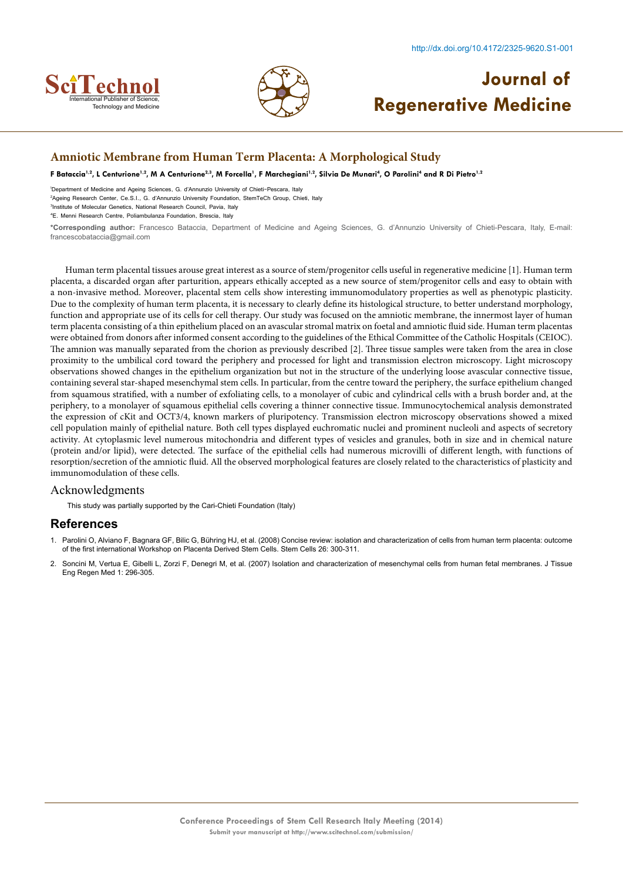



### **Amniotic Membrane from Human Term Placenta: A Morphological Study**

F Bataccia<sup>1,2</sup>, L Centurione<sup>1,2</sup>, M A Centurione<sup>2,3</sup>, M Forcella<sup>1</sup>, F Marchegiani<sup>1,2</sup>, Silvia De Munari<sup>4</sup>, O Parolini<sup>4</sup> and R Di Pietro<sup>1,2</sup>

1 Department of Medicine and Ageing Sciences, G. d'Annunzio University of Chieti-Pescara, Italy

2 Ageing Research Center, Ce.S.I., G. d'Annunzio University Foundation, StemTeCh Group, Chieti, Italy

3 Institute of Molecular Genetics, National Research Council, Pavia, Italy

4 E. Menni Research Centre, Poliambulanza Foundation, Brescia, Italy

**\*Corresponding author:** Francesco Bataccia, Department of Medicine and Ageing Sciences, G. d'Annunzio University of Chieti-Pescara, Italy, E-mail: francescobataccia@gmail.com

Human term placental tissues arouse great interest as a source of stem/progenitor cells useful in regenerative medicine [1]. Human term placenta, a discarded organ after parturition, appears ethically accepted as a new source of stem/progenitor cells and easy to obtain with a non-invasive method. Moreover, placental stem cells show interesting immunomodulatory properties as well as phenotypic plasticity. Due to the complexity of human term placenta, it is necessary to clearly define its histological structure, to better understand morphology, function and appropriate use of its cells for cell therapy. Our study was focused on the amniotic membrane, the innermost layer of human term placenta consisting of a thin epithelium placed on an avascular stromal matrix on foetal and amniotic fluid side. Human term placentas were obtained from donors after informed consent according to the guidelines of the Ethical Committee of the Catholic Hospitals (CEIOC). The amnion was manually separated from the chorion as previously described [2]. Three tissue samples were taken from the area in close proximity to the umbilical cord toward the periphery and processed for light and transmission electron microscopy. Light microscopy observations showed changes in the epithelium organization but not in the structure of the underlying loose avascular connective tissue, containing several star-shaped mesenchymal stem cells. In particular, from the centre toward the periphery, the surface epithelium changed from squamous stratified, with a number of exfoliating cells, to a monolayer of cubic and cylindrical cells with a brush border and, at the periphery, to a monolayer of squamous epithelial cells covering a thinner connective tissue. Immunocytochemical analysis demonstrated the expression of cKit and OCT3/4, known markers of pluripotency. Transmission electron microscopy observations showed a mixed cell population mainly of epithelial nature. Both cell types displayed euchromatic nuclei and prominent nucleoli and aspects of secretory activity. At cytoplasmic level numerous mitochondria and different types of vesicles and granules, both in size and in chemical nature (protein and/or lipid), were detected. The surface of the epithelial cells had numerous microvilli of different length, with functions of resorption/secretion of the amniotic fluid. All the observed morphological features are closely related to the characteristics of plasticity and immunomodulation of these cells.

#### Acknowledgments

This study was partially supported by the Cari-Chieti Foundation (Italy)

- 1. [Parolini O, Alviano F, Bagnara GF, Bilic G, Bühring HJ, et al. \(2008\) Concise review: isolation and characterization of cells from human term placenta: outcome](http://www.ncbi.nlm.nih.gov/pubmed/17975221) [of the first international Workshop on Placenta Derived Stem Cells.](http://www.ncbi.nlm.nih.gov/pubmed/17975221) Stem Cells 26: 300-311.
- 2. [Soncini M, Vertua E, Gibelli L, Zorzi F, Denegri M, et al. \(2007\) Isolation and characterization of mesenchymal cells from human fetal membranes. J Tissue](http://www.ncbi.nlm.nih.gov/pubmed/18038420) [Eng Regen Med 1: 296-305.](http://www.ncbi.nlm.nih.gov/pubmed/18038420)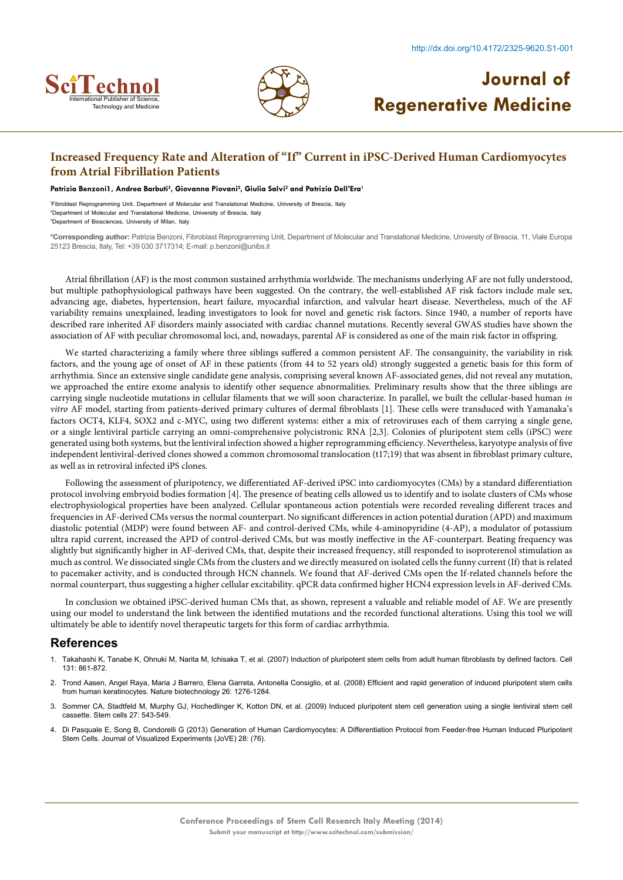



## **Increased Frequency Rate and Alteration of "If" Current in iPSC-Derived Human Cardiomyocytes from Atrial Fibrillation Patients**

#### Patrizia Benzoni1, Andrea Barbuti<sup>3</sup>, Giovanna Piovani<sup>2</sup>, Giulia Salvi<sup>2</sup> and Patrizia Dell'Era<sup>1</sup>

1 Fibroblast Reprogramming Unit, Department of Molecular and Translational Medicine, University of Brescia, Italy 2 Department of Molecular and Translational Medicine, University of Brescia, Italy 3 Department of Biosciences, University of Milan, Italy

**\*Corresponding author:** Patrizia Benzoni, Fibroblast Reprogramming Unit, Department of Molecular and Translational Medicine, University of Brescia, 11, Viale Europa 25123 Brescia, Italy, Tel: +39 030 3717314; E-mail: p.benzoni@unibs.it

Atrial fibrillation (AF) is the most common sustained arrhythmia worldwide. The mechanisms underlying AF are not fully understood, but multiple pathophysiological pathways have been suggested. On the contrary, the well-established AF risk factors include male sex, advancing age, diabetes, hypertension, heart failure, myocardial infarction, and valvular heart disease. Nevertheless, much of the AF variability remains unexplained, leading investigators to look for novel and genetic risk factors. Since 1940, a number of reports have described rare inherited AF disorders mainly associated with cardiac channel mutations. Recently several GWAS studies have shown the association of AF with peculiar chromosomal loci, and, nowadays, parental AF is considered as one of the main risk factor in offspring.

We started characterizing a family where three siblings suffered a common persistent AF. The consanguinity, the variability in risk factors, and the young age of onset of AF in these patients (from 44 to 52 years old) strongly suggested a genetic basis for this form of arrhythmia. Since an extensive single candidate gene analysis, comprising several known AF-associated genes, did not reveal any mutation, we approached the entire exome analysis to identify other sequence abnormalities. Preliminary results show that the three siblings are carrying single nucleotide mutations in cellular filaments that we will soon characterize. In parallel, we built the cellular-based human *in vitro* AF model, starting from patients-derived primary cultures of dermal fibroblasts [1]. These cells were transduced with Yamanaka's factors OCT4, KLF4, SOX2 and c-MYC, using two different systems: either a mix of retroviruses each of them carrying a single gene, or a single lentiviral particle carrying an omni-comprehensive polycistronic RNA [2,3]. Colonies of pluripotent stem cells (iPSC) were generated using both systems, but the lentiviral infection showed a higher reprogramming efficiency. Nevertheless, karyotype analysis of five independent lentiviral-derived clones showed a common chromosomal translocation (t17;19) that was absent in fibroblast primary culture, as well as in retroviral infected iPS clones.

Following the assessment of pluripotency, we differentiated AF-derived iPSC into cardiomyocytes (CMs) by a standard differentiation protocol involving embryoid bodies formation [4]. The presence of beating cells allowed us to identify and to isolate clusters of CMs whose electrophysiological properties have been analyzed. Cellular spontaneous action potentials were recorded revealing different traces and frequencies in AF-derived CMs versus the normal counterpart. No significant differences in action potential duration (APD) and maximum diastolic potential (MDP) were found between AF- and control-derived CMs, while 4-aminopyridine (4-AP), a modulator of potassium ultra rapid current, increased the APD of control-derived CMs, but was mostly ineffective in the AF-counterpart. Beating frequency was slightly but significantly higher in AF-derived CMs, that, despite their increased frequency, still responded to isoproterenol stimulation as much as control. We dissociated single CMs from the clusters and we directly measured on isolated cells the funny current (If) that is related to pacemaker activity, and is conducted through HCN channels. We found that AF-derived CMs open the If-related channels before the normal counterpart, thus suggesting a higher cellular excitability. qPCR data confirmed higher HCN4 expression levels in AF-derived CMs.

In conclusion we obtained iPSC-derived human CMs that, as shown, represent a valuable and reliable model of AF. We are presently using our model to understand the link between the identified mutations and the recorded functional alterations. Using this tool we will ultimately be able to identify novel therapeutic targets for this form of cardiac arrhythmia.

- 1. Takahashi K, Tanabe K, Ohnuki M, Narita M, Ichisaka T, et al. [\(2007\) Induction of pluripotent stem cells from adult human fibroblasts by defined factors. Cell](http://www.ncbi.nlm.nih.gov/pubmed/18035408) [131: 861-872.](http://www.ncbi.nlm.nih.gov/pubmed/18035408)
- 2. [Trond Aasen, Angel Raya, Maria J Barrero, Elena Garreta, Antonella Consiglio, et al.](http://www.nature.com/nbt/journal/v26/n11/abs/nbt.1503.html) (2008) Efficient and rapid generation of induced pluripotent stem cells [from human keratinocytes. Nature biotechnology 26: 1276-1284.](http://www.nature.com/nbt/journal/v26/n11/abs/nbt.1503.html)
- 3. [Sommer CA, Stadtfeld M, Murphy GJ, Hochedlinger K, Kotton DN, et al. \(2009\) Induced pluripotent stem cell generation using a single lentiviral stem cell](http://www.ncbi.nlm.nih.gov/pubmed/19096035) [cassette. Stem cells 27: 543-549.](http://www.ncbi.nlm.nih.gov/pubmed/19096035)
- 4. [Di Pasquale E, Song B, Condorelli G \(2013\) Generation of Human Cardiomyocytes: A Differentiation Protocol from Feeder-free Human Induced Pluripotent](http://www.jove.com/video/50429/generation-human-cardiomyocytes-differentiation-protocol-from-feeder) [Stem Cells. Journal of Visualized Experiments \(JoVE\) 28: \(76\).](http://www.jove.com/video/50429/generation-human-cardiomyocytes-differentiation-protocol-from-feeder)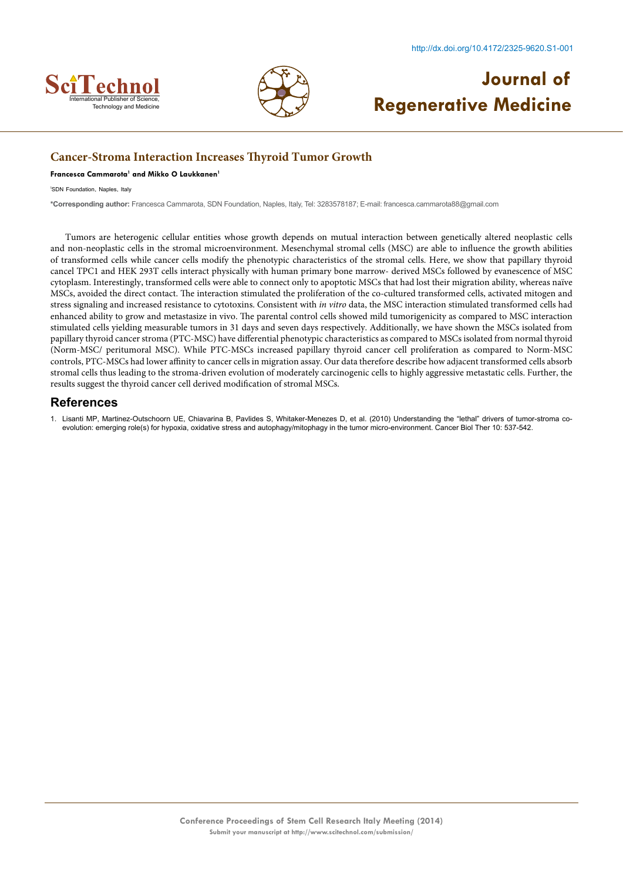



### **Cancer-Stroma Interaction Increases Thyroid Tumor Growth**

#### **Francesca Cammarota1 and Mikko O Laukkanen1**

1 SDN Foundation, Naples, Italy

**\*Corresponding author:** Francesca Cammarota, SDN Foundation, Naples, Italy, Tel: 3283578187; E-mail: francesca.cammarota88@gmail.com

Tumors are heterogenic cellular entities whose growth depends on mutual interaction between genetically altered neoplastic cells and non-neoplastic cells in the stromal microenvironment. Mesenchymal stromal cells (MSC) are able to influence the growth abilities of transformed cells while cancer cells modify the phenotypic characteristics of the stromal cells. Here, we show that papillary thyroid cancel TPC1 and HEK 293T cells interact physically with human primary bone marrow- derived MSCs followed by evanescence of MSC cytoplasm. Interestingly, transformed cells were able to connect only to apoptotic MSCs that had lost their migration ability, whereas naïve MSCs, avoided the direct contact. The interaction stimulated the proliferation of the co-cultured transformed cells, activated mitogen and stress signaling and increased resistance to cytotoxins. Consistent with *in vitro* data, the MSC interaction stimulated transformed cells had enhanced ability to grow and metastasize in vivo. The parental control cells showed mild tumorigenicity as compared to MSC interaction stimulated cells yielding measurable tumors in 31 days and seven days respectively. Additionally, we have shown the MSCs isolated from papillary thyroid cancer stroma (PTC-MSC) have differential phenotypic characteristics as compared to MSCs isolated from normal thyroid (Norm-MSC/ peritumoral MSC). While PTC-MSCs increased papillary thyroid cancer cell proliferation as compared to Norm-MSC controls, PTC-MSCs had lower affinity to cancer cells in migration assay. Our data therefore describe how adjacent transformed cells absorb stromal cells thus leading to the stroma-driven evolution of moderately carcinogenic cells to highly aggressive metastatic cells. Further, the results suggest the thyroid cancer cell derived modification of stromal MSCs.

#### **References**

1. [Lisanti MP, Martinez-Outschoorn UE, Chiavarina B, Pavlides S, Whitaker-Menezes D, et al. \(2010\) Understanding the "lethal" drivers of tumor-stroma co](http://www.ncbi.nlm.nih.gov/pubmed/20861671)[evolution: emerging role\(s\) for hypoxia, oxidative stress and autophagy/mitophagy in the tumor micro-environment. Cancer Biol Ther 10: 537-542.](http://www.ncbi.nlm.nih.gov/pubmed/20861671)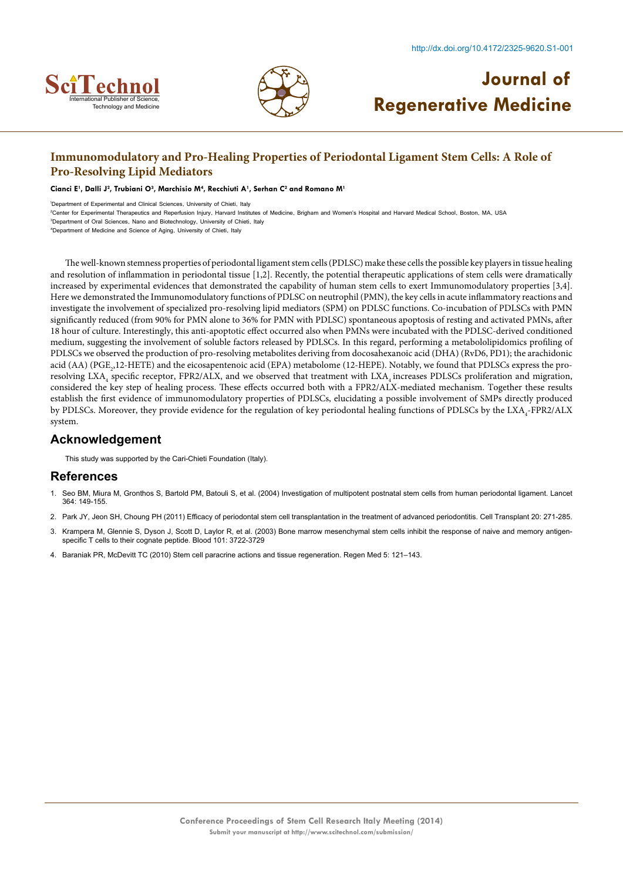



## **Immunomodulatory and Pro-Healing Properties of Periodontal Ligament Stem Cells: A Role of Pro-Resolving Lipid Mediators**

Cianci E<sup>1</sup>, Dalli J<sup>2</sup>, Trubiani O<sup>3</sup>, Marchisio M<sup>4</sup>, Recchiuti A<sup>1</sup>, Serhan C<sup>2</sup> and Romano M<sup>1</sup>

1 Department of Experimental and Clinical Sciences, University of Chieti, Italy

2 Center for Experimental Therapeutics and Reperfusion Injury, Harvard Institutes of Medicine, Brigham and Women's Hospital and Harvard Medical School, Boston, MA, USA 3 Department of Oral Sciences, Nano and Biotechnology, University of Chieti, Italy

4 Department of Medicine and Science of Aging, University of Chieti, Italy

The well-known stemness properties of periodontal ligament stem cells (PDLSC) make these cells the possible key players in tissue healing and resolution of inflammation in periodontal tissue [1,2]. Recently, the potential therapeutic applications of stem cells were dramatically increased by experimental evidences that demonstrated the capability of human stem cells to exert Immunomodulatory properties [3,4]. Here we demonstrated the Immunomodulatory functions of PDLSC on neutrophil (PMN), the key cells in acute inflammatory reactions and investigate the involvement of specialized pro-resolving lipid mediators (SPM) on PDLSC functions. Co-incubation of PDLSCs with PMN significantly reduced (from 90% for PMN alone to 36% for PMN with PDLSC) spontaneous apoptosis of resting and activated PMNs, after 18 hour of culture. Interestingly, this anti-apoptotic effect occurred also when PMNs were incubated with the PDLSC-derived conditioned medium, suggesting the involvement of soluble factors released by PDLSCs. In this regard, performing a metabololipidomics profiling of PDLSCs we observed the production of pro-resolving metabolites deriving from docosahexanoic acid (DHA) (RvD6, PD1); the arachidonic acid (AA) (PGE<sub>2</sub>,12-HETE) and the eicosapentenoic acid (EPA) metabolome (12-HEPE). Notably, we found that PDLSCs express the proresolving  $\text{LXA}_4$  specific receptor, FPR2/ALX, and we observed that treatment with  $\text{LXA}_4$  increases PDLSCs proliferation and migration, considered the key step of healing process. These effects occurred both with a FPR2/ALX-mediated mechanism. Together these results establish the first evidence of immunomodulatory properties of PDLSCs, elucidating a possible involvement of SMPs directly produced by PDLSCs. Moreover, they provide evidence for the regulation of key periodontal healing functions of PDLSCs by the LXA<sub>4</sub>-FPR2/ALX system.

#### **Acknowledgement**

This study was supported by the Cari-Chieti Foundation (Italy).

- 1. [Seo BM, Miura M, Gronthos S, Bartold PM, Batouli S, et al. \(2004\) Investigation of multipotent postnatal stem cells from human periodontal ligament. Lancet](http://www.ncbi.nlm.nih.gov/pubmed/15246727) [364: 149-155.](http://www.ncbi.nlm.nih.gov/pubmed/15246727)
- 2. [Park JY, Jeon SH, Choung PH \(2011\) Efficacy of periodontal stem cell transplantation in the treatment of advanced periodontitis. Cell Transplant 20: 271-285.](http://www.ncbi.nlm.nih.gov/pubmed/20719084)
- 3. [Krampera M, Glennie S, Dyson J, Scott D, Laylor R, et al. \(2003\) Bone marrow mesenchymal stem cells inhibit the response of naive and memory antigen](http://www.ncbi.nlm.nih.gov/pubmed/12506037)[specific T cells to their cognate peptide. Blood 101: 3722-3729](http://www.ncbi.nlm.nih.gov/pubmed/12506037)
- 4. [Baraniak PR, McDevitt TC \(2010\) Stem cell paracrine actions and tissue regeneration. Regen Med 5: 121–143.](http://www.ncbi.nlm.nih.gov/pubmed/20017699)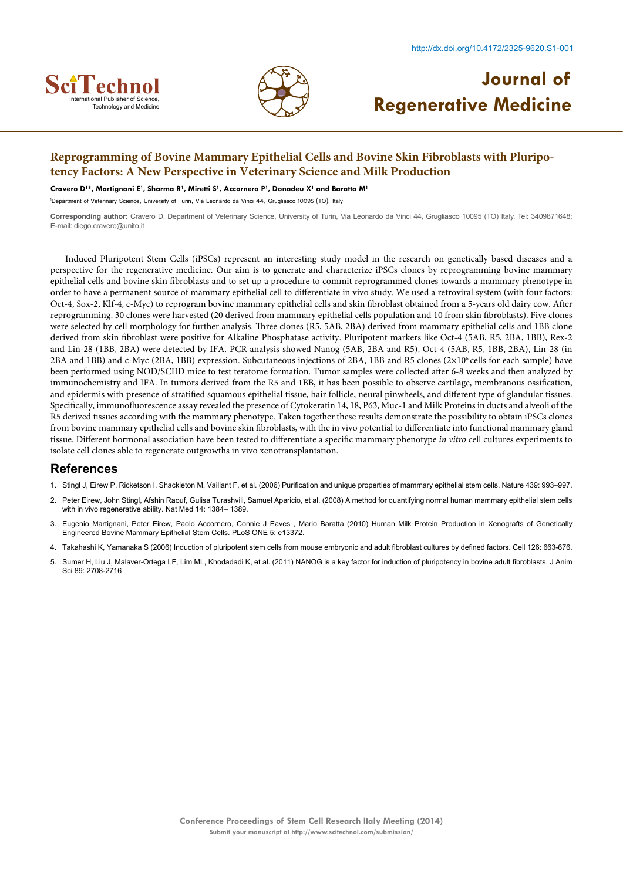



## **Reprogramming of Bovine Mammary Epithelial Cells and Bovine Skin Fibroblasts with Pluripotency Factors: A New Perspective in Veterinary Science and Milk Production**

#### **Cravero D1 \*, Martignani E1 , Sharma R1 , Miretti S1 , Accornero P1 , Donadeu X1 and Baratta M1**

1 Department of Veterinary Science, University of Turin, Via Leonardo da Vinci 44, Grugliasco 10095 (TO), Italy

**Corresponding author:** Cravero D, Department of Veterinary Science, University of Turin, Via Leonardo da Vinci 44, Grugliasco 10095 (TO) Italy, Tel: 3409871648; E-mail: diego.cravero@unito.it

Induced Pluripotent Stem Cells (iPSCs) represent an interesting study model in the research on genetically based diseases and a perspective for the regenerative medicine. Our aim is to generate and characterize iPSCs clones by reprogramming bovine mammary epithelial cells and bovine skin fibroblasts and to set up a procedure to commit reprogrammed clones towards a mammary phenotype in order to have a permanent source of mammary epithelial cell to differentiate in vivo study. We used a retroviral system (with four factors: Oct-4, Sox-2, Klf-4, c-Myc) to reprogram bovine mammary epithelial cells and skin fibroblast obtained from a 5-years old dairy cow. After reprogramming, 30 clones were harvested (20 derived from mammary epithelial cells population and 10 from skin fibroblasts). Five clones were selected by cell morphology for further analysis. Three clones (R5, 5AB, 2BA) derived from mammary epithelial cells and 1BB clone derived from skin fibroblast were positive for Alkaline Phosphatase activity. Pluripotent markers like Oct-4 (5AB, R5, 2BA, 1BB), Rex-2 and Lin-28 (1BB, 2BA) were detected by IFA. PCR analysis showed Nanog (5AB, 2BA and R5), Oct-4 (5AB, R5, 1BB, 2BA), Lin-28 (in 2BA and 1BB) and c-Myc (2BA, 1BB) expression. Subcutaneous injections of 2BA, 1BB and R5 clones (2×10<sup>6</sup> cells for each sample) have been performed using NOD/SCIID mice to test teratome formation. Tumor samples were collected after 6-8 weeks and then analyzed by immunochemistry and IFA. In tumors derived from the R5 and 1BB, it has been possible to observe cartilage, membranous ossification, and epidermis with presence of stratified squamous epithelial tissue, hair follicle, neural pinwheels, and different type of glandular tissues. Specifically, immunofluorescence assay revealed the presence of Cytokeratin 14, 18, P63, Muc-1 and Milk Proteins in ducts and alveoli of the R5 derived tissues according with the mammary phenotype. Taken together these results demonstrate the possibility to obtain iPSCs clones from bovine mammary epithelial cells and bovine skin fibroblasts, with the in vivo potential to differentiate into functional mammary gland tissue. Different hormonal association have been tested to differentiate a specific mammary phenotype *in vitro* cell cultures experiments to isolate cell clones able to regenerate outgrowths in vivo xenotransplantation.

- 1. [Stingl J, Eirew P, Ricketson I, Shackleton M, Vaillant F, et al. \(2006\) Purification and unique properties of mammary epithelial stem cells. Nature 439: 993–997.](http://www.ncbi.nlm.nih.gov/pubmed/16395311)
- 2. [Peter Eirew, John Stingl, Afshin Raouf, Gulisa Turashvili, Samuel Aparicio, et al. \(2008\) A method for quantifying normal human mammary epithelial stem cells](http://www.nature.com/nm/journal/v14/n12/abs/nm.1791.html) [with in vivo regenerative ability. Nat Med 14: 1384– 1389.](http://www.nature.com/nm/journal/v14/n12/abs/nm.1791.html)
- 3. [Eugenio Martignani, Peter Eirew, Paolo Accornero, Connie J Eaves , Mario Baratta \(2010\) Human Milk Protein Production in Xenografts of Genetically](http://www.ncbi.nlm.nih.gov/pubmed/20976049) [Engineered Bovine Mammary Epithelial Stem Cells. PLoS ONE 5: e13372.](http://www.ncbi.nlm.nih.gov/pubmed/20976049)
- 4. [Takahashi K, Yamanaka S \(2006\) Induction of pluripotent stem cells from mouse embryonic and adult fibroblast cultures by defined factors. Cell 126: 663-676.](http://www.ncbi.nlm.nih.gov/pubmed/16904174)
- 5. [Sumer H, Liu J, Malaver-Ortega LF, Lim ML, Khodadadi K, et al. \(2011\) NANOG is a key factor for induction of pluripotency in bovine adult fibroblasts. J Anim](http://www.ncbi.nlm.nih.gov/pubmed/21478453) [Sci 89: 2708-2716](http://www.ncbi.nlm.nih.gov/pubmed/21478453)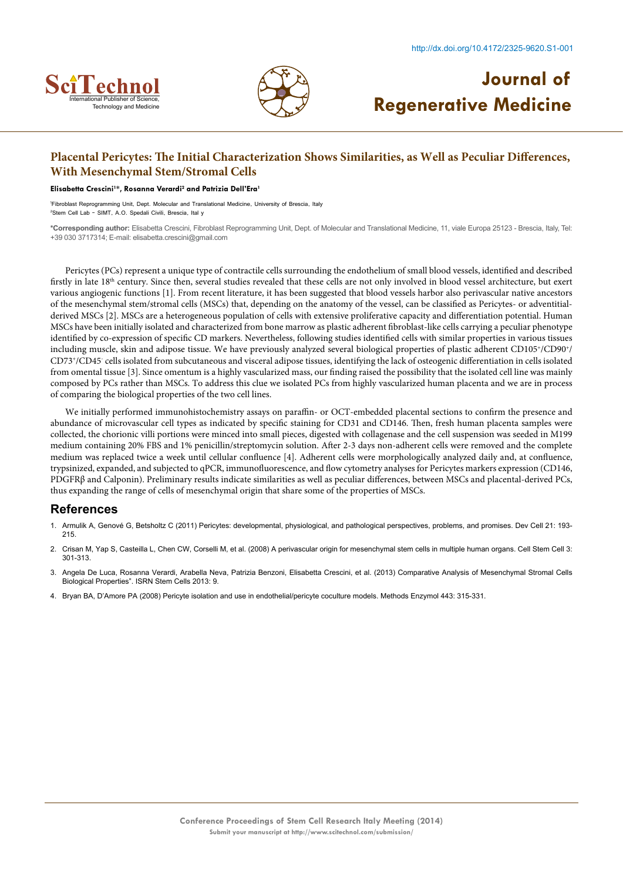



### **Placental Pericytes: The Initial Characterization Shows Similarities, as Well as Peculiar Differences, With Mesenchymal Stem/Stromal Cells**

#### **Elisabetta Crescini1 \*, Rosanna Verardi2 and Patrizia Dell'Era1**

1 Fibroblast Reprogramming Unit, Dept. Molecular and Translational Medicine, University of Brescia, Italy 2 Stem Cell Lab - SIMT, A.O. Spedali Civili, Brescia, Ital y

**\*Corresponding author:** Elisabetta Crescini, Fibroblast Reprogramming Unit, Dept. of Molecular and Translational Medicine, 11, viale Europa 25123 - Brescia, Italy, Tel: +39 030 3717314; E-mail: elisabetta.crescini@gmail.com

Pericytes (PCs) represent a unique type of contractile cells surrounding the endothelium of small blood vessels, identified and described firstly in late 18<sup>th</sup> century. Since then, several studies revealed that these cells are not only involved in blood vessel architecture, but exert various angiogenic functions [1]. From recent literature, it has been suggested that blood vessels harbor also perivascular native ancestors of the mesenchymal stem/stromal cells (MSCs) that, depending on the anatomy of the vessel, can be classified as Pericytes- or adventitialderived MSCs [2]. MSCs are a heterogeneous population of cells with extensive proliferative capacity and differentiation potential. Human MSCs have been initially isolated and characterized from bone marrow as plastic adherent fibroblast-like cells carrying a peculiar phenotype identified by co-expression of specific CD markers. Nevertheless, following studies identified cells with similar properties in various tissues including muscle, skin and adipose tissue. We have previously analyzed several biological properties of plastic adherent CD105+/CD90+/ CD73+/CD45- cells isolated from subcutaneous and visceral adipose tissues, identifying the lack of osteogenic differentiation in cells isolated from omental tissue [3]. Since omentum is a highly vascularized mass, our finding raised the possibility that the isolated cell line was mainly composed by PCs rather than MSCs. To address this clue we isolated PCs from highly vascularized human placenta and we are in process of comparing the biological properties of the two cell lines.

We initially performed immunohistochemistry assays on paraffin- or OCT-embedded placental sections to confirm the presence and abundance of microvascular cell types as indicated by specific staining for CD31 and CD146. Then, fresh human placenta samples were collected, the chorionic villi portions were minced into small pieces, digested with collagenase and the cell suspension was seeded in M199 medium containing 20% FBS and 1% penicillin/streptomycin solution. After 2-3 days non-adherent cells were removed and the complete medium was replaced twice a week until cellular confluence [4]. Adherent cells were morphologically analyzed daily and, at confluence, trypsinized, expanded, and subjected to qPCR, immunofluorescence, and flow cytometry analyses for Pericytes markers expression (CD146, PDGFRβ and Calponin). Preliminary results indicate similarities as well as peculiar differences, between MSCs and placental-derived PCs, thus expanding the range of cells of mesenchymal origin that share some of the properties of MSCs.

- 1. [Armulik A, Genové G, Betsholtz C \(2011\) Pericytes: developmental, physiological, and pathological perspectives, problems, and promises. Dev Cell 21: 193-](http://www.ncbi.nlm.nih.gov/pubmed/21839917) [215.](http://www.ncbi.nlm.nih.gov/pubmed/21839917)
- 2. [Crisan M, Yap S, Casteilla L, Chen CW, Corselli M, et al. \(2008\) A perivascular origin for mesenchymal stem cells in multiple human organs. Cell Stem Cell 3:](http://www.ncbi.nlm.nih.gov/pubmed/18786417) [301-313.](http://www.ncbi.nlm.nih.gov/pubmed/18786417)
- 3. [Angela De Luca, Rosanna Verardi, Arabella Neva, Patrizia Benzoni, Elisabetta Crescini, et al. \(2013\) Comparative Analysis of Mesenchymal Stromal Cells](http://www.hindawi.com/journals/isrn/2013/674671/) [Biological Properties". ISRN Stem Cells 2013: 9.](http://www.hindawi.com/journals/isrn/2013/674671/)
- 4. [Bryan BA, D'Amore PA \(2008\) Pericyte isolation and use in endothelial/pericyte coculture models. Methods Enzymol 443: 315-331.](http://www.ncbi.nlm.nih.gov/pubmed/18772023)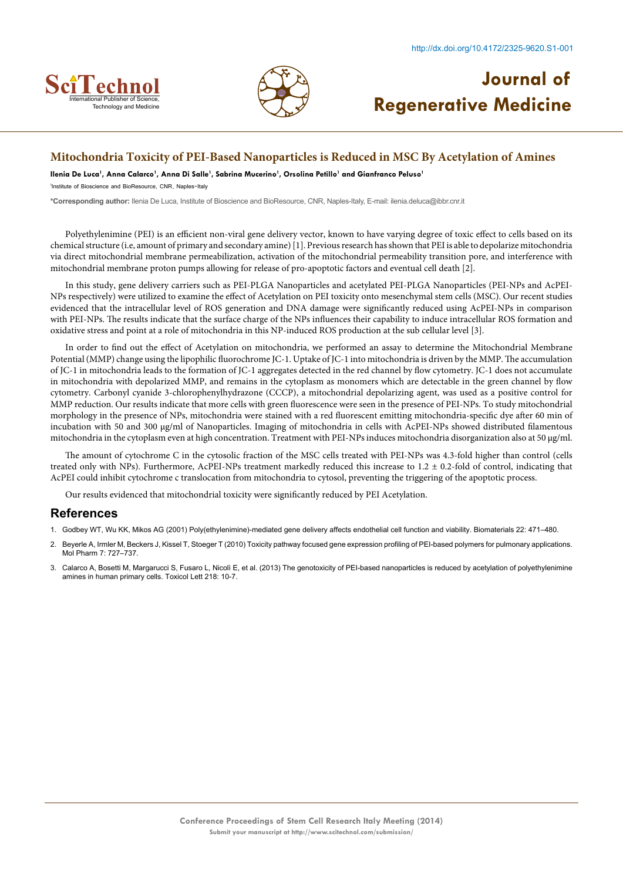



### **Mitochondria Toxicity of PEI-Based Nanoparticles is Reduced in MSC By Acetylation of Amines**

Ilenia De Luca<sup>1</sup>, Anna Calarco<sup>1</sup>, Anna Di Salle<sup>1</sup>, Sabrina Mucerino<sup>1</sup>, Orsolina Petillo<sup>1</sup> and Gianfranco Peluso<sup>1</sup>

1 Institute of Bioscience and BioResource, CNR, Naples-Italy

**\*Corresponding author:** Ilenia De Luca, Institute of Bioscience and BioResource, CNR, Naples-Italy, E-mail: ilenia.deluca@ibbr.cnr.it

Polyethylenimine (PEI) is an efficient non-viral gene delivery vector, known to have varying degree of toxic effect to cells based on its chemical structure (i.e, amount of primary and secondary amine) [1]. Previous research has shown that PEI is able to depolarize mitochondria via direct mitochondrial membrane permeabilization, activation of the mitochondrial permeability transition pore, and interference with mitochondrial membrane proton pumps allowing for release of pro-apoptotic factors and eventual cell death [2].

In this study, gene delivery carriers such as PEI-PLGA Nanoparticles and acetylated PEI-PLGA Nanoparticles (PEI-NPs and AcPEI-NPs respectively) were utilized to examine the effect of Acetylation on PEI toxicity onto mesenchymal stem cells (MSC). Our recent studies evidenced that the intracellular level of ROS generation and DNA damage were significantly reduced using AcPEI-NPs in comparison with PEI-NPs. The results indicate that the surface charge of the NPs influences their capability to induce intracellular ROS formation and oxidative stress and point at a role of mitochondria in this NP-induced ROS production at the sub cellular level [3].

In order to find out the effect of Acetylation on mitochondria, we performed an assay to determine the Mitochondrial Membrane Potential (MMP) change using the lipophilic fluorochrome JC-1. Uptake of JC-1 into mitochondria is driven by the MMP. The accumulation of JC-1 in mitochondria leads to the formation of JC-1 aggregates detected in the red channel by flow cytometry. JC-1 does not accumulate in mitochondria with depolarized MMP, and remains in the cytoplasm as monomers which are detectable in the green channel by flow cytometry. Carbonyl cyanide 3-chlorophenylhydrazone (CCCP), a mitochondrial depolarizing agent, was used as a positive control for MMP reduction. Our results indicate that more cells with green fluorescence were seen in the presence of PEI-NPs. To study mitochondrial morphology in the presence of NPs, mitochondria were stained with a red fluorescent emitting mitochondria-specific dye after 60 min of incubation with 50 and 300 µg/ml of Nanoparticles. Imaging of mitochondria in cells with AcPEI-NPs showed distributed filamentous mitochondria in the cytoplasm even at high concentration. Treatment with PEI-NPs induces mitochondria disorganization also at 50 µg/ml.

The amount of cytochrome C in the cytosolic fraction of the MSC cells treated with PEI-NPs was 4.3-fold higher than control (cells treated only with NPs). Furthermore, AcPEI-NPs treatment markedly reduced this increase to 1.2 ± 0.2-fold of control, indicating that AcPEI could inhibit cytochrome c translocation from mitochondria to cytosol, preventing the triggering of the apoptotic process.

Our results evidenced that mitochondrial toxicity were significantly reduced by PEI Acetylation.

- 1. [Godbey WT, Wu KK, Mikos AG \(2001\) Poly\(ethylenimine\)-mediated gene delivery affects endothelial cell function and viability. Biomaterials 22: 471–480.](http://www.ncbi.nlm.nih.gov/pubmed/11214758)
- 2. [Beyerle A, Irmler M, Beckers J, Kissel T, Stoeger T \(2010\) Toxicity pathway focused gene expression profiling of PEI-based polymers for pulmonary applications.](http://www.ncbi.nlm.nih.gov/pubmed/20429563) [Mol Pharm 7: 727–737.](http://www.ncbi.nlm.nih.gov/pubmed/20429563)
- 3. [Calarco A, Bosetti M, Margarucci S, Fusaro L, Nicolì E, et al. \(2013\) The genotoxicity of PEI-based nanoparticles is reduced by acetylation of polyethylenimine](http://www.ncbi.nlm.nih.gov/pubmed/23296103) [amines in human primary cells. Toxicol Lett 218: 10-7.](http://www.ncbi.nlm.nih.gov/pubmed/23296103)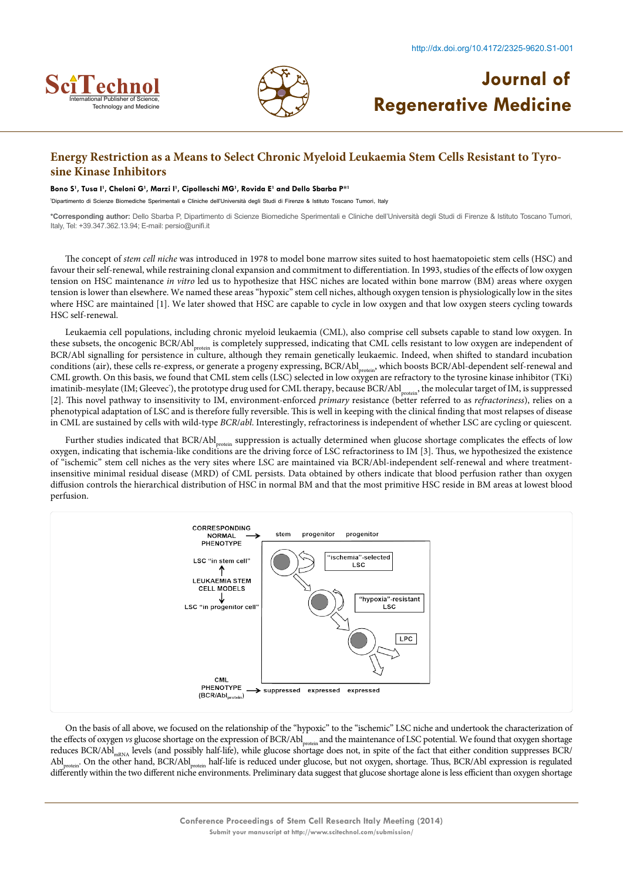



### **Energy Restriction as a Means to Select Chronic Myeloid Leukaemia Stem Cells Resistant to Tyrosine Kinase Inhibitors**

#### **Bono S1 , Tusa I1 , Cheloni G1 , Marzi I1 , Cipolleschi MG1 , Rovida E1 and Dello Sbarba P\*1**

1 Dipartimento di Scienze Biomediche Sperimentali e Cliniche dell'Università degli Studi di Firenze & Istituto Toscano Tumori, Italy

**\*Corresponding author:** Dello Sbarba P, Dipartimento di Scienze Biomediche Sperimentali e Cliniche dell'Università degli Studi di Firenze & Istituto Toscano Tumori, Italy, Tel: +39.347.362.13.94; E-mail: persio@unifi.it

The concept of *stem cell niche* was introduced in 1978 to model bone marrow sites suited to host haematopoietic stem cells (HSC) and favour their self-renewal, while restraining clonal expansion and commitment to differentiation. In 1993, studies of the effects of low oxygen tension on HSC maintenance *in vitro* led us to hypothesize that HSC niches are located within bone marrow (BM) areas where oxygen tension is lower than elsewhere. We named these areas "hypoxic" stem cell niches, although oxygen tension is physiologically low in the sites where HSC are maintained [1]. We later showed that HSC are capable to cycle in low oxygen and that low oxygen steers cycling towards HSC self-renewal.

Leukaemia cell populations, including chronic myeloid leukaemia (CML), also comprise cell subsets capable to stand low oxygen. In these subsets, the oncogenic BCR/Abl<sub>protein</sub> is completely suppressed, indicating that CML cells resistant to low oxygen are independent of BCR/Abl signalling for persistence in culture, although they remain genetically leukaemic. Indeed, when shifted to standard incubation conditions (air), these cells re-express, or generate a progeny expressing, BCR/Abl<sub>protein</sub>, which boosts BCR/Abl-dependent self-renewal and CML growth. On this basis, we found that CML stem cells (LSC) selected in low oxygen are refractory to the tyrosine kinase inhibitor (TKi) imatinib-mesylate (IM; Gleevec'), the prototype drug used for CML therapy, because BCR/Abl<sub>protein</sub>, the molecular target of IM, is suppressed [2]. This novel pathway to insensitivity to IM, environment-enforced *primary* resistance (better referred to as *refractoriness*), relies on a phenotypical adaptation of LSC and is therefore fully reversible. This is well in keeping with the clinical finding that most relapses of disease in CML are sustained by cells with wild-type *BCR*/*abl*. Interestingly, refractoriness is independent of whether LSC are cycling or quiescent.

Further studies indicated that BCR/Abl<sub>protein</sub> suppression is actually determined when glucose shortage complicates the effects of low oxygen, indicating that ischemia-like conditions are the driving force of LSC refractoriness to IM [3]. Thus, we hypothesized the existence of "ischemic" stem cell niches as the very sites where LSC are maintained via BCR/Abl-independent self-renewal and where treatmentinsensitive minimal residual disease (MRD) of CML persists. Data obtained by others indicate that blood perfusion rather than oxygen diffusion controls the hierarchical distribution of HSC in normal BM and that the most primitive HSC reside in BM areas at lowest blood perfusion.



On the basis of all above, we focused on the relationship of the "hypoxic" to the "ischemic" LSC niche and undertook the characterization of the effects of oxygen *vs* glucose shortage on the expression of BCR/Abl<sub>protein</sub> and the maintenance of LSC potential. We found that oxygen shortage reduces BCR/Abl<sub>mRNA</sub> levels (and possibly half-life), while glucose shortage does not, in spite of the fact that either condition suppresses BCR/ Abl<sub>protein</sub>. On the other hand, BCR/Abl<sub>protein</sub> half-life is reduced under glucose, but not oxygen, shortage. Thus, BCR/Abl expression is regulated differently within the two different niche environments. Preliminary data suggest that glucose shortage alone is less efficient than oxygen shortage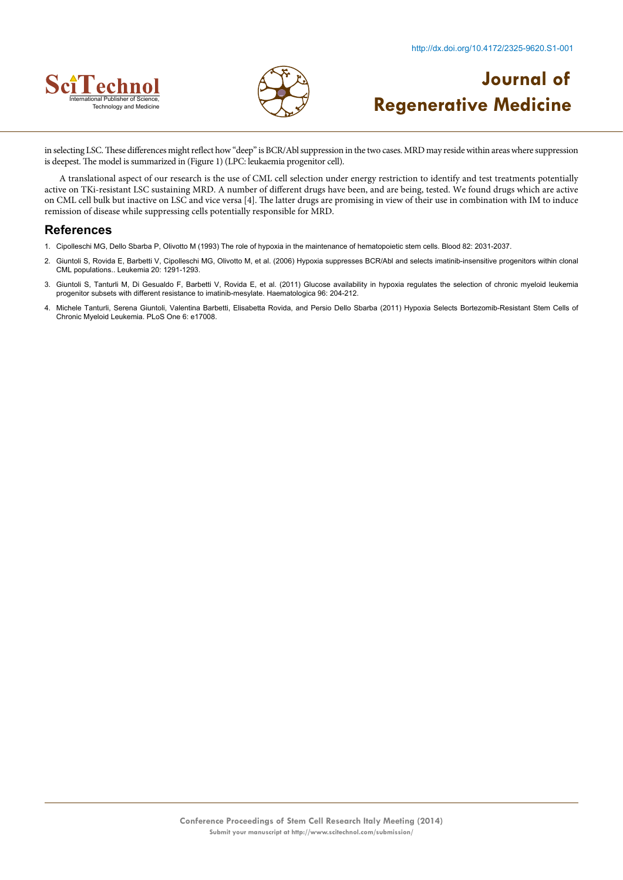



in selecting LSC. These differences might reflect how "deep" is BCR/Abl suppression in the two cases. MRD may reside within areas where suppression is deepest. The model is summarized in (Figure 1) (LPC: leukaemia progenitor cell).

A translational aspect of our research is the use of CML cell selection under energy restriction to identify and test treatments potentially active on TKi-resistant LSC sustaining MRD. A number of different drugs have been, and are being, tested. We found drugs which are active on CML cell bulk but inactive on LSC and vice versa [4]. The latter drugs are promising in view of their use in combination with IM to induce remission of disease while suppressing cells potentially responsible for MRD.

- 1. [Cipolleschi MG, Dello Sbarba P, Olivotto M \(1993\) The role of hypoxia in the maintenance of hematopoietic stem cells. Blood 82: 2031-2037.](http://www.ncbi.nlm.nih.gov/pubmed/8104535)
- 2. [Giuntoli S, Rovida E, Barbetti V, Cipolleschi MG, Olivotto M, et al. \(2006\) Hypoxia suppresses BCR/Abl and selects imatinib-insensitive progenitors within clonal](http://www.ncbi.nlm.nih.gov/pubmed/16710305)  [CML populations.. Leukemia 20: 1291-1293.](http://www.ncbi.nlm.nih.gov/pubmed/16710305)
- 3. Giuntoli S, Tanturli M, Di Gesualdo F, Barbetti V, Rovida E, et al. (2011) Glucose availability in hypoxia regulates the selection of chronic myeloid leukemia [progenitor subsets with different resistance to imatinib-mesylate. Haematologica 96: 204-212.](http://www.ncbi.nlm.nih.gov/pubmed/21071498)
- 4. [Michele Tanturli, Serena Giuntoli, Valentina Barbetti, Elisabetta Rovida, and Persio Dello Sbarba \(2011\) Hypoxia Selects Bortezomib-Resistant Stem Cells of](http://www.ncbi.nlm.nih.gov/pmc/articles/PMC3037943/)  [Chronic Myeloid Leukemia. PLoS One 6: e17008.](http://www.ncbi.nlm.nih.gov/pmc/articles/PMC3037943/)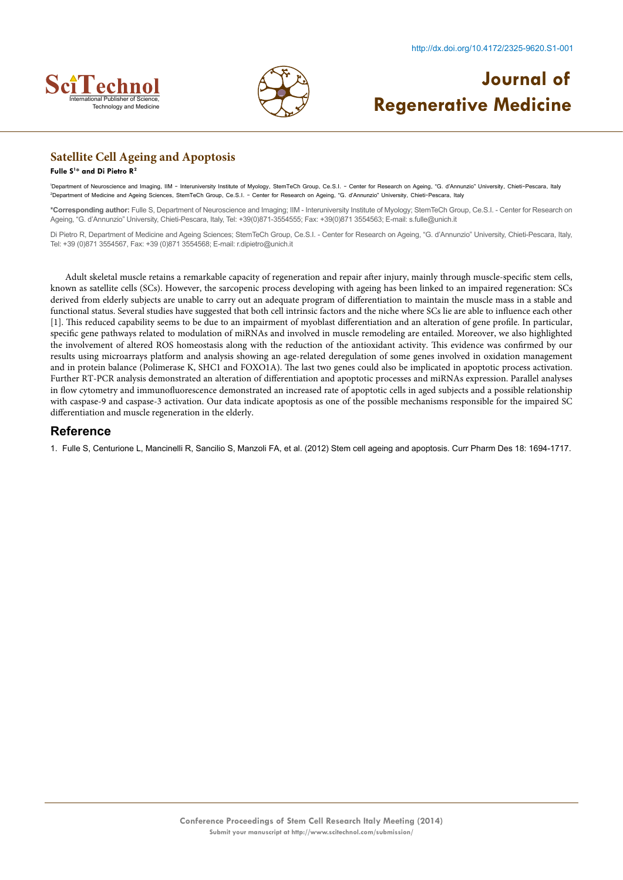



## **Satellite Cell Ageing and Apoptosis**

#### **Fulle S1 \* and Di Pietro R2**

1 Department of Neuroscience and Imaging, IIM - Interuniversity Institute of Myology, StemTeCh Group, Ce.S.I. - Center for Research on Ageing, "G. d'Annunzio" University, Chieti-Pescara, Italy 2 Department of Medicine and Ageing Sciences, StemTeCh Group, Ce.S.I. - Center for Research on Ageing, "G. d'Annunzio" University, Chieti-Pescara, Italy

**\*Corresponding author:** Fulle S, Department of Neuroscience and Imaging; IIM - Interuniversity Institute of Myology; StemTeCh Group, Ce.S.I. - Center for Research on Ageing, "G. d'Annunzio" University, Chieti-Pescara, Italy, Tel: +39(0)871-3554555; Fax: +39(0)871 3554563; E-mail: s.fulle@unich.it

Di Pietro R, Department of Medicine and Ageing Sciences; StemTeCh Group, Ce.S.I. - Center for Research on Ageing, "G. d'Annunzio" University, Chieti-Pescara, Italy, Tel: +39 (0)871 3554567, Fax: +39 (0)871 3554568; E-mail: r.dipietro@unich.it

Adult skeletal muscle retains a remarkable capacity of regeneration and repair after injury, mainly through muscle-specific stem cells, known as satellite cells (SCs). However, the sarcopenic process developing with ageing has been linked to an impaired regeneration: SCs derived from elderly subjects are unable to carry out an adequate program of differentiation to maintain the muscle mass in a stable and functional status. Several studies have suggested that both cell intrinsic factors and the niche where SCs lie are able to influence each other [1]. This reduced capability seems to be due to an impairment of myoblast differentiation and an alteration of gene profile. In particular, specific gene pathways related to modulation of miRNAs and involved in muscle remodeling are entailed. Moreover, we also highlighted the involvement of altered ROS homeostasis along with the reduction of the antioxidant activity. This evidence was confirmed by our results using microarrays platform and analysis showing an age-related deregulation of some genes involved in oxidation management and in protein balance (Polimerase K, SHC1 and FOXO1A). The last two genes could also be implicated in apoptotic process activation. Further RT-PCR analysis demonstrated an alteration of differentiation and apoptotic processes and miRNAs expression. Parallel analyses in flow cytometry and immunofluorescence demonstrated an increased rate of apoptotic cells in aged subjects and a possible relationship with caspase-9 and caspase-3 activation. Our data indicate apoptosis as one of the possible mechanisms responsible for the impaired SC differentiation and muscle regeneration in the elderly.

### **Reference**

1. [Fulle S, Centurione L, Mancinelli R, Sancilio S, Manzoli FA, et al. \(2012\) Stem cell ageing and apoptosis.](http://www.ncbi.nlm.nih.gov/pubmed/22352749) Curr Pharm Des 18: 1694-1717.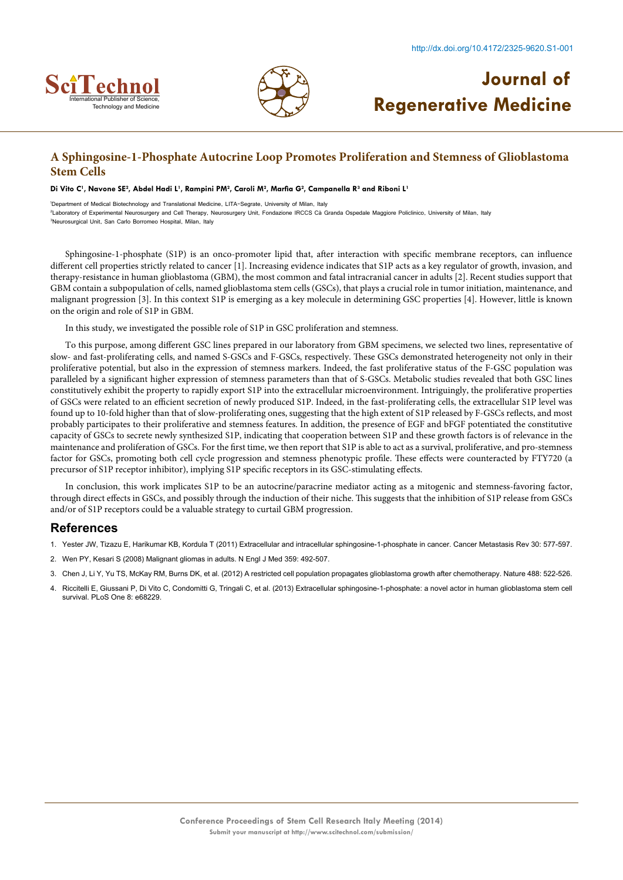



### **A Sphingosine-1-Phosphate Autocrine Loop Promotes Proliferation and Stemness of Glioblastoma Stem Cells**

#### Di Vito C', Navone SE<del>'</del>, Abdel Hadi L', Rampini PM<sup>2</sup>, Caroli M<sup>2</sup>, Marfia G<sup>2</sup>, Campanella R<sup>3</sup> and Riboni L'

1 Department of Medical Biotechnology and Translational Medicine, LITA-Segrate, University of Milan, Italy 2 Laboratory of Experimental Neurosurgery and Cell Therapy, Neurosurgery Unit, Fondazione IRCCS Cà Granda Ospedale Maggiore Policlinico, University of Milan, Italy 3 Neurosurgical Unit, San Carlo Borromeo Hospital, Milan, Italy

Sphingosine-1-phosphate (S1P) is an onco-promoter lipid that, after interaction with specific membrane receptors, can influence different cell properties strictly related to cancer [1]. Increasing evidence indicates that S1P acts as a key regulator of growth, invasion, and therapy-resistance in human glioblastoma (GBM), the most common and fatal intracranial cancer in adults [2]. Recent studies support that GBM contain a subpopulation of cells, named glioblastoma stem cells (GSCs), that plays a crucial role in tumor initiation, maintenance, and malignant progression [3]. In this context S1P is emerging as a key molecule in determining GSC properties [4]. However, little is known on the origin and role of S1P in GBM.

In this study, we investigated the possible role of S1P in GSC proliferation and stemness.

To this purpose, among different GSC lines prepared in our laboratory from GBM specimens, we selected two lines, representative of slow- and fast-proliferating cells, and named S-GSCs and F-GSCs, respectively. These GSCs demonstrated heterogeneity not only in their proliferative potential, but also in the expression of stemness markers. Indeed, the fast proliferative status of the F-GSC population was paralleled by a significant higher expression of stemness parameters than that of S-GSCs. Metabolic studies revealed that both GSC lines constitutively exhibit the property to rapidly export S1P into the extracellular microenvironment. Intriguingly, the proliferative properties of GSCs were related to an efficient secretion of newly produced S1P. Indeed, in the fast-proliferating cells, the extracellular S1P level was found up to 10-fold higher than that of slow-proliferating ones, suggesting that the high extent of S1P released by F-GSCs reflects, and most probably participates to their proliferative and stemness features. In addition, the presence of EGF and bFGF potentiated the constitutive capacity of GSCs to secrete newly synthesized S1P, indicating that cooperation between S1P and these growth factors is of relevance in the maintenance and proliferation of GSCs. For the first time, we then report that S1P is able to act as a survival, proliferative, and pro-stemness factor for GSCs, promoting both cell cycle progression and stemness phenotypic profile. These effects were counteracted by FTY720 (a precursor of S1P receptor inhibitor), implying S1P specific receptors in its GSC-stimulating effects.

In conclusion, this work implicates S1P to be an autocrine/paracrine mediator acting as a mitogenic and stemness-favoring factor, through direct effects in GSCs, and possibly through the induction of their niche. This suggests that the inhibition of S1P release from GSCs and/or of S1P receptors could be a valuable strategy to curtail GBM progression.

- 1. [Yester JW, Tizazu E, Harikumar KB, Kordula T \(2011\) Extracellular and intracellular sphingosine-1-phosphate in cancer. Cancer Metastasis Rev 30: 577-597.](http://www.ncbi.nlm.nih.gov/pubmed/22002715)
- 2. [Wen PY, Kesari S \(2008\) Malignant gliomas in adults. N Engl J Med 359: 492-507.](http://www.ncbi.nlm.nih.gov/pubmed/18669428)
- 3. [Chen J, Li Y, Yu TS, McKay RM, Burns DK, et al. \(2012\) A restricted cell population propagates glioblastoma growth after chemotherapy. Nature 488: 522-526.](http://www.ncbi.nlm.nih.gov/pmc/articles/PMC3427400/)
- 4. [Riccitelli E, Giussani P, Di Vito C, Condomitti G, Tringali C, et al. \(2013\) Extracellular sphingosine-1-phosphate: a novel actor in human glioblastoma stem cell](http://www.ncbi.nlm.nih.gov/pubmed/23826381) [survival. PLoS One 8: e68229.](http://www.ncbi.nlm.nih.gov/pubmed/23826381)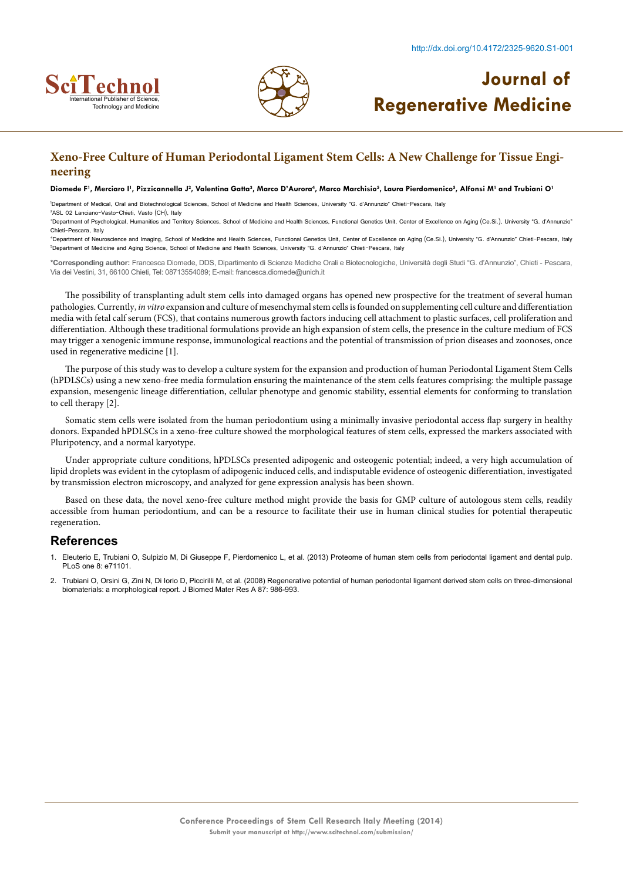



## **Xeno-Free Culture of Human Periodontal Ligament Stem Cells: A New Challenge for Tissue Engineering**

#### Diomede F', Merciaro I', Pizzicannella J<sup>2</sup>, Valentina Gatta<sup>3</sup>, Marco D'Aurora<sup>4</sup>, Marco Marchisio<sup>5</sup>, Laura Pierdomenico<sup>5</sup>, Alfonsi M' and Trubiani O'

1 Department of Medical, Oral and Biotechnological Sciences, School of Medicine and Health Sciences, University "G. d'Annunzio" Chieti-Pescara, Italy

2 ASL 02 Lanciano-Vasto-Chieti, Vasto (CH), Italy <sup>3</sup>Department of Psychological, Humanities and Territory Sciences, School of Medicine and Health Sciences, Functional Genetics Unit, Center of Excellence on Aging (Ce.Si.), University "G. d'Annunzio" Chieti-Pescara, Italy

4 Department of Neuroscience and Imaging, School of Medicine and Health Sciences, Functional Genetics Unit, Center of Excellence on Aging (Ce.Si.), University "G. d'Annunzio" Chieti-Pescara, Italy 5 Department of Medicine and Aging Science, School of Medicine and Health Sciences, University "G. d'Annunzio" Chieti-Pescara, Italy

**\*Corresponding author:** Francesca Diomede, DDS, Dipartimento di Scienze Mediche Orali e Biotecnologiche, Università degli Studi "G. d'Annunzio", Chieti - Pescara, Via dei Vestini, 31, 66100 Chieti, Tel: 08713554089; E-mail: francesca.diomede@unich.it

The possibility of transplanting adult stem cells into damaged organs has opened new prospective for the treatment of several human pathologies. Currently, *in vitro* expansion and culture of mesenchymal stem cells is founded on supplementing cell culture and differentiation media with fetal calf serum (FCS), that contains numerous growth factors inducing cell attachment to plastic surfaces, cell proliferation and differentiation. Although these traditional formulations provide an high expansion of stem cells, the presence in the culture medium of FCS may trigger a xenogenic immune response, immunological reactions and the potential of transmission of prion diseases and zoonoses, once used in regenerative medicine [1].

The purpose of this study was to develop a culture system for the expansion and production of human Periodontal Ligament Stem Cells (hPDLSCs) using a new xeno-free media formulation ensuring the maintenance of the stem cells features comprising: the multiple passage expansion, mesengenic lineage differentiation, cellular phenotype and genomic stability, essential elements for conforming to translation to cell therapy [2].

Somatic stem cells were isolated from the human periodontium using a minimally invasive periodontal access flap surgery in healthy donors. Expanded hPDLSCs in a xeno-free culture showed the morphological features of stem cells, expressed the markers associated with Pluripotency, and a normal karyotype.

Under appropriate culture conditions, hPDLSCs presented adipogenic and osteogenic potential; indeed, a very high accumulation of lipid droplets was evident in the cytoplasm of adipogenic induced cells, and indisputable evidence of osteogenic differentiation, investigated by transmission electron microscopy, and analyzed for gene expression analysis has been shown.

Based on these data, the novel xeno-free culture method might provide the basis for GMP culture of autologous stem cells, readily accessible from human periodontium, and can be a resource to facilitate their use in human clinical studies for potential therapeutic regeneration.

- 1. [Eleuterio E, Trubiani O, Sulpizio M, Di Giuseppe F, Pierdomenico L, et al. \(2013\) Proteome of human stem cells from periodontal ligament and dental pulp.](http://www.ncbi.nlm.nih.gov/pubmed/23940696) [PLoS one 8: e71101.](http://www.ncbi.nlm.nih.gov/pubmed/23940696)
- 2. Trubiani O, Orsini G, Zini N, Di Iorio D, Piccirilli M, et al. (2008) [Regenerative potential of human periodontal ligament derived stem cells on three-dimensional](http://www.ncbi.nlm.nih.gov/pubmed/18257082) [biomaterials: a morphological report. J Biomed Mater Res A 87: 986-993.](http://www.ncbi.nlm.nih.gov/pubmed/18257082)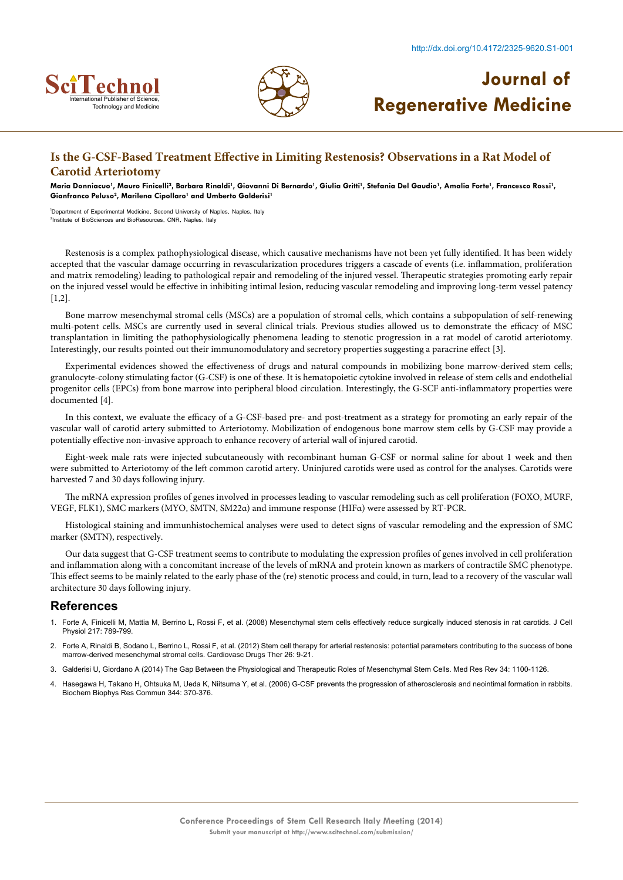



## **Is the G-CSF-Based Treatment Effective in Limiting Restenosis? Observations in a Rat Model of Carotid Arteriotomy**

Maria Donniacuo', Mauro Finicelli<sup>2</sup>, Barbara Rinaldi', Giovanni Di Bernardo', Giulia Gritti', Stefania Del Gaudio', Amalia Forte', Francesco Rossi', **Gianfranco Peluso2 , Marilena Cipollaro1 and Umberto Galderisi1**

1 Department of Experimental Medicine, Second University of Naples, Naples, Italy 2 Institute of BioSciences and BioResources, CNR, Naples, Italy

Restenosis is a complex pathophysiological disease, which causative mechanisms have not been yet fully identified. It has been widely accepted that the vascular damage occurring in revascularization procedures triggers a cascade of events (i.e. inflammation, proliferation and matrix remodeling) leading to pathological repair and remodeling of the injured vessel. Therapeutic strategies promoting early repair on the injured vessel would be effective in inhibiting intimal lesion, reducing vascular remodeling and improving long-term vessel patency [1,2].

Bone marrow mesenchymal stromal cells (MSCs) are a population of stromal cells, which contains a subpopulation of self-renewing multi-potent cells. MSCs are currently used in several clinical trials. Previous studies allowed us to demonstrate the efficacy of MSC transplantation in limiting the pathophysiologically phenomena leading to stenotic progression in a rat model of carotid arteriotomy. Interestingly, our results pointed out their immunomodulatory and secretory properties suggesting a paracrine effect [3].

Experimental evidences showed the effectiveness of drugs and natural compounds in mobilizing bone marrow-derived stem cells; granulocyte-colony stimulating factor (G-CSF) is one of these. It is hematopoietic cytokine involved in release of stem cells and endothelial progenitor cells (EPCs) from bone marrow into peripheral blood circulation. Interestingly, the G-SCF anti-inflammatory properties were documented [4].

In this context, we evaluate the efficacy of a G-CSF-based pre- and post-treatment as a strategy for promoting an early repair of the vascular wall of carotid artery submitted to Arteriotomy. Mobilization of endogenous bone marrow stem cells by G-CSF may provide a potentially effective non-invasive approach to enhance recovery of arterial wall of injured carotid.

Eight-week male rats were injected subcutaneously with recombinant human G-CSF or normal saline for about 1 week and then were submitted to Arteriotomy of the left common carotid artery. Uninjured carotids were used as control for the analyses. Carotids were harvested 7 and 30 days following injury.

The mRNA expression profiles of genes involved in processes leading to vascular remodeling such as cell proliferation (FOXO, MURF, VEGF, FLK1), SMC markers (MYO, SMTN, SM22α) and immune response (HIFα) were assessed by RT-PCR.

Histological staining and immunhistochemical analyses were used to detect signs of vascular remodeling and the expression of SMC marker (SMTN), respectively.

Our data suggest that G-CSF treatment seems to contribute to modulating the expression profiles of genes involved in cell proliferation and inflammation along with a concomitant increase of the levels of mRNA and protein known as markers of contractile SMC phenotype. This effect seems to be mainly related to the early phase of the (re) stenotic process and could, in turn, lead to a recovery of the vascular wall architecture 30 days following injury.

- 1. [Forte A, Finicelli M, Mattia M, Berrino L, Rossi F, et al. \(2008\) Mesenchymal stem cells effectively reduce surgically induced stenosis in rat carotids. J Cell](http://www.ncbi.nlm.nih.gov/pubmed/18690654) Physiol [217: 789-799.](http://www.ncbi.nlm.nih.gov/pubmed/18690654)
- 2. [Forte A, Rinaldi B, Sodano L, Berrino L, Rossi F, et al. \(2012\) Stem cell therapy for arterial restenosis: potential parameters contributing to the success of bone](http://www.ncbi.nlm.nih.gov/pubmed/22167462) [marrow-derived mesenchymal stromal cells. Cardiovasc Drugs Ther 26: 9-21.](http://www.ncbi.nlm.nih.gov/pubmed/22167462)
- 3. [Galderisi U, Giordano A \(2014\) The Gap Between the Physiological and Therapeutic Roles of Mesenchymal Stem Cells. Med Res Rev 34: 1100-1126.](http://onlinelibrary.wiley.com/doi/10.1002/med.21322/abstract)
- 4. [Hasegawa H, Takano H, Ohtsuka M, Ueda K, Niitsuma Y, et al. \(2006\) G-CSF prevents the progression of atherosclerosis and neointimal formation in rabbits.](http://www.ncbi.nlm.nih.gov/pubmed/16600176) [Biochem Biophys Res Commun 344: 370-376.](http://www.ncbi.nlm.nih.gov/pubmed/16600176)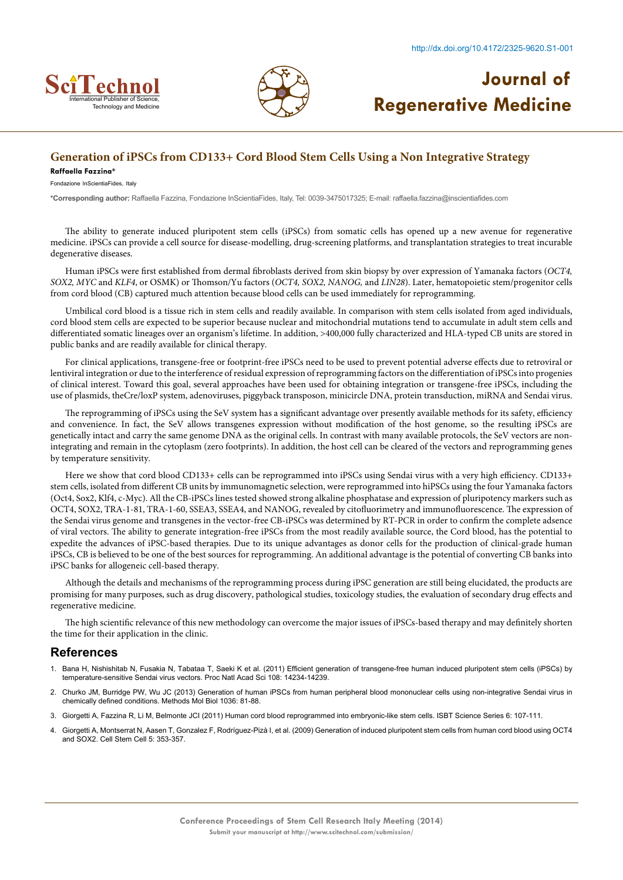



### **Generation of iPSCs from CD133+ Cord Blood Stem Cells Using a Non Integrative Strategy**

#### **Raffaella Fazzina\***

Fondazione InScientiaFides, Italy

**\*Corresponding author:** Raffaella Fazzina, Fondazione InScientiaFides, Italy, Tel: 0039-3475017325; E-mail: raffaella.fazzina@inscientiafides.com

The ability to generate induced pluripotent stem cells (iPSCs) from somatic cells has opened up a new avenue for regenerative medicine. iPSCs can provide a cell source for disease-modelling, drug-screening platforms, and transplantation strategies to treat incurable degenerative diseases.

Human iPSCs were first established from dermal fibroblasts derived from skin biopsy by over expression of Yamanaka factors (*OCT4, SOX2, MYC* and *KLF4*, or OSMK) or Thomson/Yu factors (*OCT4, SOX2, NANOG,* and *LIN28*). Later, hematopoietic stem/progenitor cells from cord blood (CB) captured much attention because blood cells can be used immediately for reprogramming.

Umbilical cord blood is a tissue rich in stem cells and readily available. In comparison with stem cells isolated from aged individuals, cord blood stem cells are expected to be superior because nuclear and mitochondrial mutations tend to accumulate in adult stem cells and differentiated somatic lineages over an organism's lifetime. In addition, >400,000 fully characterized and HLA-typed CB units are stored in public banks and are readily available for clinical therapy.

For clinical applications, transgene-free or footprint-free iPSCs need to be used to prevent potential adverse effects due to retroviral or lentiviral integration or due to the interference of residual expression of reprogramming factors on the differentiation of iPSCs into progenies of clinical interest. Toward this goal, several approaches have been used for obtaining integration or transgene-free iPSCs, including the use of plasmids, theCre/loxP system, adenoviruses, piggyback transposon, minicircle DNA, protein transduction, miRNA and Sendai virus.

The reprogramming of iPSCs using the SeV system has a significant advantage over presently available methods for its safety, efficiency and convenience. In fact, the SeV allows transgenes expression without modification of the host genome, so the resulting iPSCs are genetically intact and carry the same genome DNA as the original cells. In contrast with many available protocols, the SeV vectors are nonintegrating and remain in the cytoplasm (zero footprints). In addition, the host cell can be cleared of the vectors and reprogramming genes by temperature sensitivity.

Here we show that cord blood CD133+ cells can be reprogrammed into iPSCs using Sendai virus with a very high efficiency. CD133+ stem cells, isolated from different CB units by immunomagnetic selection, were reprogrammed into hiPSCs using the four Yamanaka factors (Oct4, Sox2, Klf4, c-Myc). All the CB-iPSCs lines tested showed strong alkaline phosphatase and expression of pluripotency markers such as OCT4, SOX2, TRA-1-81, TRA-1-60, SSEA3, SSEA4, and NANOG, revealed by citofluorimetry and immunofluorescence. The expression of the Sendai virus genome and transgenes in the vector-free CB-iPSCs was determined by RT-PCR in order to confirm the complete adsence of viral vectors. The ability to generate integration-free iPSCs from the most readily available source, the Cord blood, has the potential to expedite the advances of iPSC-based therapies. Due to its unique advantages as donor cells for the production of clinical-grade human iPSCs, CB is believed to be one of the best sources for reprogramming. An additional advantage is the potential of converting CB banks into iPSC banks for allogeneic cell-based therapy.

Although the details and mechanisms of the reprogramming process during iPSC generation are still being elucidated, the products are promising for many purposes, such as drug discovery, pathological studies, toxicology studies, the evaluation of secondary drug effects and regenerative medicine.

The high scientific relevance of this new methodology can overcome the major issues of iPSCs-based therapy and may definitely shorten the time for their application in the clinic.

- 1. Bana H, Nishishitab N, Fusakia N, Tabataa T, Saeki K et al. (2011) [Efficient generation of transgene-free human induced pluripotent stem cells \(iPSCs\) by](http://www.pnas.org/content/108/34/14234.abstract) [temperature-sensitive Sendai virus vectors. Proc Natl Acad Sci 108: 14234-14239.](http://www.pnas.org/content/108/34/14234.abstract)
- 2. Churko JM, Burridge PW, Wu JC (2013) [Generation of human iPSCs from human peripheral blood mononuclear cells using non-integrative Sendai virus in](http://www.ncbi.nlm.nih.gov/pubmed/23807788) chemically defined conditions. [Methods Mol Biol 1036: 81-88.](http://www.ncbi.nlm.nih.gov/pubmed/23807788)
- 3. [Giorgetti A, Fazzina R, Li M, Belmonte JCI \(2011\) Human cord blood reprogrammed into embryonic-like stem cells.](http://onlinelibrary.wiley.com/doi/10.1111/j.1751-2824.2011.01450.x/pdf) ISBT Science Series 6: 107-111.
- 4. [Giorgetti A, Montserrat N, Aasen T, Gonzalez F, Rodríguez-Pizà I, et al. \(2009\) Generation of induced pluripotent stem cells from human cord blood using OCT4](http://www.ncbi.nlm.nih.gov/pubmed/19796614) [and SOX2. Cell Stem Cell 5: 353-357.](http://www.ncbi.nlm.nih.gov/pubmed/19796614)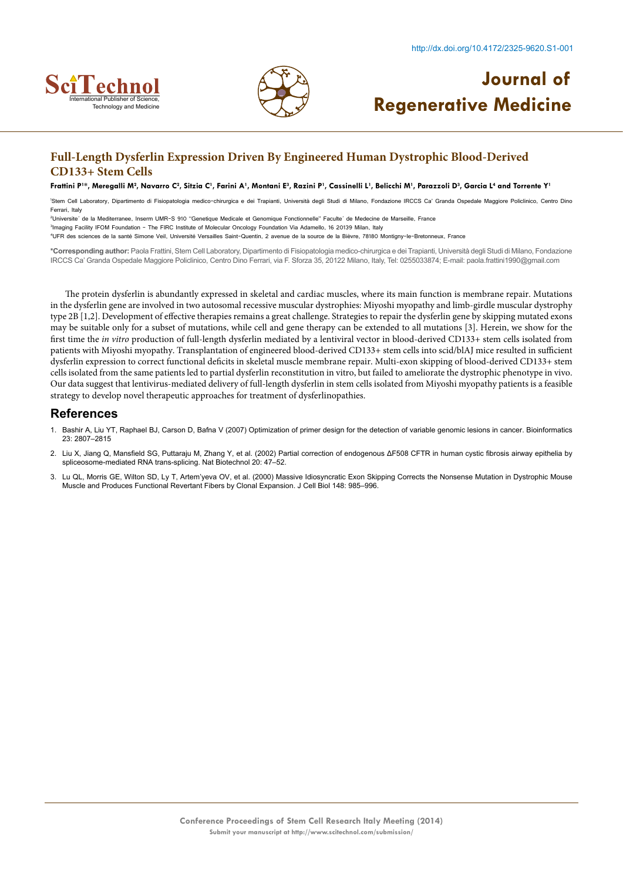



## **Full-Length Dysferlin Expression Driven By Engineered Human Dystrophic Blood-Derived CD133+ Stem Cells**

#### Frattini P'\*, Meregalli M<sup>2</sup>, Navarro C<sup>2</sup>, Sitzia C', Farini A', Montani E<sup>3</sup>, Razini P', Cassinelli L', Belicchi M', Parazzoli D<sup>3</sup>, Garcia L<sup>4</sup> and Torrente Y'

1 Stem Cell Laboratory, Dipartimento di Fisiopatologia medico-chirurgica e dei Trapianti, Università degli Studi di Milano, Fondazione IRCCS Ca' Granda Ospedale Maggiore Policlinico, Centro Dino Ferrari, Italy

2 Universite´ de la Mediterranee, Inserm UMR-S 910 ''Genetique Medicale et Genomique Fonctionnelle'' Faculte´ de Medecine de Marseille, France

<sup>3</sup>Imaging Facility IFOM Foundation - The FIRC Institute of Molecular Oncology Foundation Via Adamello, 16 20139 Milan, Italy

4 UFR des sciences de la santé Simone Veil, Université Versailles Saint-Quentin, 2 avenue de la source de la Bièvre, 78180 Montigny-le-Bretonneux, France

**\*Corresponding author:** Paola Frattini, Stem Cell Laboratory, Dipartimento di Fisiopatologia medico-chirurgica e dei Trapianti, Università degli Studi di Milano, Fondazione IRCCS Ca' Granda Ospedale Maggiore Policlinico, Centro Dino Ferrari, via F. Sforza 35, 20122 Milano, Italy, Tel: 0255033874; E-mail: paola.frattini1990@gmail.com

The protein dysferlin is abundantly expressed in skeletal and cardiac muscles, where its main function is membrane repair. Mutations in the dysferlin gene are involved in two autosomal recessive muscular dystrophies: Miyoshi myopathy and limb-girdle muscular dystrophy type 2B [1,2]. Development of effective therapies remains a great challenge. Strategies to repair the dysferlin gene by skipping mutated exons may be suitable only for a subset of mutations, while cell and gene therapy can be extended to all mutations [3]. Herein, we show for the first time the *in vitro* production of full-length dysferlin mediated by a lentiviral vector in blood-derived CD133+ stem cells isolated from patients with Miyoshi myopathy. Transplantation of engineered blood-derived CD133+ stem cells into scid/blAJ mice resulted in sufficient dysferlin expression to correct functional deficits in skeletal muscle membrane repair. Multi-exon skipping of blood-derived CD133+ stem cells isolated from the same patients led to partial dysferlin reconstitution in vitro, but failed to ameliorate the dystrophic phenotype in vivo. Our data suggest that lentivirus-mediated delivery of full-length dysferlin in stem cells isolated from Miyoshi myopathy patients is a feasible strategy to develop novel therapeutic approaches for treatment of dysferlinopathies.

- 1. [Bashir A, Liu YT, Raphael BJ, Carson D, Bafna V \(2007\) Optimization of primer design for the detection of variable genomic lesions in cancer. Bioinformatics](http://bioinformatics.oxfordjournals.org/content/23/21/2807.long) [23: 2807–2815](http://bioinformatics.oxfordjournals.org/content/23/21/2807.long)
- 2. [Liu X, Jiang Q, Mansfield SG, Puttaraju M, Zhang Y, et al. \(2002\) Partial correction of endogenous ΔF508 CFTR in human cystic fibrosis airway epithelia by](http://www.nature.com/nbt/journal/v20/n1/full/nbt0102-47.html) [spliceosome-mediated RNA trans-splicing. Nat Biotechnol 20: 47–52.](http://www.nature.com/nbt/journal/v20/n1/full/nbt0102-47.html)
- 3. [Lu QL, Morris GE, Wilton SD, Ly T, Artem'yeva OV, et al. \(2000\) Massive Idiosyncratic Exon Skipping Corrects the Nonsense Mutation in Dystrophic Mouse](http://jcb.rupress.org/content/148/5/985.long) [Muscle and Produces Functional Revertant Fibers by Clonal Expansion. J Cell Biol 148: 985–996.](http://jcb.rupress.org/content/148/5/985.long)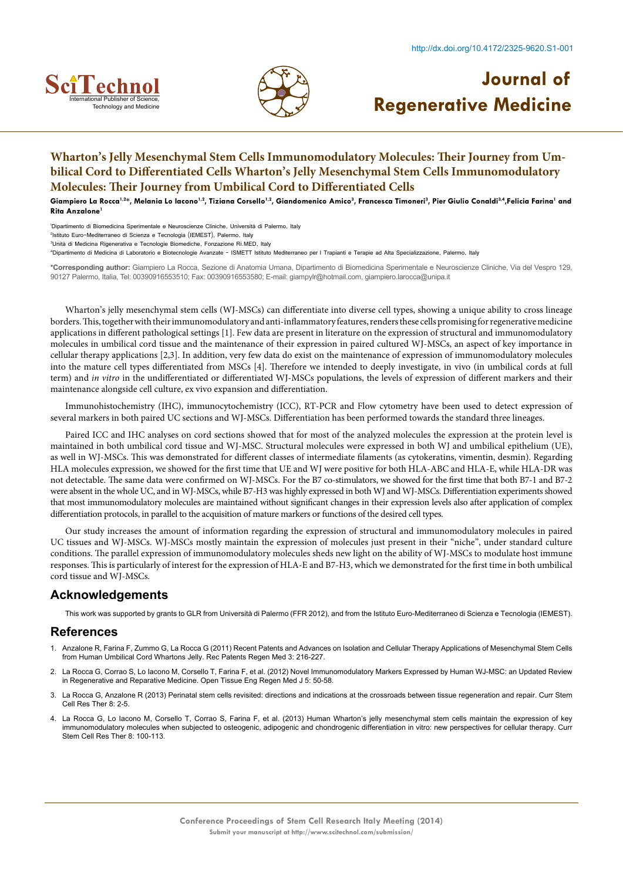



## **Wharton's Jelly Mesenchymal Stem Cells Immunomodulatory Molecules: Their Journey from Umbilical Cord to Differentiated Cells Wharton's Jelly Mesenchymal Stem Cells Immunomodulatory Molecules: Their Journey from Umbilical Cord to Differentiated Cells**

Giampiero La Rocca<sup>1,2\*</sup>, Melania Lo Iacono<sup>1,2</sup>, Tiziana Corsello<sup>1,2</sup>, Giandomenico Amico<sup>3</sup>, Francesca Timoneri<sup>3</sup>, Pier Giulio Conaldi<sup>3,4</sup>,Felicia Farina' and **Rita Anzalone** 

1 Dipartimento di Biomedicina Sperimentale e Neuroscienze Cliniche, Università di Palermo, Italy

2 Istituto Euro-Mediterraneo di Scienza e Tecnologia (IEMEST), Palermo, Italy

4 Dipartimento di Medicina di Laboratorio e Biotecnologie Avanzate - ISMETT Istituto Mediterraneo per I Trapianti e Terapie ad Alta Specializzazione, Palermo, Italy

**\*Corresponding author:** Giampiero La Rocca, Sezione di Anatomia Umana, Dipartimento di Biomedicina Sperimentale e Neuroscienze Cliniche, Via del Vespro 129, 90127 Palermo, Italia, Tel: 00390916553510; Fax: 00390916553580; E-mail: giampylr@hotmail.com, giampiero.larocca@unipa.it

Wharton's jelly mesenchymal stem cells (WJ-MSCs) can differentiate into diverse cell types, showing a unique ability to cross lineage borders. This, together with their immunomodulatory and anti-inflammatory features, renders these cells promising for regenerative medicine applications in different pathological settings [1]. Few data are present in literature on the expression of structural and immunomodulatory molecules in umbilical cord tissue and the maintenance of their expression in paired cultured WJ-MSCs, an aspect of key importance in cellular therapy applications [2,3]. In addition, very few data do exist on the maintenance of expression of immunomodulatory molecules into the mature cell types differentiated from MSCs [4]. Therefore we intended to deeply investigate, in vivo (in umbilical cords at full term) and *in vitro* in the undifferentiated or differentiated WJ-MSCs populations, the levels of expression of different markers and their maintenance alongside cell culture, ex vivo expansion and differentiation.

Immunohistochemistry (IHC), immunocytochemistry (ICC), RT-PCR and Flow cytometry have been used to detect expression of several markers in both paired UC sections and WJ-MSCs. Differentiation has been performed towards the standard three lineages.

Paired ICC and IHC analyses on cord sections showed that for most of the analyzed molecules the expression at the protein level is maintained in both umbilical cord tissue and WJ-MSC. Structural molecules were expressed in both WJ and umbilical epithelium (UE), as well in WJ-MSCs. This was demonstrated for different classes of intermediate filaments (as cytokeratins, vimentin, desmin). Regarding HLA molecules expression, we showed for the first time that UE and WJ were positive for both HLA-ABC and HLA-E, while HLA-DR was not detectable. The same data were confirmed on WJ-MSCs. For the B7 co-stimulators, we showed for the first time that both B7-1 and B7-2 were absent in the whole UC, and in WJ-MSCs, while B7-H3 was highly expressed in both WJ and WJ-MSCs. Differentiation experiments showed that most immunomodulatory molecules are maintained without significant changes in their expression levels also after application of complex differentiation protocols, in parallel to the acquisition of mature markers or functions of the desired cell types.

Our study increases the amount of information regarding the expression of structural and immunomodulatory molecules in paired UC tissues and WJ-MSCs. WJ-MSCs mostly maintain the expression of molecules just present in their "niche", under standard culture conditions. The parallel expression of immunomodulatory molecules sheds new light on the ability of WJ-MSCs to modulate host immune responses. This is particularly of interest for the expression of HLA-E and B7-H3, which we demonstrated for the first time in both umbilical cord tissue and WJ-MSCs.

### **Acknowledgements**

This work was supported by grants to GLR from Università di Palermo (FFR 2012), and from the Istituto Euro-Mediterraneo di Scienza e Tecnologia (IEMEST).

- 1. [Anzalone R, Farina F, Zummo G, La Rocca G \(2011\) Recent Patents and Advances on Isolation and Cellular Therapy Applications of Mesenchymal Stem Cells](http://www.eurekaselect.com/95856/article/recent-patents-and-advances-isolation-and-cellular-therapy-applications-mesenchymal) [from Human Umbilical Cord Whartons Jelly. Rec Patents Regen Med 3: 216-227.](http://www.eurekaselect.com/95856/article/recent-patents-and-advances-isolation-and-cellular-therapy-applications-mesenchymal)
- 2. [La Rocca G, Corrao S, Lo Iacono M, Corsello T, Farina F, et al. \(2012\) Novel Immunomodulatory Markers Expressed by Human WJ-MSC: an Updated Review](http://www.researchgate.net/publication/259263827_Novel_Immunomodulatory_Markers_Expressed_by_Human_WJ-MSC_an_Updated_Review_in_Regenerative_and_Reparative_Medicine) [in Regenerative and Reparative Medicine. Open Tissue Eng Regen Med J 5: 50-58.](http://www.researchgate.net/publication/259263827_Novel_Immunomodulatory_Markers_Expressed_by_Human_WJ-MSC_an_Updated_Review_in_Regenerative_and_Reparative_Medicine)
- 3. [La Rocca G, Anzalone R \(2013\) Perinatal stem cells revisited: directions and indications at the crossroads between tissue regeneration and repair. Curr Stem](http://www.ncbi.nlm.nih.gov/pubmed/23452028) [Cell Res Ther 8: 2-5.](http://www.ncbi.nlm.nih.gov/pubmed/23452028)
- 4. [La Rocca G, Lo Iacono M, Corsello T, Corrao S, Farina F, et al. \(2013\) Human Wharton's jelly mesenchymal stem cells maintain the expression of key](http://www.ncbi.nlm.nih.gov/pubmed/23317435) [immunomodulatory molecules when subjected to osteogenic, adipogenic and chondrogenic differentiation in vitro: new perspectives for cellular therapy. Curr](http://www.ncbi.nlm.nih.gov/pubmed/23317435) [Stem Cell Res Ther 8: 100-113.](http://www.ncbi.nlm.nih.gov/pubmed/23317435)

<sup>3</sup> Unità di Medicina Rigenerativa e Tecnologie Biomediche, Fonzazione Ri.MED, Italy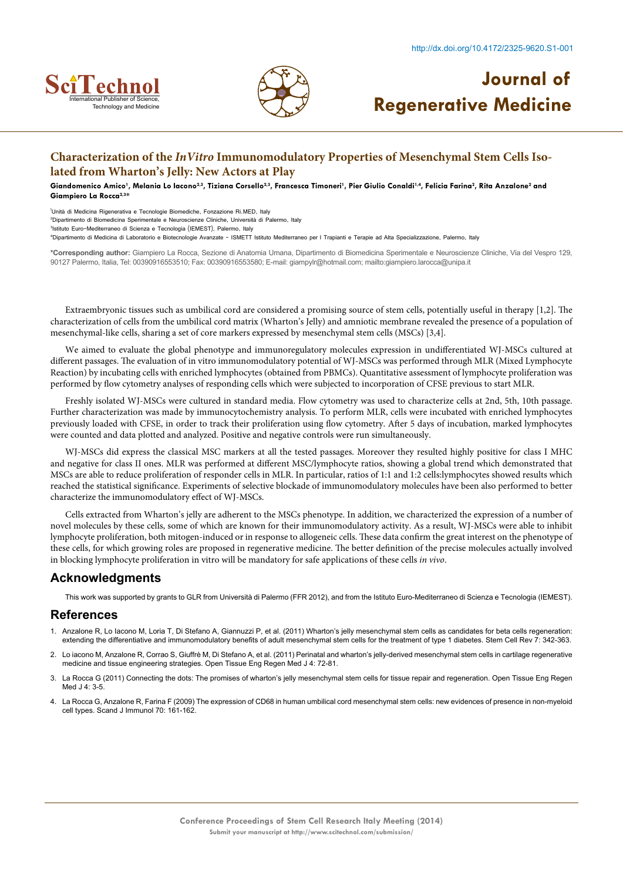



## **Characterization of the** *InVitro* **Immunomodulatory Properties of Mesenchymal Stem Cells Isolated from Wharton's Jelly: New Actors at Play**

Giandomenico Amico<sup>1</sup>, Melania Lo Iacono<sup>2,3</sup>, Tiziana Corsello<sup>2,3</sup>, Francesca Timoneri<sup>1</sup>, Pier Giulio Conaldi<sup>1,4</sup>, Felicia Farina<sup>2</sup>, Rita Anzalone<sup>2</sup> and **Giampiero La Rocca2,3\***

1 Unità di Medicina Rigenerativa e Tecnologie Biomediche, Fonzazione Ri.MED, Italy 2 Dipartimento di Biomedicina Sperimentale e Neuroscienze Cliniche, Università di Palermo, Italy 3 Istituto Euro-Mediterraneo di Scienza e Tecnologia (IEMEST), Palermo, Italy

4 Dipartimento di Medicina di Laboratorio e Biotecnologie Avanzate – ISMETT Istituto Mediterraneo per I Trapianti e Terapie ad Alta Specializzazione, Palermo, Italy

**\*Corresponding author:** Giampiero La Rocca, Sezione di Anatomia Umana, Dipartimento di Biomedicina Sperimentale e Neuroscienze Cliniche, Via del Vespro 129, 90127 Palermo, Italia, Tel: 00390916553510; Fax: 00390916553580; E-mail: giampylr@hotmail.com; mailto:giampiero.larocca@unipa.it

Extraembryonic tissues such as umbilical cord are considered a promising source of stem cells, potentially useful in therapy [1,2]. The characterization of cells from the umbilical cord matrix (Wharton's Jelly) and amniotic membrane revealed the presence of a population of mesenchymal-like cells, sharing a set of core markers expressed by mesenchymal stem cells (MSCs) [3,4].

We aimed to evaluate the global phenotype and immunoregulatory molecules expression in undifferentiated WJ-MSCs cultured at different passages. The evaluation of in vitro immunomodulatory potential of WJ-MSCs was performed through MLR (Mixed Lymphocyte Reaction) by incubating cells with enriched lymphocytes (obtained from PBMCs). Quantitative assessment of lymphocyte proliferation was performed by flow cytometry analyses of responding cells which were subjected to incorporation of CFSE previous to start MLR.

Freshly isolated WJ-MSCs were cultured in standard media. Flow cytometry was used to characterize cells at 2nd, 5th, 10th passage. Further characterization was made by immunocytochemistry analysis. To perform MLR, cells were incubated with enriched lymphocytes previously loaded with CFSE, in order to track their proliferation using flow cytometry. After 5 days of incubation, marked lymphocytes were counted and data plotted and analyzed. Positive and negative controls were run simultaneously.

WJ-MSCs did express the classical MSC markers at all the tested passages. Moreover they resulted highly positive for class I MHC and negative for class II ones. MLR was performed at different MSC/lymphocyte ratios, showing a global trend which demonstrated that MSCs are able to reduce proliferation of responder cells in MLR. In particular, ratios of 1:1 and 1:2 cells:lymphocytes showed results which reached the statistical significance. Experiments of selective blockade of immunomodulatory molecules have been also performed to better characterize the immunomodulatory effect of WJ-MSCs.

Cells extracted from Wharton's jelly are adherent to the MSCs phenotype. In addition, we characterized the expression of a number of novel molecules by these cells, some of which are known for their immunomodulatory activity. As a result, WJ-MSCs were able to inhibit lymphocyte proliferation, both mitogen-induced or in response to allogeneic cells. These data confirm the great interest on the phenotype of these cells, for which growing roles are proposed in regenerative medicine. The better definition of the precise molecules actually involved in blocking lymphocyte proliferation in vitro will be mandatory for safe applications of these cells *in vivo*.

### **Acknowledgments**

This work was supported by grants to GLR from Università di Palermo (FFR 2012), and from the Istituto Euro-Mediterraneo di Scienza e Tecnologia (IEMEST).

- 1. [Anzalone R, Lo Iacono M, Loria T, Di Stefano A, Giannuzzi P, et al. \(2011\) Wharton's jelly mesenchymal stem cells as candidates for beta cells regeneration:](http://www.ncbi.nlm.nih.gov/pubmed/20972649) [extending the differentiative and immunomodulatory benefits of adult mesenchymal stem cells for the treatment of type 1 diabetes.](http://www.ncbi.nlm.nih.gov/pubmed/20972649) Stem Cell Rev 7: 342-363.
- 2. [Lo iacono M, Anzalone R, Corrao S, Giuffrè M, Di Stefano A, et al. \(2011\) Perinatal and wharton's jelly-derived mesenchymal stem cells in cartilage regenerative](https://books.google.co.in/books?isbn=149391118X) [medicine and tissue engineering strategies. Open Tissue Eng Regen Med J 4: 72-81.](https://books.google.co.in/books?isbn=149391118X)
- 3. [La Rocca G \(2011\) Connecting the dots: The promises of wharton's jelly mesenchymal stem cells for tissue repair and regeneration. Open Tissue Eng Regen](https://books.google.co.in/books?isbn=149391118X) [Med J 4: 3-5.](https://books.google.co.in/books?isbn=149391118X)
- 4. [La Rocca G, Anzalone R, Farina F \(2009\) The expression of CD68 in human umbilical cord mesenchymal stem cells: new evidences of presence in non-myeloid](http://onlinelibrary.wiley.com/doi/10.1111/j.1365-3083.2009.02283.x/full) [cell types. Scand J Immunol 70: 161-162.](http://onlinelibrary.wiley.com/doi/10.1111/j.1365-3083.2009.02283.x/full)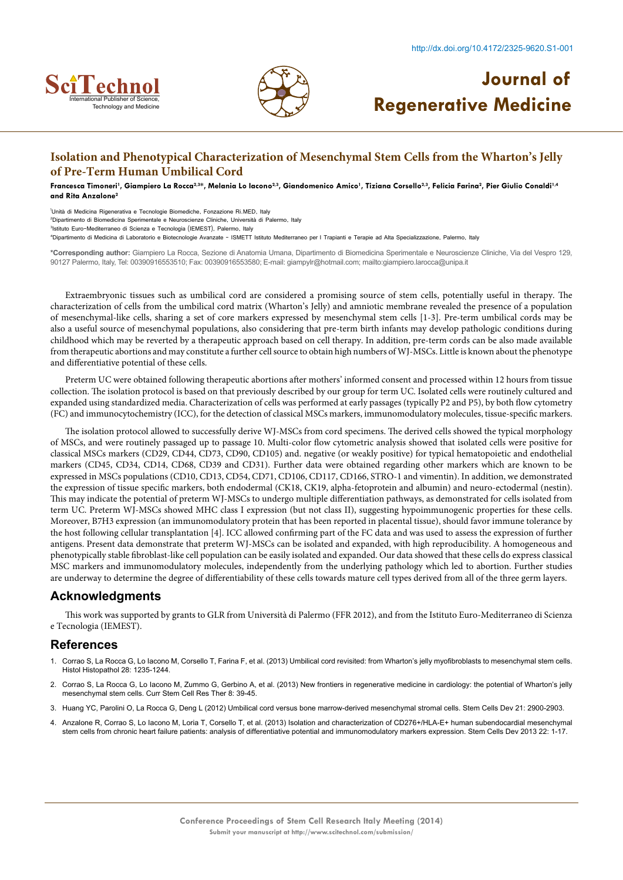



## **Isolation and Phenotypical Characterization of Mesenchymal Stem Cells from the Wharton's Jelly of Pre-Term Human Umbilical Cord**

Francesca Timoneri<sup>1</sup>, Giampiero La Rocca<sup>2,3</sup>\*, Melania Lo Iacono<sup>2,3</sup>, Giandomenico Amico<sup>1</sup>, Tiziana Corsello<sup>2,3</sup>, Felicia Farina<sup>2</sup>, Pier Giulio Conaldi<sup>1,4</sup> **and Rita Anzalone2**

1 Unità di Medicina Rigenerativa e Tecnologie Biomediche, Fonzazione Ri.MED, Italy 2 Dipartimento di Biomedicina Sperimentale e Neuroscienze Cliniche, Università di Palermo, Italy 3 Istituto Euro-Mediterraneo di Scienza e Tecnologia (IEMEST), Palermo, Italy

4 Dipartimento di Medicina di Laboratorio e Biotecnologie Avanzate – ISMETT Istituto Mediterraneo per I Trapianti e Terapie ad Alta Specializzazione, Palermo, Italy

**\*Corresponding author:** Giampiero La Rocca, Sezione di Anatomia Umana, Dipartimento di Biomedicina Sperimentale e Neuroscienze Cliniche, Via del Vespro 129, 90127 Palermo, Italy, Tel: 00390916553510; Fax: 00390916553580; E-mail: giampylr@hotmail.com; mailto:giampiero.larocca@unipa.it

Extraembryonic tissues such as umbilical cord are considered a promising source of stem cells, potentially useful in therapy. The characterization of cells from the umbilical cord matrix (Wharton's Jelly) and amniotic membrane revealed the presence of a population of mesenchymal-like cells, sharing a set of core markers expressed by mesenchymal stem cells [1-3]. Pre-term umbilical cords may be also a useful source of mesenchymal populations, also considering that pre-term birth infants may develop pathologic conditions during childhood which may be reverted by a therapeutic approach based on cell therapy. In addition, pre-term cords can be also made available from therapeutic abortions and may constitute a further cell source to obtain high numbers of WJ-MSCs. Little is known about the phenotype and differentiative potential of these cells.

Preterm UC were obtained following therapeutic abortions after mothers' informed consent and processed within 12 hours from tissue collection. The isolation protocol is based on that previously described by our group for term UC. Isolated cells were routinely cultured and expanded using standardized media. Characterization of cells was performed at early passages (typically P2 and P5), by both flow cytometry (FC) and immunocytochemistry (ICC), for the detection of classical MSCs markers, immunomodulatory molecules, tissue-specific markers.

The isolation protocol allowed to successfully derive WJ-MSCs from cord specimens. The derived cells showed the typical morphology of MSCs, and were routinely passaged up to passage 10. Multi-color flow cytometric analysis showed that isolated cells were positive for classical MSCs markers (CD29, CD44, CD73, CD90, CD105) and. negative (or weakly positive) for typical hematopoietic and endothelial markers (CD45, CD34, CD14, CD68, CD39 and CD31). Further data were obtained regarding other markers which are known to be expressed in MSCs populations (CD10, CD13, CD54, CD71, CD106, CD117, CD166, STRO-1 and vimentin). In addition, we demonstrated the expression of tissue specific markers, both endodermal (CK18, CK19, alpha-fetoprotein and albumin) and neuro-ectodermal (nestin). This may indicate the potential of preterm WJ-MSCs to undergo multiple differentiation pathways, as demonstrated for cells isolated from term UC. Preterm WJ-MSCs showed MHC class I expression (but not class II), suggesting hypoimmunogenic properties for these cells. Moreover, B7H3 expression (an immunomodulatory protein that has been reported in placental tissue), should favor immune tolerance by the host following cellular transplantation [4]. ICC allowed confirming part of the FC data and was used to assess the expression of further antigens. Present data demonstrate that preterm WJ-MSCs can be isolated and expanded, with high reproducibility. A homogeneous and phenotypically stable fibroblast-like cell population can be easily isolated and expanded. Our data showed that these cells do express classical MSC markers and immunomodulatory molecules, independently from the underlying pathology which led to abortion. Further studies are underway to determine the degree of differentiability of these cells towards mature cell types derived from all of the three germ layers.

### **Acknowledgments**

This work was supported by grants to GLR from Università di Palermo (FFR 2012), and from the Istituto Euro-Mediterraneo di Scienza e Tecnologia (IEMEST).

- 1. [Corrao S, La Rocca G, Lo Iacono M, Corsello T, Farina F, et al. \(2013\) Umbilical cord revisited: from Wharton's jelly myofibroblasts to mesenchymal stem cells.](http://www.hh.um.es/2013/HH_28_10_2013.htm) [Histol Histopathol 28: 1235-1244.](http://www.hh.um.es/2013/HH_28_10_2013.htm)
- 2. [Corrao S, La Rocca G, Lo Iacono M, Zummo G, Gerbino A, et al. \(2013\) New frontiers in regenerative medicine in cardiology: the potential of Wharton's jelly](https://books.google.co.in/books?isbn=149391118X) [mesenchymal stem cells. Curr Stem Cell Res Ther 8: 39-45.](https://books.google.co.in/books?isbn=149391118X)
- 3. [Huang YC, Parolini O, La Rocca G, Deng L \(2012\) Umbilical cord versus bone marrow-derived mesenchymal stromal cells. Stem Cells Dev 21: 2900-2903.](http://www.poliambulanza.it/sites/default/files/editor/3.pdf)
- 4. [Anzalone R, Corrao S, Lo Iacono M, Loria T, Corsello T, et al. \(2013\) Isolation and characterization of CD276+/HLA-E+ human subendocardial mesenchymal](http://www.ncbi.nlm.nih.gov/pubmed/23013234) [stem cells from chronic heart failure patients: analysis of differentiative potential and immunomodulatory markers expression. Stem Cells Dev 2013 22: 1-17.](http://www.ncbi.nlm.nih.gov/pubmed/23013234)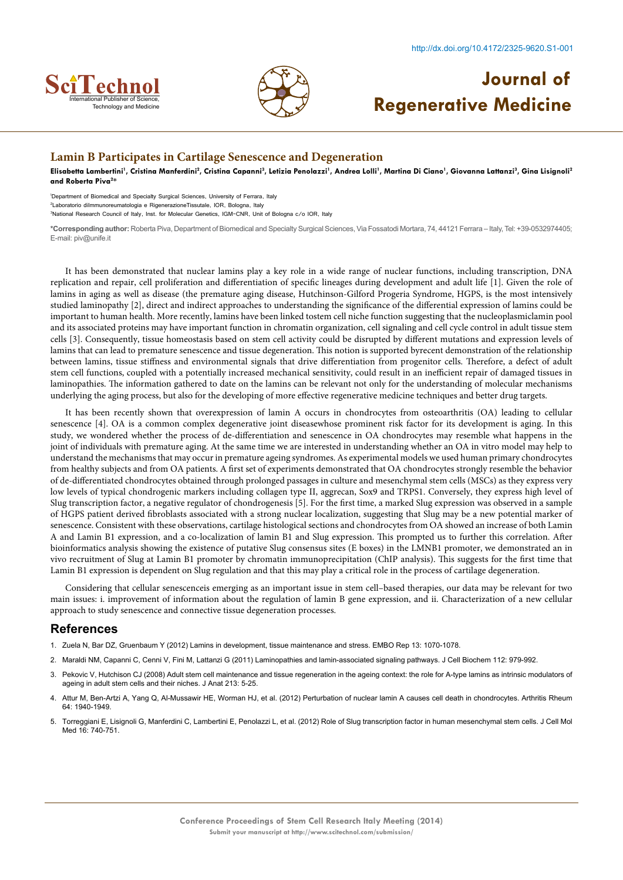



#### **Lamin B Participates in Cartilage Senescence and Degeneration**

Elisabetta Lambertini<sup>1</sup>, Cristina Manferdini<sup>2</sup>, Cristina Capanni<sup>3</sup>, Letizia Penolazzi<sup>1</sup>, Andrea Lolli<sup>1</sup>, Martina Di Ciano<sup>1</sup>, Giovanna Lattanzi<sup>3</sup>, Gina Lisignoli<sup>2</sup> **and Roberta Piva2 \***

1 Department of Biomedical and Specialty Surgical Sciences, University of Ferrara, Italy 2 Laboratorio diImmunoreumatologia e RigenerazioneTissutale, IOR, Bologna, Italy

3 National Research Council of Italy, Inst. for Molecular Genetics, IGM-CNR, Unit of Bologna c/o IOR, Italy

**\*Corresponding author:** Roberta Piva, Department of Biomedical and Specialty Surgical Sciences, Via Fossatodi Mortara, 74, 44121 Ferrara – Italy, Tel: +39-0532974405; E-mail: piv@unife.it

It has been demonstrated that nuclear lamins play a key role in a wide range of nuclear functions, including transcription, DNA replication and repair, cell proliferation and differentiation of specific lineages during development and adult life [1]. Given the role of lamins in aging as well as disease (the premature aging disease, Hutchinson-Gilford Progeria Syndrome, HGPS, is the most intensively studied laminopathy [2], direct and indirect approaches to understanding the significance of the differential expression of lamins could be important to human health. More recently, lamins have been linked tostem cell niche function suggesting that the nucleoplasmiclamin pool and its associated proteins may have important function in chromatin organization, cell signaling and cell cycle control in adult tissue stem cells [3]. Consequently, tissue homeostasis based on stem cell activity could be disrupted by different mutations and expression levels of lamins that can lead to premature senescence and tissue degeneration. This notion is supported byrecent demonstration of the relationship between lamins, tissue stiffness and environmental signals that drive differentiation from progenitor cells. Therefore, a defect of adult stem cell functions, coupled with a potentially increased mechanical sensitivity, could result in an inefficient repair of damaged tissues in laminopathies. The information gathered to date on the lamins can be relevant not only for the understanding of molecular mechanisms underlying the aging process, but also for the developing of more effective regenerative medicine techniques and better drug targets.

It has been recently shown that overexpression of lamin A occurs in chondrocytes from osteoarthritis (OA) leading to cellular senescence [4]. OA is a common complex degenerative joint diseasewhose prominent risk factor for its development is aging. In this study, we wondered whether the process of de-differentiation and senescence in OA chondrocytes may resemble what happens in the joint of individuals with premature aging. At the same time we are interested in understanding whether an OA in vitro model may help to understand the mechanisms that may occur in premature ageing syndromes. As experimental models we used human primary chondrocytes from healthy subjects and from OA patients. A first set of experiments demonstrated that OA chondrocytes strongly resemble the behavior of de-differentiated chondrocytes obtained through prolonged passages in culture and mesenchymal stem cells (MSCs) as they express very low levels of typical chondrogenic markers including collagen type II, aggrecan, Sox9 and TRPS1. Conversely, they express high level of Slug transcription factor, a negative regulator of chondrogenesis [5]. For the first time, a marked Slug expression was observed in a sample of HGPS patient derived fibroblasts associated with a strong nuclear localization, suggesting that Slug may be a new potential marker of senescence. Consistent with these observations, cartilage histological sections and chondrocytes from OA showed an increase of both Lamin A and Lamin B1 expression, and a co-localization of lamin B1 and Slug expression. This prompted us to further this correlation. After bioinformatics analysis showing the existence of putative Slug consensus sites (E boxes) in the LMNB1 promoter, we demonstrated an in vivo recruitment of Slug at Lamin B1 promoter by chromatin immunoprecipitation (ChIP analysis). This suggests for the first time that Lamin B1 expression is dependent on Slug regulation and that this may play a critical role in the process of cartilage degeneration.

Considering that cellular senescenceis emerging as an important issue in stem cell–based therapies, our data may be relevant for two main issues: i. improvement of information about the regulation of lamin B gene expression, and ii. Characterization of a new cellular approach to study senescence and connective tissue degeneration processes.

- 1. [Zuela N, Bar DZ, Gruenbaum Y \(2012\) Lamins in development, tissue maintenance and stress. EMBO Rep 13: 1070-1078.](http://onlinelibrary.wiley.com/doi/10.1038/embor.2012.167/full)
- 2. [Maraldi NM, Capanni C, Cenni V, Fini M, Lattanzi G \(2011\) Laminopathies and lamin-associated signaling pathways. J Cell Biochem 112: 979-992.](http://onlinelibrary.wiley.com/doi/10.1002/jcb.22992/abstract)
- 3. [Pekovic V, Hutchison CJ \(2008\) Adult stem cell maintenance and tissue regeneration in the ageing context: the role for A-type lamins as intrinsic modulators of](https://books.google.co.in/books?isbn=161779788X) [ageing in adult stem cells and their niches. J Anat 213: 5-25.](https://books.google.co.in/books?isbn=161779788X)
- 4. [Attur M, Ben-Artzi A, Yang Q, Al-Mussawir HE, Worman HJ, et al. \(2012\) Perturbation of nuclear lamin A causes cell death in chondrocytes. Arthritis Rheum](http://onlinelibrary.wiley.com/doi/10.1002/art.34360/full) [64: 1940-1949.](http://onlinelibrary.wiley.com/doi/10.1002/art.34360/full)
- 5. [Torreggiani E, Lisignoli G, Manferdini C, Lambertini E, Penolazzi L, et al. \(2012\) Role of Slug transcription factor in human mesenchymal stem cells. J Cell Mol](http://onlinelibrary.wiley.com/doi/10.1111/j.1582-4934.2011.01352.x/full) [Med 16: 740-751.](http://onlinelibrary.wiley.com/doi/10.1111/j.1582-4934.2011.01352.x/full)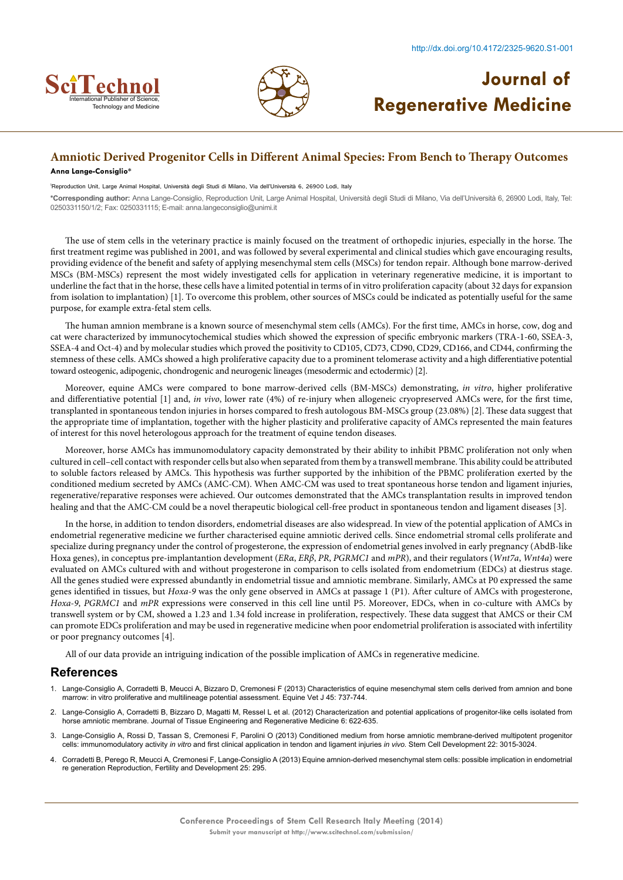



## **Amniotic Derived Progenitor Cells in Different Animal Species: From Bench to Therapy Outcomes**

#### **Anna Lange-Consiglio\***

1 Reproduction Unit, Large Animal Hospital, Università degli Studi di Milano, Via dell'Università 6, 26900 Lodi, Italy

**\*Corresponding author:** Anna Lange-Consiglio, Reproduction Unit, Large Animal Hospital, Università degli Studi di Milano, Via dell'Università 6, 26900 Lodi, Italy, Tel: 0250331150/1/2; Fax: 0250331115; E-mail: anna.langeconsiglio@unimi.it

The use of stem cells in the veterinary practice is mainly focused on the treatment of orthopedic injuries, especially in the horse. The first treatment regime was published in 2001, and was followed by several experimental and clinical studies which gave encouraging results, providing evidence of the benefit and safety of applying mesenchymal stem cells (MSCs) for tendon repair. Although bone marrow-derived MSCs (BM-MSCs) represent the most widely investigated cells for application in veterinary regenerative medicine, it is important to underline the fact that in the horse, these cells have a limited potential in terms of in vitro proliferation capacity (about 32 days for expansion from isolation to implantation) [1]. To overcome this problem, other sources of MSCs could be indicated as potentially useful for the same purpose, for example extra-fetal stem cells.

The human amnion membrane is a known source of mesenchymal stem cells (AMCs). For the first time, AMCs in horse, cow, dog and cat were characterized by immunocytochemical studies which showed the expression of specific embryonic markers (TRA-1-60, SSEA-3, SSEA-4 and Oct-4) and by molecular studies which proved the positivity to CD105, CD73, CD90, CD29, CD166, and CD44, confirming the stemness of these cells. AMCs showed a high proliferative capacity due to a prominent telomerase activity and a high differentiative potential toward osteogenic, adipogenic, chondrogenic and neurogenic lineages (mesodermic and ectodermic) [2].

Moreover, equine AMCs were compared to bone marrow-derived cells (BM-MSCs) demonstrating, *in vitro*, higher proliferative and differentiative potential [1] and, *in vivo*, lower rate (4%) of re-injury when allogeneic cryopreserved AMCs were, for the first time, transplanted in spontaneous tendon injuries in horses compared to fresh autologous BM-MSCs group (23.08%) [2]. These data suggest that the appropriate time of implantation, together with the higher plasticity and proliferative capacity of AMCs represented the main features of interest for this novel heterologous approach for the treatment of equine tendon diseases.

Moreover, horse AMCs has immunomodulatory capacity demonstrated by their ability to inhibit PBMC proliferation not only when cultured in cell–cell contact with responder cells but also when separated from them by a transwell membrane. This ability could be attributed to soluble factors released by AMCs. This hypothesis was further supported by the inhibition of the PBMC proliferation exerted by the conditioned medium secreted by AMCs (AMC-CM). When AMC-CM was used to treat spontaneous horse tendon and ligament injuries, regenerative/reparative responses were achieved. Our outcomes demonstrated that the AMCs transplantation results in improved tendon healing and that the AMC-CM could be a novel therapeutic biological cell-free product in spontaneous tendon and ligament diseases [3].

In the horse, in addition to tendon disorders, endometrial diseases are also widespread. In view of the potential application of AMCs in endometrial regenerative medicine we further characterised equine amniotic derived cells. Since endometrial stromal cells proliferate and specialize during pregnancy under the control of progesterone, the expression of endometrial genes involved in early pregnancy (AbdB-like Hoxa genes), in conceptus pre-implantantion development (*ERα*, *ERβ*, *PR*, *PGRMC1* and *mPR*), and their regulators (*Wnt7a*, *Wnt4a*) were evaluated on AMCs cultured with and without progesterone in comparison to cells isolated from endometrium (EDCs) at diestrus stage. All the genes studied were expressed abundantly in endometrial tissue and amniotic membrane. Similarly, AMCs at P0 expressed the same genes identified in tissues, but *Hoxa-9* was the only gene observed in AMCs at passage 1 (P1). After culture of AMCs with progesterone, *Hoxa-9*, *PGRMC1* and *mPR* expressions were conserved in this cell line until P5. Moreover, EDCs, when in co-culture with AMCs by transwell system or by CM, showed a 1.23 and 1.34 fold increase in proliferation, respectively. These data suggest that AMCS or their CM can promote EDCs proliferation and may be used in regenerative medicine when poor endometrial proliferation is associated with infertility or poor pregnancy outcomes [4].

All of our data provide an intriguing indication of the possible implication of AMCs in regenerative medicine.

- 1. [Lange-Consiglio A, Corradetti B, Meucci A, Bizzaro D, Cremonesi F \(2013\) Characteristics of equine mesenchymal stem cells derived from amnion and bone](http://stemcellres.com/content/5/1/25) [marrow: in vitro proliferative and multilineage potential assessment. Equine Vet J 45: 737-744.](http://stemcellres.com/content/5/1/25)
- [Lange-Consiglio A, Corradetti B, Bizzaro D, Magatti M, Ressel L et al. \(2012\) Characterization and potential applications of progenitor-like cells isolated from](http://onlinelibrary.wiley.com/doi/10.1002/term.465/abstract) [horse amniotic membrane. Journal of Tissue Engineering and Regenerative Medicine 6: 622-635.](http://onlinelibrary.wiley.com/doi/10.1002/term.465/abstract)
- 3. [Lange-Consiglio A, Rossi D, Tassan S, Cremonesi F, Parolini O \(2013\) Conditioned medium from horse amniotic membrane-derived multipotent progenitor](http://www.ncbi.nlm.nih.gov/pubmed/23795963) cells: immunomodulatory activity *in vitro* [and first clinical application in tendon and ligament injuries](http://www.ncbi.nlm.nih.gov/pubmed/23795963) *in vivo.* Stem Cell Development 22: 3015-3024.
- 4. [Corradetti B, Perego R, Meucci A, Cremonesi F, Lange-Consiglio A \(2013\) Equine amnion-derived mesenchymal stem cells: possible implication in endometrial](http://apps.nia.univpm.it/ugov/ugov-pubblicazioni.php?docente=BRUNA CORRADETTI&facolta=SCIENZE) [re generation Reproduction, Fertility and Development 25: 295.](http://apps.nia.univpm.it/ugov/ugov-pubblicazioni.php?docente=BRUNA CORRADETTI&facolta=SCIENZE)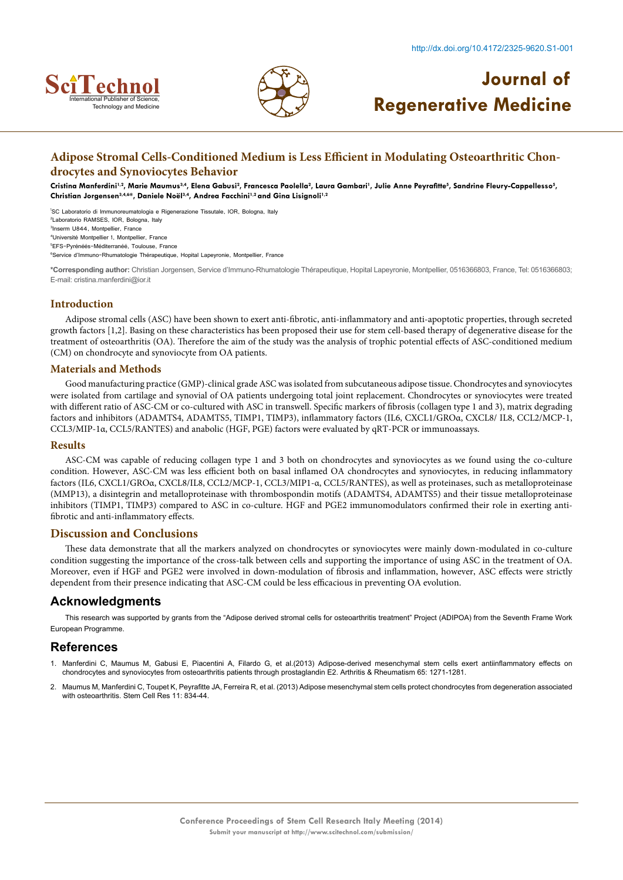



## **Adipose Stromal Cells-Conditioned Medium is Less Efficient in Modulating Osteoarthritic Chondrocytes and Synoviocytes Behavior**

Cristina Manferdini<sup>1,2</sup>, Marie Maumus<sup>3,4</sup>, Elena Gabusi<sup>2</sup>, Francesca Paolella<sup>2</sup>, Laura Gambari<sup>1</sup>, Julie Anne Peyrafitte<sup>5</sup>, Sandrine Fleury-Cappellesso<sup>5</sup>, Christian Jorgensen<sup>3,4,6\*</sup>, Daniele Noël<sup>3,4</sup>, Andrea Facchini<sup>1,2</sup> and Gina Lisignoli<sup>1,2</sup>

 SC Laboratorio di Immunoreumatologia e Rigenerazione Tissutale, IOR, Bologna, Italy Laboratorio RAMSES, IOR, Bologna, Italy Inserm U844, Montpellier, France Université Montpellier 1, Montpellier, France EFS-Pyrénéés-Méditerranéé, Toulouse, France Service d'Immuno-Rhumatologie Thérapeutique, Hopital Lapeyronie, Montpellier, France

**\*Corresponding author:** Christian Jorgensen, Service d'Immuno-Rhumatologie Thérapeutique, Hopital Lapeyronie, Montpellier, 0516366803, France, Tel: 0516366803; E-mail: cristina.manferdini@ior.it

#### **Introduction**

Adipose stromal cells (ASC) have been shown to exert anti-fibrotic, anti-inflammatory and anti-apoptotic properties, through secreted growth factors [1,2]. Basing on these characteristics has been proposed their use for stem cell-based therapy of degenerative disease for the treatment of osteoarthritis (OA). Therefore the aim of the study was the analysis of trophic potential effects of ASC-conditioned medium (CM) on chondrocyte and synoviocyte from OA patients.

#### **Materials and Methods**

Good manufacturing practice (GMP)-clinical grade ASC was isolated from subcutaneous adipose tissue. Chondrocytes and synoviocytes were isolated from cartilage and synovial of OA patients undergoing total joint replacement. Chondrocytes or synoviocytes were treated with different ratio of ASC-CM or co-cultured with ASC in transwell. Specific markers of fibrosis (collagen type 1 and 3), matrix degrading factors and inhibitors (ADAMTS4, ADAMTS5, TIMP1, TIMP3), inflammatory factors (IL6, CXCL1/GROα, CXCL8/ IL8, CCL2/MCP-1, CCL3/MIP-1α, CCL5/RANTES) and anabolic (HGF, PGE) factors were evaluated by qRT-PCR or immunoassays.

#### **Results**

ASC-CM was capable of reducing collagen type 1 and 3 both on chondrocytes and synoviocytes as we found using the co-culture condition. However, ASC-CM was less efficient both on basal inflamed OA chondrocytes and synoviocytes, in reducing inflammatory factors (IL6, CXCL1/GROα, CXCL8/IL8, CCL2/MCP-1, CCL3/MIP1-α, CCL5/RANTES), as well as proteinases, such as metalloproteinase (MMP13), a disintegrin and metalloproteinase with thrombospondin motifs (ADAMTS4, ADAMTS5) and their tissue metalloproteinase inhibitors (TIMP1, TIMP3) compared to ASC in co-culture. HGF and PGE2 immunomodulators confirmed their role in exerting antifibrotic and anti-inflammatory effects.

#### **Discussion and Conclusions**

These data demonstrate that all the markers analyzed on chondrocytes or synoviocytes were mainly down-modulated in co-culture condition suggesting the importance of the cross-talk between cells and supporting the importance of using ASC in the treatment of OA. Moreover, even if HGF and PGE2 were involved in down-modulation of fibrosis and inflammation, however, ASC effects were strictly dependent from their presence indicating that ASC-CM could be less efficacious in preventing OA evolution.

#### **Acknowledgments**

This research was supported by grants from the "Adipose derived stromal cells for osteoarthritis treatment" Project (ADIPOA) from the Seventh Frame Work European Programme.

- 1. [Manferdini C, Maumus M, Gabusi E, Piacentini A, Filardo G, et al.\(2013\) Adipose-derived mesenchymal stem cells exert antiinflammatory effects on](http://onlinelibrary.wiley.com/doi/10.1002/art.37908/fullhttp:/www.ncbi.nlm.nih.gov/pubmed/23613363) [chondrocytes and synoviocytes from osteoarthritis patients through prostaglandin E2. Arthritis & Rheumatism 65: 1271-1281.](http://onlinelibrary.wiley.com/doi/10.1002/art.37908/fullhttp:/www.ncbi.nlm.nih.gov/pubmed/23613363)
- 2. Maumus M, Manferdini C, Toupet K, Peyrafitte JA, Ferreira R, et al. [\(2013\) Adipose mesenchymal stem cells protect chondrocytes from degeneration associated](http://www.ncbi.nlm.nih.gov/pubmed/23811540http:/www.ncbi.nlm.nih.gov/pubmed/23811540) [with osteoarthritis. Stem Cell Res 11: 834-44.](http://www.ncbi.nlm.nih.gov/pubmed/23811540http:/www.ncbi.nlm.nih.gov/pubmed/23811540)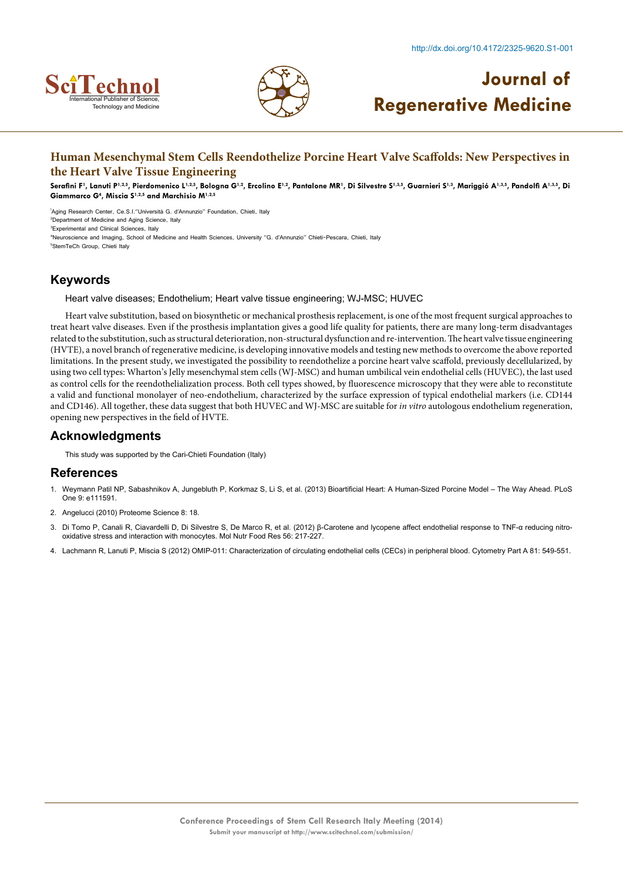



## **Human Mesenchymal Stem Cells Reendothelize Porcine Heart Valve Scaffolds: New Perspectives in the Heart Valve Tissue Engineering**

Serafini F<sup>1</sup>, Lanuti P<sup>1,2,5</sup>, Pierdomenico L<sup>1,2,5</sup>, Bologna G<sup>1,2</sup>, Ercolino E<sup>1,2</sup>, Pantalone MR<sup>1</sup>, Di Silvestre S<sup>1,3,5</sup>, Guarnieri S<sup>1,3</sup>, Mariggió A<sup>1,3,5</sup>, Pandolfi A<sup>1,3,5</sup>, Di **Giammarco G4 , Miscia S1,2,5 and Marchisio M1,2,5**

 Aging Research Center, Ce.S.I.''Università G. d'Annunzio'' Foundation, Chieti, Italy Department of Medicine and Aging Science, Italy Experimental and Clinical Sciences, Italy Neuroscience and Imaging, School of Medicine and Health Sciences, University ''G. d'Annunzio'' Chieti-Pescara, Chieti, Italy StemTeCh Group, Chieti Italy

## **Keywords**

Heart valve diseases; Endothelium; Heart valve tissue engineering; WJ-MSC; HUVEC

Heart valve substitution, based on biosynthetic or mechanical prosthesis replacement, is one of the most frequent surgical approaches to treat heart valve diseases. Even if the prosthesis implantation gives a good life quality for patients, there are many long-term disadvantages related to the substitution, such as structural deterioration, non-structural dysfunction and re-intervention. The heart valve tissue engineering (HVTE), a novel branch of regenerative medicine, is developing innovative models and testing new methods to overcome the above reported limitations. In the present study, we investigated the possibility to reendothelize a porcine heart valve scaffold, previously decellularized, by using two cell types: Wharton's Jelly mesenchymal stem cells (WJ-MSC) and human umbilical vein endothelial cells (HUVEC), the last used as control cells for the reendothelialization process. Both cell types showed, by fluorescence microscopy that they were able to reconstitute a valid and functional monolayer of neo-endothelium, characterized by the surface expression of typical endothelial markers (i.e. CD144 and CD146). All together, these data suggest that both HUVEC and WJ-MSC are suitable for *in vitro* autologous endothelium regeneration, opening new perspectives in the field of HVTE.

### **Acknowledgments**

This study was supported by the Cari-Chieti Foundation (Italy)

- 1. [Weymann Patil NP, Sabashnikov A, Jungebluth P, Korkmaz S, Li S, et al. \(2013\) Bioartificial Heart: A Human-Sized Porcine Model The Way Ahead. PLoS](http://www.ncbi.nlm.nih.gov/pmc/articles/PMC4218780/) [One 9: e111591.](http://www.ncbi.nlm.nih.gov/pmc/articles/PMC4218780/)
- 2. [Angelucci \(2010\) Proteome Science 8: 18.](http://www.proteomesci.com/content/8/1/18/table/T2)
- 3. Di Tomo P, Canali R, Ciavardelli D, Di Silvestre S, De Marco R, et al. [\(2012\) β-Carotene and lycopene affect endothelial response to TNF-α reducing nitro](http://www.hindawi.com/journals/mi/2014/139873/ref/)[oxidative stress and interaction with monocytes. Mol Nutr Food Res 56: 217-227.](http://www.hindawi.com/journals/mi/2014/139873/ref/)
- 4. [Lachmann R, Lanuti P, Miscia S \(2012\) OMIP-011: Characterization of circulating endothelial cells \(CECs\) in peripheral blood. Cytometry Part A 81: 549-551.](http://onlinelibrary.wiley.com/doi/10.1002/cyto.a.22071/full)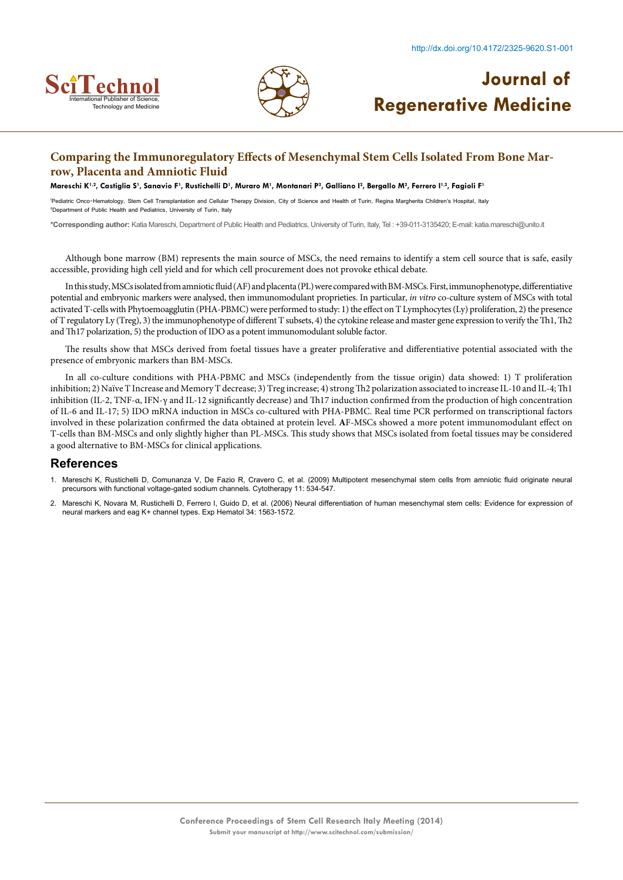



### **Comparing the Immunoregulatory Effects of Mesenchymal Stem Cells Isolated From Bone Marrow, Placenta and Amniotic Fluid**

Mareschi K<sup>1,2</sup>, Castiglia S<sup>1</sup>, Sanavio F<sup>1</sup>, Rustichelli D<sup>1</sup>, Muraro M<sup>1</sup>, Montanari P<sup>2</sup>, Galliano I<sup>2</sup>, Bergallo M<sup>2</sup>, Ferrero I<sup>1,2</sup>, Fagioli F<sup>1</sup>

1 Pediatric Onco-Hematology, Stem Cell Transplantation and Cellular Therapy Division, City of Science and Health of Turin, Regina Margherita Children's Hospital, Italy 2 Department of Public Health and Pediatrics, University of Turin, Italy

**\*Corresponding author:** Katia Mareschi, Department of Public Health and Pediatrics, University of Turin, Italy, Tel : +39-011-3135420; E-mail: katia.mareschi@unito.it

Although bone marrow (BM) represents the main source of MSCs, the need remains to identify a stem cell source that is safe, easily accessible, providing high cell yield and for which cell procurement does not provoke ethical debate.

In this study, MSCs isolated from amniotic fluid (AF) and placenta (PL) were compared with BM-MSCs. First, immunophenotype, differentiative potential and embryonic markers were analysed, then immunomodulant proprieties. In particular, *in vitro* co-culture system of MSCs with total activated T-cells with Phytoemoagglutin (PHA-PBMC) were performed to study: 1) the effect on T Lymphocytes (Ly) proliferation, 2) the presence of T regulatory Ly (Treg), 3) the immunophenotype of different T subsets, 4) the cytokine release and master gene expression to verify the Th1, Th2 and Th17 polarization, 5) the production of IDO as a potent immunomodulant soluble factor.

The results show that MSCs derived from foetal tissues have a greater proliferative and differentiative potential associated with the presence of embryonic markers than BM-MSCs.

In all co-culture conditions with PHA-PBMC and MSCs (independently from the tissue origin) data showed: 1) T proliferation inhibition; 2) Naïve T Increase and Memory T decrease; 3) Treg increase; 4) strong Th2 polarization associated to increase IL-10 and IL-4; Th1 inhibition (IL-2, TNF-α, IFN-γ and IL-12 significantly decrease) and Th17 induction confirmed from the production of high concentration of IL-6 and IL-17; 5) IDO mRNA induction in MSCs co-cultured with PHA-PBMC. Real time PCR performed on transcriptional factors involved in these polarization confirmed the data obtained at protein level. **A**F-MSCs showed a more potent immunomodulant effect on T-cells than BM-MSCs and only slightly higher than PL-MSCs. This study shows that MSCs isolated from foetal tissues may be considered a good alternative to BM-MSCs for clinical applications.

- 1. Mareschi K, Rustichelli D, Comunanza V, De Fazio R, Cravero C, et al. [\(2009\) Multipotent mesenchymal stem cells from amniotic fluid originate neural](http://www.celltherapyjournal.org/retrieve/pii/S1465324909703044) [precursors with functional voltage-gated sodium channels. Cytotherapy 11: 534-547.](http://www.celltherapyjournal.org/retrieve/pii/S1465324909703044)
- 2. [Mareschi K, Novara M, Rustichelli D, Ferrero I, Guido D, et al. \(2006\) Neural differentiation of human mesenchymal stem cells: Evidence for expression of](http://www.ncbi.nlm.nih.gov/pubmed/17046576) [neural markers and eag K+ channel types. Exp Hematol 34: 1563-1572.](http://www.ncbi.nlm.nih.gov/pubmed/17046576)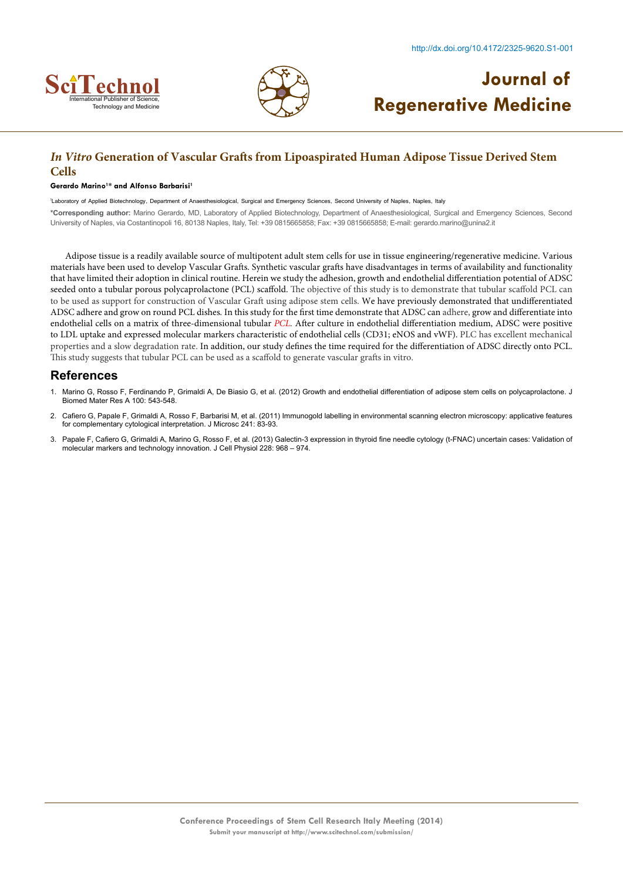



## *In Vitro* **Generation of Vascular Grafts from Lipoaspirated Human Adipose Tissue Derived Stem Cells**

#### **Gerardo Marino1 \* and Alfonso Barbarisi1**

<sup>1</sup>Laboratory of Applied Biotechnology, Department of Anaesthesiological, Surgical and Emergency Sciences, Second University of Naples, Naples, Italy **\*Corresponding author:** Marino Gerardo, MD, Laboratory of Applied Biotechnology, Department of Anaesthesiological, Surgical and Emergency Sciences, Second University of Naples, via Costantinopoli 16, 80138 Naples, Italy, Tel: +39 0815665858; Fax: +39 0815665858; E-mail: gerardo.marino@unina2.it

Adipose tissue is a readily available source of multipotent adult stem cells for use in tissue engineering/regenerative medicine. Various materials have been used to develop Vascular Grafts. Synthetic vascular grafts have disadvantages in terms of availability and functionality that have limited their adoption in clinical routine. Herein we study the adhesion, growth and endothelial differentiation potential of ADSC seeded onto a tubular porous polycaprolactone (PCL) scaffold. The objective of this study is to demonstrate that tubular scaffold PCL can to be used as support for construction of Vascular Graft using adipose stem cells. We have previously demonstrated that undifferentiated ADSC adhere and grow on round PCL dishes*.* In this study for the first time demonstrate that ADSC can adhere, grow and differentiate into endothelial cells on a matrix of three-dimensional tubular *PCL.* After culture in endothelial differentiation medium, ADSC were positive to LDL uptake and expressed molecular markers characteristic of endothelial cells (CD31; eNOS and vWF). PLC has excellent mechanical properties and a slow degradation rate. In addition, our study defines the time required for the differentiation of ADSC directly onto PCL. This study suggests that tubular PCL can be used as a scaffold to generate vascular grafts in vitro.

- 1. [Marino G, Rosso F, Ferdinando P, Grimaldi A, De Biasio G, et al. \(2012\) Growth and endothelial differentiation of adipose stem cells on polycaprolactone. J](http://www.ncbi.nlm.nih.gov/pubmed/22162251) [Biomed Mater Res A 100: 543-548.](http://www.ncbi.nlm.nih.gov/pubmed/22162251)
- 2. Cafiero G, Papale F, Grimaldi A, Rosso F, Barbarisi M, et al. [\(2011\) Immunogold labelling in environmental scanning electron microscopy: applicative features](http://www.ncbi.nlm.nih.gov/pubmed/21118204) [for complementary cytological interpretation. J Microsc 241: 83-93.](http://www.ncbi.nlm.nih.gov/pubmed/21118204)
- 3. [Papale F, Cafiero G, Grimaldi A, Marino G, Rosso F, et al. \(2013\) Galectin-3 expression in thyroid fine needle cytology \(t-FNAC\) uncertain cases: Validation of](http://www.ncbi.nlm.nih.gov/pubmed/23042505) [molecular markers and technology innovation. J Cell Physiol 228: 968 – 974.](http://www.ncbi.nlm.nih.gov/pubmed/23042505)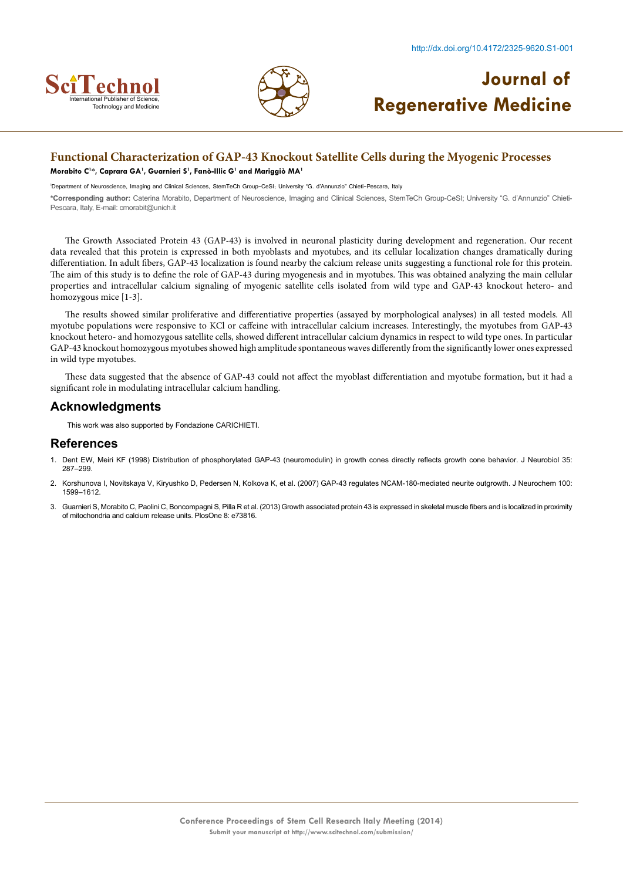



### **Functional Characterization of GAP-43 Knockout Satellite Cells during the Myogenic Processes**

#### **Morabito C1 \*, Caprara GA1 , Guarnieri S1 , Fanò-Illic G1 and Mariggiò MA1**

1 Department of Neuroscience, Imaging and Clinical Sciences, StemTeCh Group-CeSI; University "G. d'Annunzio" Chieti-Pescara, Italy

**\*Corresponding author:** Caterina Morabito, Department of Neuroscience, Imaging and Clinical Sciences, StemTeCh Group-CeSI; University "G. d'Annunzio" Chieti-Pescara, Italy, E-mail: cmorabit@unich.it

The Growth Associated Protein 43 (GAP-43) is involved in neuronal plasticity during development and regeneration. Our recent data revealed that this protein is expressed in both myoblasts and myotubes, and its cellular localization changes dramatically during differentiation. In adult fibers, GAP-43 localization is found nearby the calcium release units suggesting a functional role for this protein. The aim of this study is to define the role of GAP-43 during myogenesis and in myotubes. This was obtained analyzing the main cellular properties and intracellular calcium signaling of myogenic satellite cells isolated from wild type and GAP-43 knockout hetero- and homozygous mice [1-3].

The results showed similar proliferative and differentiative properties (assayed by morphological analyses) in all tested models. All myotube populations were responsive to KCl or caffeine with intracellular calcium increases. Interestingly, the myotubes from GAP-43 knockout hetero- and homozygous satellite cells, showed different intracellular calcium dynamics in respect to wild type ones. In particular GAP-43 knockout homozygous myotubes showed high amplitude spontaneous waves differently from the significantly lower ones expressed in wild type myotubes.

These data suggested that the absence of GAP-43 could not affect the myoblast differentiation and myotube formation, but it had a significant role in modulating intracellular calcium handling.

### **Acknowledgments**

This work was also supported by Fondazione CARICHIETI.

- 1. [Dent EW, Meiri KF \(1998\) Distribution of phosphorylated GAP-43 \(neuromodulin\) in growth cones directly reflects growth cone behavior. J Neurobiol 35:](http://www.ncbi.nlm.nih.gov/pubmed/9622012) [287–299.](http://www.ncbi.nlm.nih.gov/pubmed/9622012)
- 2. [Korshunova I, Novitskaya V, Kiryushko D, Pedersen N, Kolkova K, et al. \(2007\) GAP-43 regulates NCAM-180-mediated neurite outgrowth. J Neurochem 100:](http://www.ncbi.nlm.nih.gov/pubmed/17212696) [1599–1612.](http://www.ncbi.nlm.nih.gov/pubmed/17212696)
- 3. [Guarnieri S, Morabito C, Paolini C, Boncompagni S, Pilla R et al. \(2013\) Growth associated protein 43 is expressed in skeletal muscle fibers and is localized in proximity](http://www.ncbi.nlm.nih.gov/pubmed/23308181) [of mitochondria and calcium release units. PlosOne 8: e73816.](http://www.ncbi.nlm.nih.gov/pubmed/23308181)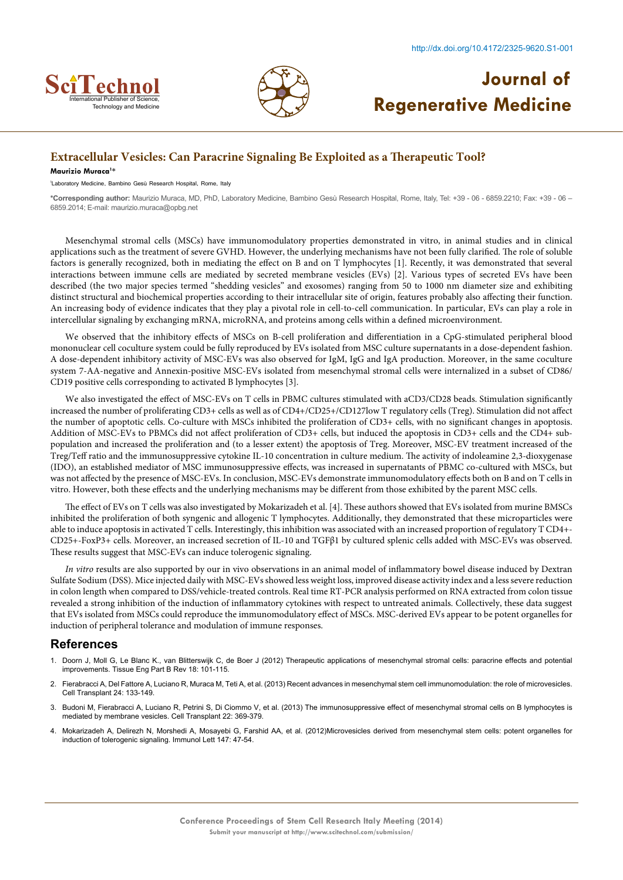



## **Extracellular Vesicles: Can Paracrine Signaling Be Exploited as a Therapeutic Tool?**

#### **Maurizio Muraca1 \***

1 Laboratory Medicine, Bambino Gesù Research Hospital, Rome, Italy

**\*Corresponding author:** Maurizio Muraca, MD, PhD, Laboratory Medicine, Bambino Gesù Research Hospital, Rome, Italy, Tel: +39 - 06 - 6859.2210; Fax: +39 - 06 – 6859.2014; E-mail: maurizio.muraca@opbg.net

Mesenchymal stromal cells (MSCs) have immunomodulatory properties demonstrated in vitro, in animal studies and in clinical applications such as the treatment of severe GVHD. However, the underlying mechanisms have not been fully clarified. The role of soluble factors is generally recognized, both in mediating the effect on B and on T lymphocytes [1]. Recently, it was demonstrated that several interactions between immune cells are mediated by secreted membrane vesicles (EVs) [2]. Various types of secreted EVs have been described (the two major species termed "shedding vesicles" and exosomes) ranging from 50 to 1000 nm diameter size and exhibiting distinct structural and biochemical properties according to their intracellular site of origin, features probably also affecting their function. An increasing body of evidence indicates that they play a pivotal role in cell-to-cell communication. In particular, EVs can play a role in intercellular signaling by exchanging mRNA, microRNA, and proteins among cells within a defined microenvironment.

We observed that the inhibitory effects of MSCs on B-cell proliferation and differentiation in a CpG-stimulated peripheral blood mononuclear cell coculture system could be fully reproduced by EVs isolated from MSC culture supernatants in a dose-dependent fashion. A dose-dependent inhibitory activity of MSC-EVs was also observed for IgM, IgG and IgA production. Moreover, in the same coculture system 7-AA-negative and Annexin-positive MSC-EVs isolated from mesenchymal stromal cells were internalized in a subset of CD86/ CD19 positive cells corresponding to activated B lymphocytes [3].

We also investigated the effect of MSC-EVs on T cells in PBMC cultures stimulated with aCD3/CD28 beads. Stimulation significantly increased the number of proliferating CD3+ cells as well as of CD4+/CD25+/CD127low T regulatory cells (Treg). Stimulation did not affect the number of apoptotic cells. Co-culture with MSCs inhibited the proliferation of CD3+ cells, with no significant changes in apoptosis. Addition of MSC-EVs to PBMCs did not affect proliferation of CD3+ cells, but induced the apoptosis in CD3+ cells and the CD4+ subpopulation and increased the proliferation and (to a lesser extent) the apoptosis of Treg. Moreover, MSC-EV treatment increased of the Treg/Teff ratio and the immunosuppressive cytokine IL-10 concentration in culture medium. The activity of indoleamine 2,3-dioxygenase (IDO), an established mediator of MSC immunosuppressive effects, was increased in supernatants of PBMC co-cultured with MSCs, but was not affected by the presence of MSC-EVs. In conclusion, MSC-EVs demonstrate immunomodulatory effects both on B and on T cells in vitro. However, both these effects and the underlying mechanisms may be different from those exhibited by the parent MSC cells.

The effect of EVs on T cells was also investigated by Mokarizadeh et al. [4]. These authors showed that EVs isolated from murine BMSCs inhibited the proliferation of both syngenic and allogenic T lymphocytes. Additionally, they demonstrated that these microparticles were able to induce apoptosis in activated T cells. Interestingly, this inhibition was associated with an increased proportion of regulatory T CD4+- CD25+-FoxP3+ cells. Moreover, an increased secretion of IL-10 and TGFβ1 by cultured splenic cells added with MSC-EVs was observed. These results suggest that MSC-EVs can induce tolerogenic signaling.

*In vitro* results are also supported by our in vivo observations in an animal model of inflammatory bowel disease induced by Dextran Sulfate Sodium (DSS). Mice injected daily with MSC-EVs showed less weight loss, improved disease activity index and a less severe reduction in colon length when compared to DSS/vehicle-treated controls. Real time RT-PCR analysis performed on RNA extracted from colon tissue revealed a strong inhibition of the induction of inflammatory cytokines with respect to untreated animals. Collectively, these data suggest that EVs isolated from MSCs could reproduce the immunomodulatory effect of MSCs. MSC-derived EVs appear to be potent organelles for induction of peripheral tolerance and modulation of immune responses.

- 1. [Doorn J, Moll G, Le Blanc K., van Blitterswijk C, de Boer J \(2012\) Therapeutic applications of mesenchymal stromal cells: paracrine effects and potential](http://www.ncbi.nlm.nih.gov/pubmed/21995703) [improvements. Tissue Eng Part B Rev 18: 101-115.](http://www.ncbi.nlm.nih.gov/pubmed/21995703)
- 2. [Fierabracci A, Del Fattore A, Luciano R, Muraca M, Teti A, et al. \(2013\) Recent advances in mesenchymal stem cell immunomodulation: the role of microvesicles.](http://www.ncbi.nlm.nih.gov/pubmed/24268069) [Cell Transplant 24: 133-149.](http://www.ncbi.nlm.nih.gov/pubmed/24268069)
- 3. [Budoni M, Fierabracci A, Luciano R, Petrini S, Di Ciommo V, et al. \(2013\) The immunosuppressive effect of mesenchymal stromal cells on B lymphocytes is](http://www.ncbi.nlm.nih.gov/pubmed/23433427) [mediated by membrane vesicles. Cell Transplant 22: 369-379.](http://www.ncbi.nlm.nih.gov/pubmed/23433427)
- 4. [Mokarizadeh A, Delirezh N, Morshedi A, Mosayebi G, Farshid AA, et al. \(2012\)Microvesicles derived from mesenchymal stem cells: potent organelles for](http://www.ncbi.nlm.nih.gov/pubmed/22705267) [induction of tolerogenic signaling. Immunol Lett 147: 47-54.](http://www.ncbi.nlm.nih.gov/pubmed/22705267)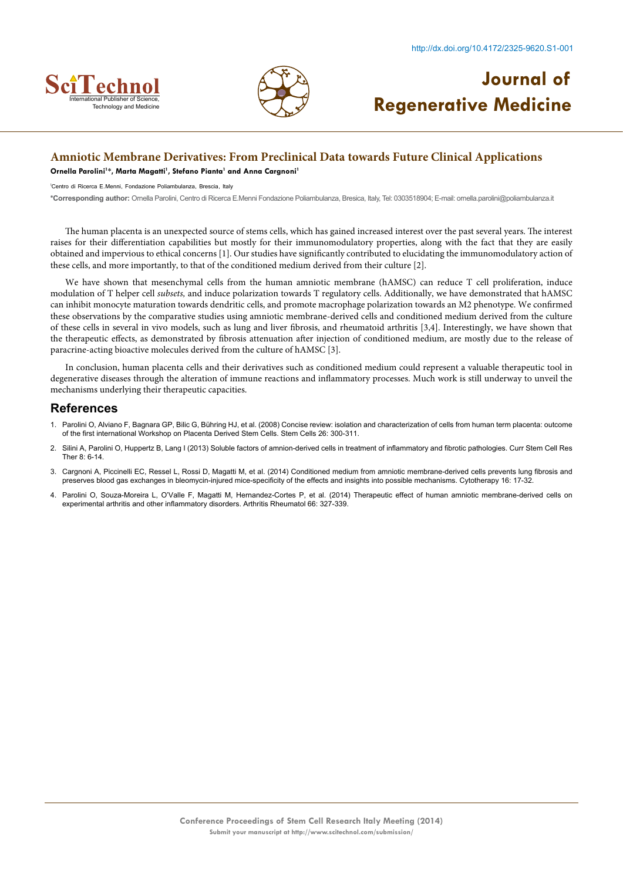



### **Amniotic Membrane Derivatives: From Preclinical Data towards Future Clinical Applications**

**Ornella Parolini1 \*, Marta Magatti1 , Stefano Pianta1 and Anna Cargnoni1**

1 Centro di Ricerca E.Menni, Fondazione Poliambulanza, Brescia, Italy

**\*Corresponding author:** Ornella Parolini, Centro di Ricerca E.Menni Fondazione Poliambulanza, Bresica, Italy, Tel: 0303518904; E-mail: ornella.parolini@poliambulanza.it

The human placenta is an unexpected source of stems cells, which has gained increased interest over the past several years. The interest raises for their differentiation capabilities but mostly for their immunomodulatory properties, along with the fact that they are easily obtained and impervious to ethical concerns [1]. Our studies have significantly contributed to elucidating the immunomodulatory action of these cells, and more importantly, to that of the conditioned medium derived from their culture [2].

We have shown that mesenchymal cells from the human amniotic membrane (hAMSC) can reduce T cell proliferation, induce modulation of T helper cell *subsets,* and induce polarization towards T regulatory cells. Additionally, we have demonstrated that hAMSC can inhibit monocyte maturation towards dendritic cells, and promote macrophage polarization towards an M2 phenotype. We confirmed these observations by the comparative studies using amniotic membrane-derived cells and conditioned medium derived from the culture of these cells in several in vivo models, such as lung and liver fibrosis, and rheumatoid arthritis [3,4]. Interestingly, we have shown that the therapeutic effects, as demonstrated by fibrosis attenuation after injection of conditioned medium, are mostly due to the release of paracrine-acting bioactive molecules derived from the culture of hAMSC [3].

In conclusion, human placenta cells and their derivatives such as conditioned medium could represent a valuable therapeutic tool in degenerative diseases through the alteration of immune reactions and inflammatory processes. Much work is still underway to unveil the mechanisms underlying their therapeutic capacities.

- 1. [Parolini O, Alviano F, Bagnara GP, Bilic G, Bühring HJ, et al. \(2008\) Concise review: isolation and characterization of cells from human term placenta: outcome](http://www.ncbi.nlm.nih.gov/pubmed/17975221) [of the first international Workshop on Placenta Derived Stem Cells. Stem Cells 26: 300-311.](http://www.ncbi.nlm.nih.gov/pubmed/17975221)
- 2. [Silini A, Parolini O, Huppertz B, Lang I \(2013\) Soluble factors of amnion-derived cells in treatment of inflammatory and fibrotic pathologies. Curr Stem Cell Res](http://www.ncbi.nlm.nih.gov/pubmed/23270631) [Ther 8: 6-14.](http://www.ncbi.nlm.nih.gov/pubmed/23270631)
- 3. Cargnoni A, Piccinelli EC, Ressel L, Rossi D, Magatti M, et al. [\(2014\) Conditioned medium from amniotic membrane-derived cells prevents lung fibrosis and](http://www.ncbi.nlm.nih.gov/pubmed/24094500) [preserves blood gas exchanges in bleomycin-injured mice-specificity of the effects and insights into possible mechanisms. Cytotherapy 16: 17-32.](http://www.ncbi.nlm.nih.gov/pubmed/24094500)
- 4. [Parolini O, Souza-Moreira L, O'Valle F, Magatti M, Hernandez-Cortes P, et al. \(2014\) Therapeutic effect of human amniotic membrane-derived cells on](http://www.ncbi.nlm.nih.gov/pubmed/24504805) [experimental arthritis and other inflammatory disorders. Arthritis Rheumatol 66: 327-339.](http://www.ncbi.nlm.nih.gov/pubmed/24504805)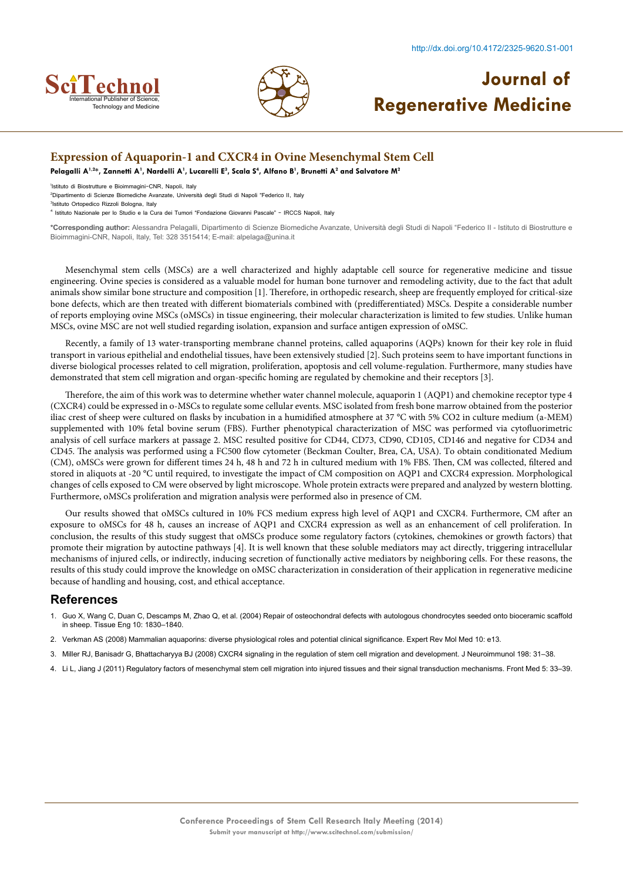



### **Expression of Aquaporin-1 and CXCR4 in Ovine Mesenchymal Stem Cell**

**Pelagalli A1,2\*, Zannetti A1 , Nardelli A1 , Lucarelli E3 , Scala S4 , Alfano B1 , Brunetti A2 and Salvatore M2**

1 Istituto di Biostrutture e Bioimmagini-CNR, Napoli, Italy

2 Dipartimento di Scienze Biomediche Avanzate, Università degli Studi di Napoli "Federico II, Italy

3 Istituto Ortopedico Rizzoli Bologna, Italy 4 Istituto Nazionale per lo Studio e la Cura dei Tumori "Fondazione Giovanni Pascale" - IRCCS Napoli, Italy

**\*Corresponding author:** Alessandra Pelagalli, Dipartimento di Scienze Biomediche Avanzate, Università degli Studi di Napoli "Federico II - Istituto di Biostrutture e Bioimmagini-CNR, Napoli, Italy, Tel: 328 3515414; E-mail: alpelaga@unina.it

Mesenchymal stem cells (MSCs) are a well characterized and highly adaptable cell source for regenerative medicine and tissue engineering. Ovine species is considered as a valuable model for human bone turnover and remodeling activity, due to the fact that adult animals show similar bone structure and composition [1]. Therefore, in orthopedic research, sheep are frequently employed for critical-size bone defects, which are then treated with different biomaterials combined with (predifferentiated) MSCs. Despite a considerable number of reports employing ovine MSCs (oMSCs) in tissue engineering, their molecular characterization is limited to few studies. Unlike human MSCs, ovine MSC are not well studied regarding isolation, expansion and surface antigen expression of oMSC.

Recently, a family of 13 water-transporting membrane channel proteins, called aquaporins (AQPs) known for their key role in fluid transport in various epithelial and endothelial tissues, have been extensively studied [2]. Such proteins seem to have important functions in diverse biological processes related to cell migration, proliferation, apoptosis and cell volume-regulation. Furthermore, many studies have demonstrated that stem cell migration and organ-specific homing are regulated by chemokine and their receptors [3].

Therefore, the aim of this work was to determine whether water channel molecule, aquaporin 1 (AQP1) and chemokine receptor type 4 (CXCR4) could be expressed in o-MSCs to regulate some cellular events. MSC isolated from fresh bone marrow obtained from the posterior iliac crest of sheep were cultured on flasks by incubation in a humidified atmosphere at 37 °C with 5% CO2 in culture medium (a-MEM) supplemented with 10% fetal bovine serum (FBS). Further phenotypical characterization of MSC was performed via cytofluorimetric analysis of cell surface markers at passage 2. MSC resulted positive for CD44, CD73, CD90, CD105, CD146 and negative for CD34 and CD45. The analysis was performed using a FC500 flow cytometer (Beckman Coulter, Brea, CA, USA). To obtain conditionated Medium (CM), oMSCs were grown for different times 24 h, 48 h and 72 h in cultured medium with 1% FBS. Then, CM was collected, filtered and stored in aliquots at -20 °C until required, to investigate the impact of CM composition on AQP1 and CXCR4 expression. Morphological changes of cells exposed to CM were observed by light microscope. Whole protein extracts were prepared and analyzed by western blotting. Furthermore, oMSCs proliferation and migration analysis were performed also in presence of CM.

Our results showed that oMSCs cultured in 10% FCS medium express high level of AQP1 and CXCR4. Furthermore, CM after an exposure to oMSCs for 48 h, causes an increase of AQP1 and CXCR4 expression as well as an enhancement of cell proliferation. In conclusion, the results of this study suggest that oMSCs produce some regulatory factors (cytokines, chemokines or growth factors) that promote their migration by autoctine pathways [4]. It is well known that these soluble mediators may act directly, triggering intracellular mechanisms of injured cells, or indirectly, inducing secretion of functionally active mediators by neighboring cells. For these reasons, the results of this study could improve the knowledge on oMSC characterization in consideration of their application in regenerative medicine because of handling and housing, cost, and ethical acceptance.

- 1. Guo X, Wang C, Duan C, Descamps M, Zhao Q, et al. (2004) Repair of osteochondral defects with autologous chondrocytes seeded onto bioceramic scaffold in sheep. Tissue Eng 10: 1830–1840.
- 2. [Verkman AS \(2008\) Mammalian aquaporins: diverse physiological roles and potential clinical significance. Expert Rev Mol Med 10: e13.](http://www.ncbi.nlm.nih.gov/pubmed/18482462)
- 3. [Miller RJ, Banisadr G, Bhattacharyya BJ \(2008\) CXCR4 signaling in the regulation of stem cell migration and development. J Neuroimmunol 198: 31–38.](http://www.ncbi.nlm.nih.gov/pubmed/18508132)
- 4. [Li L, Jiang J \(2011\) Regulatory factors of mesenchymal stem cell migration into injured tissues and their signal transduction mechanisms. Front Med 5: 33–39.](http://www.ncbi.nlm.nih.gov/pubmed/21681672)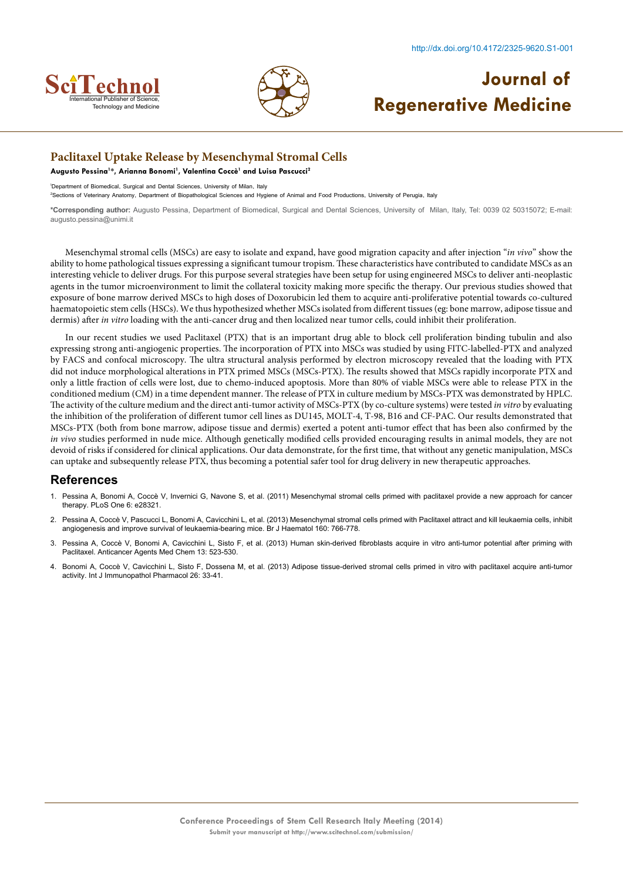



### **Paclitaxel Uptake Release by Mesenchymal Stromal Cells**

**Augusto Pessina1 \*, Arianna Bonomi1 , Valentina Coccè1 and Luisa Pascucci2**

1 Department of Biomedical, Surgical and Dental Sciences, University of Milan, Italy

2 Sections of Veterinary Anatomy, Department of Biopathological Sciences and Hygiene of Animal and Food Productions, University of Perugia, Italy

**\*Corresponding author:** Augusto Pessina, Department of Biomedical, Surgical and Dental Sciences, University of Milan, Italy, Tel: 0039 02 50315072; E-mail: augusto.pessina@unimi.it

Mesenchymal stromal cells (MSCs) are easy to isolate and expand, have good migration capacity and after injection "*in vivo*" show the ability to home pathological tissues expressing a significant tumour tropism. These characteristics have contributed to candidate MSCs as an interesting vehicle to deliver drugs. For this purpose several strategies have been setup for using engineered MSCs to deliver anti-neoplastic agents in the tumor microenvironment to limit the collateral toxicity making more specific the therapy. Our previous studies showed that exposure of bone marrow derived MSCs to high doses of Doxorubicin led them to acquire anti-proliferative potential towards co-cultured haematopoietic stem cells (HSCs). We thus hypothesized whether MSCs isolated from different tissues (eg: bone marrow, adipose tissue and dermis) after *in vitro* loading with the anti-cancer drug and then localized near tumor cells, could inhibit their proliferation.

In our recent studies we used Paclitaxel (PTX) that is an important drug able to block cell proliferation binding tubulin and also expressing strong anti-angiogenic properties. The incorporation of PTX into MSCs was studied by using FITC-labelled-PTX and analyzed by FACS and confocal microscopy. The ultra structural analysis performed by electron microscopy revealed that the loading with PTX did not induce morphological alterations in PTX primed MSCs (MSCs-PTX). The results showed that MSCs rapidly incorporate PTX and only a little fraction of cells were lost, due to chemo-induced apoptosis. More than 80% of viable MSCs were able to release PTX in the conditioned medium (CM) in a time dependent manner. The release of PTX in culture medium by MSCs-PTX was demonstrated by HPLC. The activity of the culture medium and the direct anti-tumor activity of MSCs-PTX (by co-culture systems) were tested *in vitro* by evaluating the inhibition of the proliferation of different tumor cell lines as DU145, MOLT-4, T-98, B16 and CF-PAC. Our results demonstrated that MSCs-PTX (both from bone marrow, adipose tissue and dermis) exerted a potent anti-tumor effect that has been also confirmed by the *in vivo* studies performed in nude mice. Although genetically modified cells provided encouraging results in animal models, they are not devoid of risks if considered for clinical applications. Our data demonstrate, for the first time, that without any genetic manipulation, MSCs can uptake and subsequently release PTX, thus becoming a potential safer tool for drug delivery in new therapeutic approaches.

- 1. [Pessina A, Bonomi A, Coccè V, Invernici G, Navone S, et al. \(2011\) Mesenchymal stromal cells primed with paclitaxel provide a new approach for cancer](http://www.ncbi.nlm.nih.gov/pubmed/22205945) [therapy. PLoS One 6: e28321.](http://www.ncbi.nlm.nih.gov/pubmed/22205945)
- 2. [Pessina A, Coccè V, Pascucci L, Bonomi A, Cavicchini L, et al. \(2013\) Mesenchymal stromal cells primed with Paclitaxel attract and kill leukaemia cells, inhibit](http://www.ncbi.nlm.nih.gov/pubmed/23293837) [angiogenesis and improve survival of leukaemia-bearing mice. Br J Haematol 160: 766-778.](http://www.ncbi.nlm.nih.gov/pubmed/23293837)
- 3. Pessina A, Coccè V, Bonomi A, Cavicchini L, Sisto F, et al. [\(2013\) Human skin-derived fibroblasts acquire in vitro anti-tumor potential after priming with](http://www.ncbi.nlm.nih.gov/pubmed/22931415) [Paclitaxel. Anticancer Agents Med Chem 13: 523-530.](http://www.ncbi.nlm.nih.gov/pubmed/22931415)
- 4. [Bonomi A, Coccè V, Cavicchini L, Sisto F, Dossena M, et al. \(2013\) Adipose tissue-derived stromal cells primed in vitro with paclitaxel acquire anti-tumor](http://www.ncbi.nlm.nih.gov/pubmed/24046947) [activity. Int J Immunopathol Pharmacol 26: 33-41.](http://www.ncbi.nlm.nih.gov/pubmed/24046947)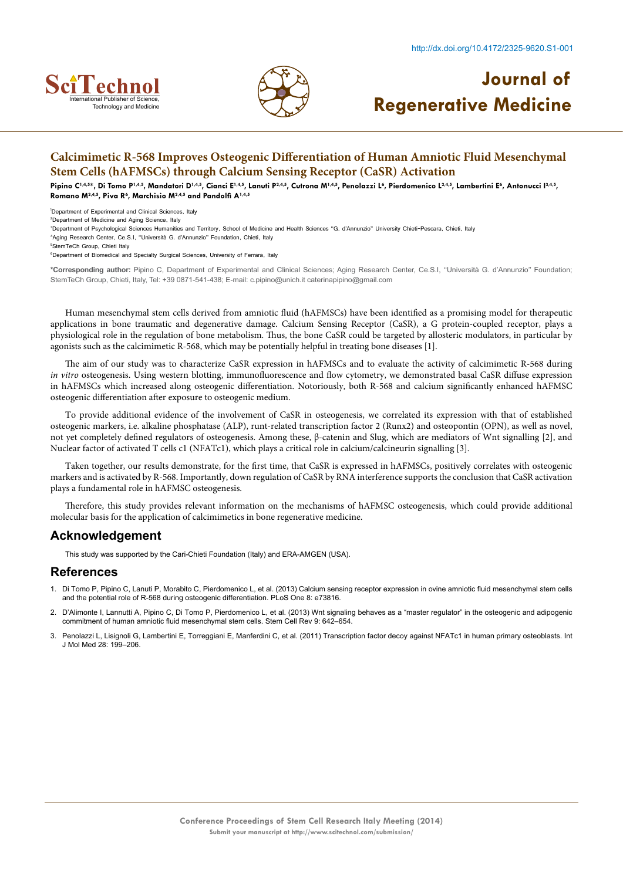





### **Calcimimetic R-568 Improves Osteogenic Differentiation of Human Amniotic Fluid Mesenchymal Stem Cells (hAFMSCs) through Calcium Sensing Receptor (CaSR) Activation**

Pipino C<sup>1,4,5</sup>\*, Di Tomo P<sup>1,4,5</sup>, Mandatori D<sup>1,4,5</sup>, Cianci E<sup>1,4,5</sup>, Lanuti P<sup>2,4,5</sup>, Cutrona M<sup>1,4,5</sup>, Penolazzi L<sup>6</sup>, Pierdomenico L<sup>2,4,5</sup>, Lambertini E<sup>6</sup>, Antonucci I<sup>3,4,5</sup>, **Romano M2,4,5, Piva R6 , Marchisio M2,4,5 and Pandolfi A1,4,5**

1 Department of Experimental and Clinical Sciences, Italy

2 Department of Medicine and Aging Science, Italy

3 Department of Psychological Sciences Humanities and Territory, School of Medicine and Health Sciences ''G. d'Annunzio'' University Chieti-Pescara, Chieti, Italy

4 Aging Research Center, Ce.S.I, ''Università G. d'Annunzio'' Foundation, Chieti, Italy

5 StemTeCh Group, Chieti Italy

<sup>6</sup>Department of Biomedical and Specialty Surgical Sciences, University of Ferrara, Italy

**\*Corresponding author:** Pipino C, Department of Experimental and Clinical Sciences; Aging Research Center, Ce.S.I, ''Università G. d'Annunzio'' Foundation; StemTeCh Group, Chieti, Italy, Tel: +39 0871-541-438; E-mail: c.pipino@unich.it caterinapipino@gmail.com

Human mesenchymal stem cells derived from amniotic fluid (hAFMSCs) have been identified as a promising model for therapeutic applications in bone traumatic and degenerative damage. Calcium Sensing Receptor (CaSR), a G protein-coupled receptor, plays a physiological role in the regulation of bone metabolism. Thus, the bone CaSR could be targeted by allosteric modulators, in particular by agonists such as the calcimimetic R-568, which may be potentially helpful in treating bone diseases [1].

The aim of our study was to characterize CaSR expression in hAFMSCs and to evaluate the activity of calcimimetic R-568 during *in vitro* osteogenesis. Using western blotting, immunofluorescence and flow cytometry, we demonstrated basal CaSR diffuse expression in hAFMSCs which increased along osteogenic differentiation. Notoriously, both R-568 and calcium significantly enhanced hAFMSC osteogenic differentiation after exposure to osteogenic medium.

To provide additional evidence of the involvement of CaSR in osteogenesis, we correlated its expression with that of established osteogenic markers, i.e. alkaline phosphatase (ALP), runt-related transcription factor 2 (Runx2) and osteopontin (OPN), as well as novel, not yet completely defined regulators of osteogenesis. Among these, β-catenin and Slug, which are mediators of Wnt signalling [2], and Nuclear factor of activated T cells c1 (NFATc1), which plays a critical role in calcium/calcineurin signalling [3].

Taken together, our results demonstrate, for the first time, that CaSR is expressed in hAFMSCs, positively correlates with osteogenic markers and is activated by R-568. Importantly, down regulation of CaSR by RNA interference supports the conclusion that CaSR activation plays a fundamental role in hAFMSC osteogenesis.

Therefore, this study provides relevant information on the mechanisms of hAFMSC osteogenesis, which could provide additional molecular basis for the application of calcimimetics in bone regenerative medicine.

#### **Acknowledgement**

This study was supported by the Cari-Chieti Foundation (Italy) and ERA-AMGEN (USA).

- 1. [Di Tomo P, Pipino C, Lanuti P, Morabito C, Pierdomenico L, et al. \(2013\) Calcium sensing receptor expression in ovine amniotic fluid mesenchymal stem cells](http://www.ncbi.nlm.nih.gov/pubmed/24040082) [and the potential role of R-568 during osteogenic differentiation. PLoS One 8: e73816.](http://www.ncbi.nlm.nih.gov/pubmed/24040082)
- 2. [D'Alimonte I, Lannutti A, Pipino C, Di Tomo P, Pierdomenico L, et al. \(2013\) Wnt signaling behaves as a "master regulator" in the osteogenic and adipogenic](http://www.ncbi.nlm.nih.gov/pubmed/23605563) [commitment of human amniotic fluid mesenchymal stem cells. Stem Cell Rev 9: 642–654.](http://www.ncbi.nlm.nih.gov/pubmed/23605563)
- [Penolazzi L, Lisignoli G, Lambertini E, Torreggiani E, Manferdini C, et al. \(2011\) Transcription factor decoy against NFATc1 in human primary osteoblasts. Int](http://www.ncbi.nlm.nih.gov/pubmed/21584488) [J Mol Med 28: 199–206.](http://www.ncbi.nlm.nih.gov/pubmed/21584488)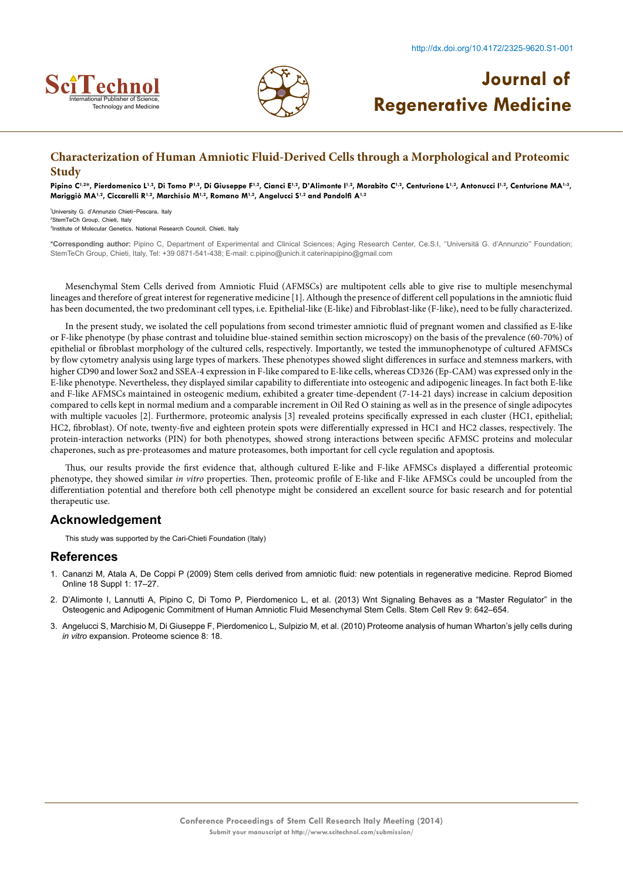



## **Characterization of Human Amniotic Fluid-Derived Cells through a Morphological and Proteomic Study**

Pipino C<sup>1,2\*</sup>, Pierdomenico L<sup>1,2</sup>, Di Tomo P<sup>1,2</sup>, Di Giuseppe F<sup>1,2</sup>, Cianci E<sup>1,2</sup>, D'Alimonte I<sup>1,2</sup>, Morabito C<sup>1,2</sup>, Centurione L<sup>1,2</sup>, Antonucci I<sup>1,2</sup>, Centurione MA<sup>1,3</sup>, **Mariggiò MA1,2, Ciccarelli R1,2, Marchisio M1,2, Romano M1,2, Angelucci S1,2 and Pandolfi A1,2**

1 University G. d'Annunzio Chieti-Pescara, Italy 2 StemTeCh Group, Chieti, Italy 3 Institute of Molecular Genetics, National Research Council, Chieti, Italy

**\*Corresponding author:** Pipino C, Department of Experimental and Clinical Sciences; Aging Research Center, Ce.S.I, ''Università G. d'Annunzio'' Foundation; StemTeCh Group, Chieti, Italy, Tel: +39 0871-541-438; E-mail: c.pipino@unich.it caterinapipino@gmail.com

Mesenchymal Stem Cells derived from Amniotic Fluid (AFMSCs) are multipotent cells able to give rise to multiple mesenchymal lineages and therefore of great interest for regenerative medicine [1]. Although the presence of different cell populations in the amniotic fluid has been documented, the two predominant cell types, i.e. Epithelial-like (E-like) and Fibroblast-like (F-like), need to be fully characterized.

In the present study, we isolated the cell populations from second trimester amniotic fluid of pregnant women and classified as E-like or F-like phenotype (by phase contrast and toluidine blue-stained semithin section microscopy) on the basis of the prevalence (60-70%) of epithelial or fibroblast morphology of the cultured cells, respectively. Importantly, we tested the immunophenotype of cultured AFMSCs by flow cytometry analysis using large types of markers. These phenotypes showed slight differences in surface and stemness markers, with higher CD90 and lower Sox2 and SSEA-4 expression in F-like compared to E-like cells, whereas CD326 (Ep-CAM) was expressed only in the E-like phenotype. Nevertheless, they displayed similar capability to differentiate into osteogenic and adipogenic lineages. In fact both E-like and F-like AFMSCs maintained in osteogenic medium, exhibited a greater time-dependent (7-14-21 days) increase in calcium deposition compared to cells kept in normal medium and a comparable increment in Oil Red O staining as well as in the presence of single adipocytes with multiple vacuoles [2]. Furthermore, proteomic analysis [3] revealed proteins specifically expressed in each cluster (HC1, epithelial; HC2, fibroblast). Of note, twenty-five and eighteen protein spots were differentially expressed in HC1 and HC2 classes, respectively. The protein-interaction networks (PIN) for both phenotypes, showed strong interactions between specific AFMSC proteins and molecular chaperones, such as pre-proteasomes and mature proteasomes, both important for cell cycle regulation and apoptosis.

Thus, our results provide the first evidence that, although cultured E-like and F-like AFMSCs displayed a differential proteomic phenotype, they showed similar *in vitro* properties. Then, proteomic profile of E-like and F-like AFMSCs could be uncoupled from the differentiation potential and therefore both cell phenotype might be considered an excellent source for basic research and for potential therapeutic use.

### **Acknowledgement**

This study was supported by the Cari-Chieti Foundation (Italy)

- 1. [Cananzi M, Atala A, De Coppi P \(2009\) Stem cells derived from amniotic fluid: new potentials in regenerative medicine. Reprod Biomed](http://www.ncbi.nlm.nih.gov/pubmed/19281660) [Online 18 Suppl 1: 17–27.](http://www.ncbi.nlm.nih.gov/pubmed/19281660)
- 2. [D'Alimonte I, Lannutti A, Pipino C, Di Tomo P, Pierdomenico L, et al. \(2013\) Wnt Signaling Behaves as a "Master Regulator" in the](http://www.ncbi.nlm.nih.gov/pmc/articles/PMC3785124/) [Osteogenic and Adipogenic Commitment of Human Amniotic Fluid Mesenchymal Stem Cells. Stem Cell Rev 9: 642–654.](http://www.ncbi.nlm.nih.gov/pmc/articles/PMC3785124/)
- 3. [Angelucci S, Marchisio M, Di Giuseppe F, Pierdomenico L, Sulpizio M, et al. \(2010\) Proteome analysis of human Wharton's jelly cells during](http://www.proteomesci.com/content/8/1/18) *in vitro* [expansion. Proteome science 8: 18.](http://www.proteomesci.com/content/8/1/18)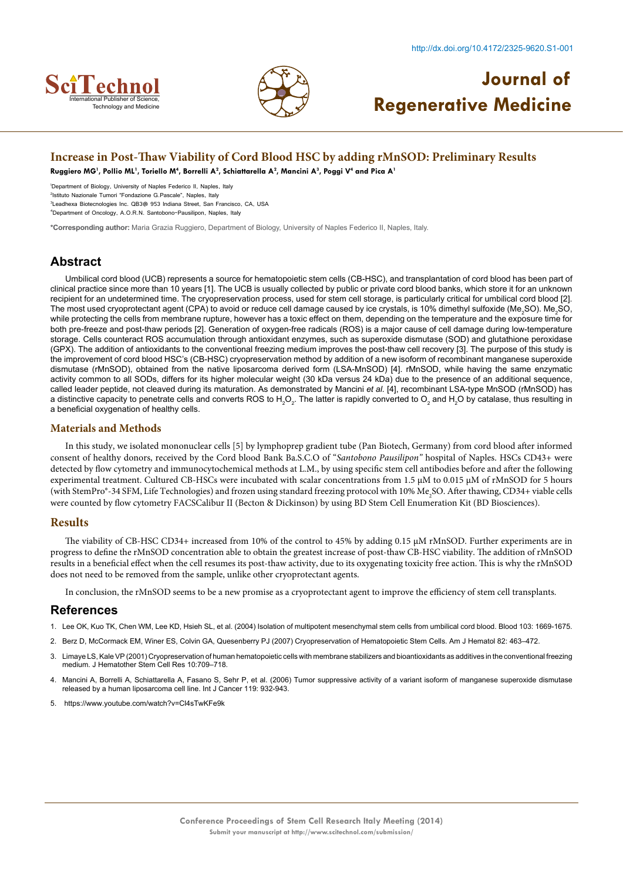



#### **Increase in Post-Thaw Viability of Cord Blood HSC by adding rMnSOD: Preliminary Results**

 $R$ uggiero MG<sup>1</sup>, Pollio ML<sup>1</sup>, Toriello M<sup>4</sup>, Borrelli A<sup>2</sup>, Schiattarella A<sup>2</sup>, Mancini A<sup>3</sup>, Poggi V<sup>4</sup> and Pica A<sup>1</sup>

1 Department of Biology, University of Naples Federico II, Naples, Italy

2 Istituto Nazionale Tumori "Fondazione G.Pascale", Naples, Italy

3 Leadhexa Biotecnologies Inc. QB3@ 953 Indiana Street, San Francisco, CA, USA

4 Department of Oncology, A.O.R.N. Santobono-Pausilipon, Naples, Italy

**\*Corresponding author:** Maria Grazia Ruggiero, Department of Biology, University of Naples Federico II, Naples, Italy.

### **Abstract**

Umbilical cord blood (UCB) represents a source for hematopoietic stem cells (CB-HSC), and transplantation of cord blood has been part of clinical practice since more than 10 years [1]. The UCB is usually collected by public or private cord blood banks, which store it for an unknown recipient for an undetermined time. The cryopreservation process, used for stem cell storage, is particularly critical for umbilical cord blood [2]. The most used cryoprotectant agent (CPA) to avoid or reduce cell damage caused by ice crystals, is 10% dimethyl sulfoxide (Me $_{2}$ SO). Me $_{2}$ SO, while protecting the cells from membrane rupture, however has a toxic effect on them, depending on the temperature and the exposure time for both pre-freeze and post-thaw periods [2]. Generation of oxygen-free radicals (ROS) is a major cause of cell damage during low-temperature storage. Cells counteract ROS accumulation through antioxidant enzymes, such as superoxide dismutase (SOD) and glutathione peroxidase (GPX). The addition of antioxidants to the conventional freezing medium improves the post-thaw cell recovery [3]. The purpose of this study is the improvement of cord blood HSC's (CB-HSC) cryopreservation method by addition of a new isoform of recombinant manganese superoxide dismutase (rMnSOD), obtained from the native liposarcoma derived form (LSA-MnSOD) [4]. rMnSOD, while having the same enzymatic activity common to all SODs, differs for its higher molecular weight (30 kDa versus 24 kDa) due to the presence of an additional sequence, called leader peptide, not cleaved during its maturation. As demonstrated by Mancini *et al.* [4], recombinant LSA-type MnSOD (rMnSOD) has a distinctive capacity to penetrate cells and converts ROS to H<sub>2</sub>O<sub>2</sub>. The latter is rapidly converted to O<sub>2</sub> and H<sub>2</sub>O by catalase, thus resulting in a beneficial oxygenation of healthy cells.

#### **Materials and Methods**

In this study, we isolated mononuclear cells [5] by lymphoprep gradient tube (Pan Biotech, Germany) from cord blood after informed consent of healthy donors, received by the Cord blood Bank Ba.S.C.O of "*Santobono Pausilipon"* hospital of Naples. HSCs CD43+ were detected by flow cytometry and immunocytochemical methods at L.M., by using specific stem cell antibodies before and after the following experimental treatment. Cultured CB-HSCs were incubated with scalar concentrations from 1.5 µM to 0.015 µM of rMnSOD for 5 hours (with StemPro®-34 SFM, Life Technologies) and frozen using standard freezing protocol with 10% Me<sub>2</sub>SO. After thawing, CD34+ viable cells were counted by flow cytometry FACSCalibur II (Becton & Dickinson) by using BD Stem Cell Enumeration Kit (BD Biosciences).

#### **Results**

The viability of CB-HSC CD34+ increased from 10% of the control to 45% by adding 0.15 µM rMnSOD. Further experiments are in progress to define the rMnSOD concentration able to obtain the greatest increase of post-thaw CB-HSC viability. The addition of rMnSOD results in a beneficial effect when the cell resumes its post-thaw activity, due to its oxygenating toxicity free action. This is why the rMnSOD does not need to be removed from the sample, unlike other cryoprotectant agents.

In conclusion, the rMnSOD seems to be a new promise as a cryoprotectant agent to improve the efficiency of stem cell transplants.

- 1. [Lee OK, Kuo TK, Chen WM, Lee KD, Hsieh SL, et al. \(2004\) Isolation of multipotent mesenchymal stem cells from umbilical cord blood. Blood 103: 1669-1675.](http://www.ncbi.nlm.nih.gov/pubmed/14576065)
- 2. [Berz D, McCormack EM, Winer ES, Colvin GA, Quesenberry PJ \(2007\) Cryopreservation of Hematopoietic Stem Cells. Am J Hematol 82: 463–472.](http://www.ncbi.nlm.nih.gov/pmc/articles/PMC2075525/)
- 3. [Limaye LS, Kale VP \(2001\) Cryopreservation of human hematopoietic cells with](http://www.ncbi.nlm.nih.gov/pubmed/11672518) membrane stabilizers and bioantioxidants as additives in the conventional freezing [medium. J Hematother Stem Cell Res 10:709–718.](http://www.ncbi.nlm.nih.gov/pubmed/11672518)
- [Mancini A, Borrelli A, Schiattarella A, Fasano S, Sehr P, et al. \(2006\) Tumor suppressive activity of a variant isoform of manganese superoxide dismutase](http://www.ncbi.nlm.nih.gov/pubmed/16550599) [released by a human liposarcoma cell line. Int J Cancer 119: 932-943.](http://www.ncbi.nlm.nih.gov/pubmed/16550599)
- 5. <https://www.youtube.com/watch?v=Cl4sTwKFe9k>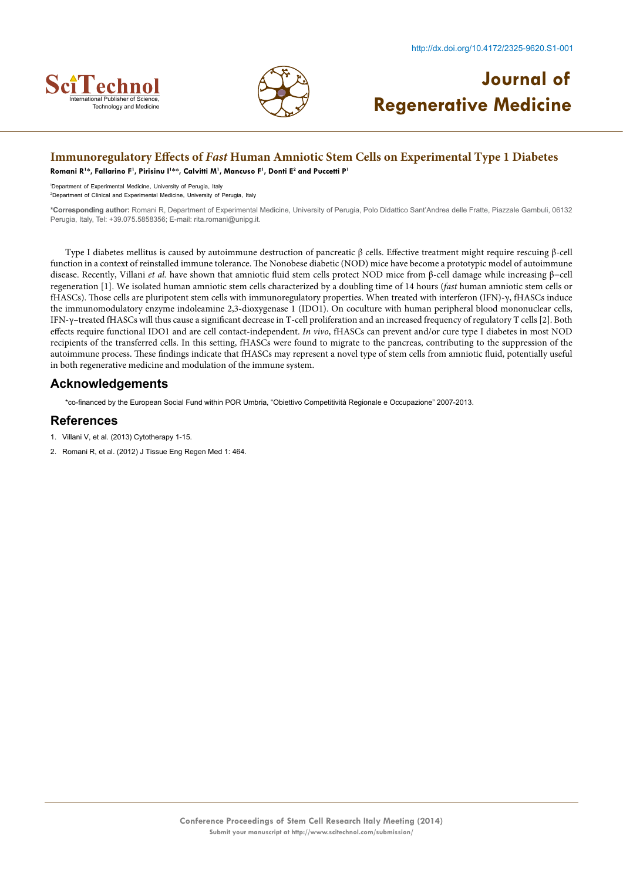



### **Immunoregulatory Effects of** *Fast* **Human Amniotic Stem Cells on Experimental Type 1 Diabetes**

**Romani R1 \*, Fallarino F1 , Pirisinu I1 \*\*, Calvitti M1 , Mancuso F1 , Donti E2 and Puccetti P1**

1 Department of Experimental Medicine, University of Perugia, Italy

2 Department of Clinical and Experimental Medicine, University of Perugia, Italy

**\*Corresponding author:** Romani R, Department of Experimental Medicine, University of Perugia, Polo Didattico Sant'Andrea delle Fratte, Piazzale Gambuli, 06132 Perugia, Italy, Tel: +39.075.5858356; E-mail: rita.romani@unipg.it.

Type I diabetes mellitus is caused by autoimmune destruction of pancreatic β cells. Effective treatment might require rescuing β-cell function in a context of reinstalled immune tolerance. The Nonobese diabetic (NOD) mice have become a prototypic model of autoimmune disease. Recently, Villani *et al.* have shown that amniotic fluid stem cells protect NOD mice from β-cell damage while increasing β−cell regeneration [1]. We isolated human amniotic stem cells characterized by a doubling time of 14 hours (*fast* human amniotic stem cells or fHASCs). Those cells are pluripotent stem cells with immunoregulatory properties. When treated with interferon (IFN)-γ, fHASCs induce the immunomodulatory enzyme indoleamine 2,3-dioxygenase 1 (IDO1). On coculture with human peripheral blood mononuclear cells, IFN-γ–treated fHASCs will thus cause a significant decrease in T-cell proliferation and an increased frequency of regulatory T cells [2]. Both effects require functional IDO1 and are cell contact-independent. *In vivo*, fHASCs can prevent and/or cure type I diabetes in most NOD recipients of the transferred cells. In this setting, fHASCs were found to migrate to the pancreas, contributing to the suppression of the autoimmune process. These findings indicate that fHASCs may represent a novel type of stem cells from amniotic fluid, potentially useful in both regenerative medicine and modulation of the immune system.

#### **Acknowledgements**

\*co-financed by the European Social Fund within POR Umbria, "Obiettivo Competitività Regionale e Occupazione" 2007-2013.

- 1. Villani V, et al. (2013) Cytotherapy 1-15.
- 2. Romani R, et al. (2012) J Tissue Eng Regen Med 1: 464.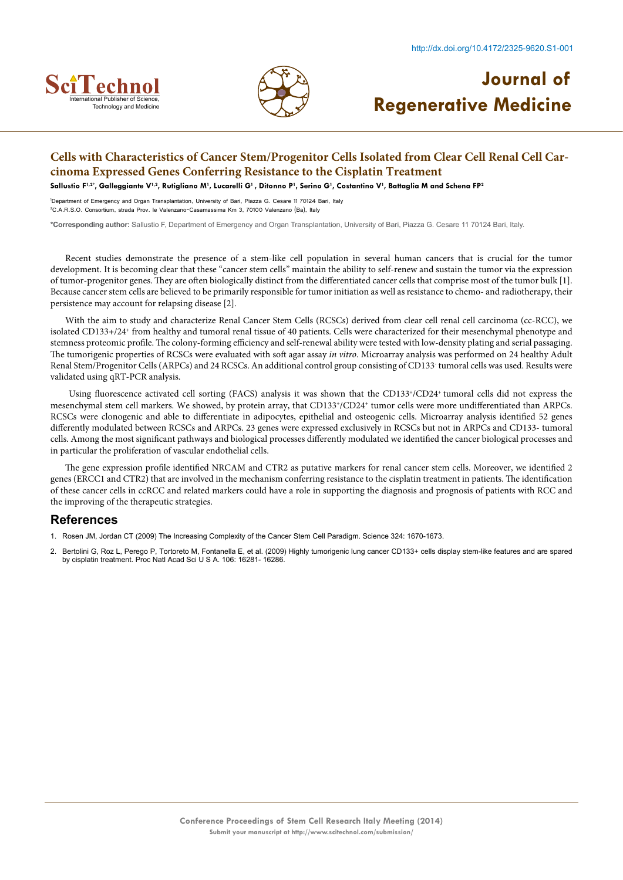



## **Cells with Characteristics of Cancer Stem/Progenitor Cells Isolated from Clear Cell Renal Cell Carcinoma Expressed Genes Conferring Resistance to the Cisplatin Treatment**

**Sallustio F1,2\*, Galleggiante V1,2, Rutigliano M1 , Lucarelli G1 , Ditonno P1 , Serino G1 , Costantino V1 , Battaglia M and Schena FP2**

1 Department of Emergency and Organ Transplantation, University of Bari, Piazza G. Cesare 11 70124 Bari, Italy 2 C.A.R.S.O. Consortium, strada Prov. le Valenzano-Casamassima Km 3, 70100 Valenzano (Ba), Italy

**\*Corresponding author:** Sallustio F, Department of Emergency and Organ Transplantation, University of Bari, Piazza G. Cesare 11 70124 Bari, Italy.

Recent studies demonstrate the presence of a stem-like cell population in several human cancers that is crucial for the tumor development. It is becoming clear that these "cancer stem cells" maintain the ability to self-renew and sustain the tumor via the expression of tumor-progenitor genes. They are often biologically distinct from the differentiated cancer cells that comprise most of the tumor bulk [1]. Because cancer stem cells are believed to be primarily responsible for tumor initiation as well as resistance to chemo- and radiotherapy, their persistence may account for relapsing disease [2].

With the aim to study and characterize Renal Cancer Stem Cells (RCSCs) derived from clear cell renal cell carcinoma (cc-RCC), we isolated CD133+/24+ from healthy and tumoral renal tissue of 40 patients. Cells were characterized for their mesenchymal phenotype and stemness proteomic profile. The colony-forming efficiency and self-renewal ability were tested with low-density plating and serial passaging. The tumorigenic properties of RCSCs were evaluated with soft agar assay *in vitro*. Microarray analysis was performed on 24 healthy Adult Renal Stem/Progenitor Cells (ARPCs) and 24 RCSCs. An additional control group consisting of CD133- tumoral cells was used. Results were validated using qRT-PCR analysis.

 Using fluorescence activated cell sorting (FACS) analysis it was shown that the CD133+/CD24+ tumoral cells did not express the mesenchymal stem cell markers. We showed, by protein array, that CD133+/CD24+ tumor cells were more undifferentiated than ARPCs. RCSCs were clonogenic and able to differentiate in adipocytes, epithelial and osteogenic cells. Microarray analysis identified 52 genes differently modulated between RCSCs and ARPCs. 23 genes were expressed exclusively in RCSCs but not in ARPCs and CD133- tumoral cells. Among the most significant pathways and biological processes differently modulated we identified the cancer biological processes and in particular the proliferation of vascular endothelial cells.

The gene expression profile identified NRCAM and CTR2 as putative markers for renal cancer stem cells. Moreover, we identified 2 genes (ERCC1 and CTR2) that are involved in the mechanism conferring resistance to the cisplatin treatment in patients. The identification of these cancer cells in ccRCC and related markers could have a role in supporting the diagnosis and prognosis of patients with RCC and the improving of the therapeutic strategies.

- 1. [Rosen JM, Jordan CT \(2009\) The Increasing Complexity of the Cancer Stem Cell Paradigm. Science 324: 1670-1673.](http://www.ncbi.nlm.nih.gov/pubmed/19556499)
- 2. [Bertolini G, Roz L, Perego P, Tortoreto M, Fontanella E, et al. \(2009\) Highly tumorigenic lung cancer CD133+ cells display stem-like features and are spared](http://www.ncbi.nlm.nih.gov/pubmed/19805294) [by cisplatin treatment. Proc Natl Acad Sci U S A. 106: 16281- 16286.](http://www.ncbi.nlm.nih.gov/pubmed/19805294)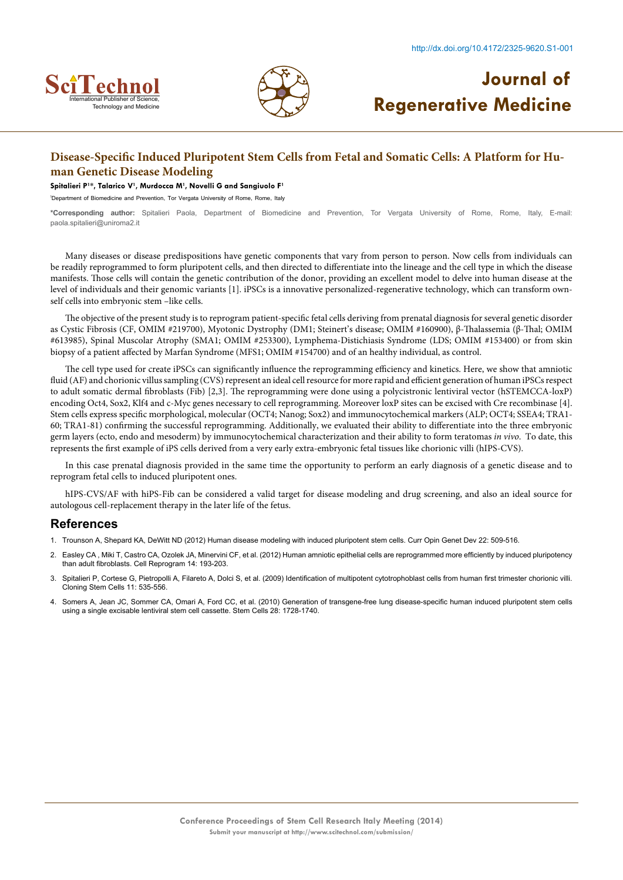



### **Disease-Specific Induced Pluripotent Stem Cells from Fetal and Somatic Cells: A Platform for Human Genetic Disease Modeling**

#### **Spitalieri P1 \*, Talarico V1 , Murdocca M1 , Novelli G and Sangiuolo F1**

1 Department of Biomedicine and Prevention, Tor Vergata University of Rome, Rome, Italy

**\*Corresponding author:** Spitalieri Paola, Department of Biomedicine and Prevention, Tor Vergata University of Rome, Rome, Italy, E-mail: paola.spitalieri@uniroma2.it

Many diseases or disease predispositions have genetic components that vary from person to person. Now cells from individuals can be readily reprogrammed to form pluripotent cells, and then directed to differentiate into the lineage and the cell type in which the disease manifests. Those cells will contain the genetic contribution of the donor, providing an excellent model to delve into human disease at the level of individuals and their genomic variants [1]. iPSCs is a innovative personalized-regenerative technology, which can transform ownself cells into embryonic stem –like cells.

The objective of the present study is to reprogram patient-specific fetal cells deriving from prenatal diagnosis for several genetic disorder as Cystic Fibrosis (CF, OMIM #219700), Myotonic Dystrophy (DM1; Steinert's disease; OMIM #160900), β-Thalassemia (β-Thal; OMIM #613985), Spinal Muscolar Atrophy (SMA1; OMIM #253300), Lymphema-Distichiasis Syndrome (LDS; OMIM #153400) or from skin biopsy of a patient affected by Marfan Syndrome (MFS1; OMIM #154700) and of an healthy individual, as control.

The cell type used for create iPSCs can significantly influence the reprogramming efficiency and kinetics. Here, we show that amniotic fluid (AF) and chorionic villus sampling (CVS) represent an ideal cell resource for more rapid and efficient generation of human iPSCs respect to adult somatic dermal fibroblasts (Fib) [2,3]. The reprogramming were done using a polycistronic lentiviral vector (hSTEMCCA-loxP) encoding Oct4, Sox2, Klf4 and c-Myc genes necessary to cell reprogramming. Moreover loxP sites can be excised with Cre recombinase [4]. Stem cells express specific morphological, molecular (OCT4; Nanog; Sox2) and immunocytochemical markers (ALP; OCT4; SSEA4; TRA1- 60; TRA1-81) confirming the successful reprogramming. Additionally, we evaluated their ability to differentiate into the three embryonic germ layers (ecto, endo and mesoderm) by immunocytochemical characterization and their ability to form teratomas *in vivo*. To date, this represents the first example of iPS cells derived from a very early extra-embryonic fetal tissues like chorionic villi (hIPS-CVS).

In this case prenatal diagnosis provided in the same time the opportunity to perform an early diagnosis of a genetic disease and to reprogram fetal cells to induced pluripotent ones.

hIPS-CVS/AF with hiPS-Fib can be considered a valid target for disease modeling and drug screening, and also an ideal source for autologous cell-replacement therapy in the later life of the fetus.

- 1. [Trounson A, Shepard KA, DeWitt ND \(2012\) Human disease modeling with induced pluripotent stem cells. Curr Opin Genet Dev 22: 509-516.](http://www.sciencedirect.com/science/article/pii/S0959437X12000822)
- 2. [Easley CA , Miki T, Castro CA, Ozolek JA, Minervini CF, et al. \(2012\) Human amniotic epithelial cells are reprogrammed more efficiently by induced pluripotency](http://www.ncbi.nlm.nih.gov/pubmed/22686477) [than adult fibroblasts. Cell Reprogram 14: 193-203.](http://www.ncbi.nlm.nih.gov/pubmed/22686477)
- 3. [Spitalieri P, Cortese G, Pietropolli A, Filareto A, Dolci S, et al. \(2009\) Identification of multipotent cytotrophoblast cells from human first trimester chorionic villi.](http://www.ncbi.nlm.nih.gov/pubmed/20025524) [Cloning Stem Cells 11: 535-556.](http://www.ncbi.nlm.nih.gov/pubmed/20025524)
- 4. Somers A, Jean JC, Sommer CA, Omari A, Ford CC, et al. [\(2010\) Generation of transgene-free lung disease-specific human induced pluripotent stem cells](http://www.ncbi.nlm.nih.gov/pubmed/20715179) [using a single excisable lentiviral stem cell cassette. Stem Cells 28: 1728-1740.](http://www.ncbi.nlm.nih.gov/pubmed/20715179)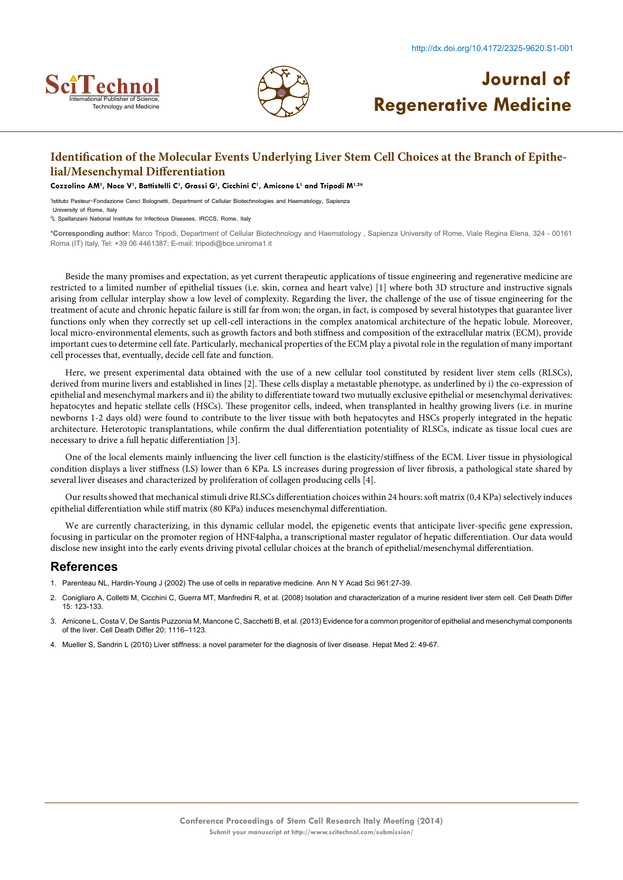



## **Identification of the Molecular Events Underlying Liver Stem Cell Choices at the Branch of Epithelial/Mesenchymal Differentiation**

#### **Cozzolino AM1 , Noce V1 , Battistelli C1 , Grassi G1 , Cicchini C1 , Amicone L1 and Tripodi M1,2\***

1 Istituto Pasteur-Fondazione Cenci Bolognetti, Department of Cellular Biotechnologies and Haematology, Sapienza University of Rome, Italy

2 L Spallanzani National Institute for Infectious Diseases, IRCCS, Rome, Italy

**\*Corresponding author:** Marco Tripodi, Department of Cellular Biotechnology and Haematology , Sapienza University of Rome, Viale Regina Elena, 324 - 00161 Roma (IT) Italy, Tel: +39 06 4461387; E-mail: tripodi@bce.uniroma1.it

Beside the many promises and expectation, as yet current therapeutic applications of tissue engineering and regenerative medicine are restricted to a limited number of epithelial tissues (i.e. skin, cornea and heart valve) [1] where both 3D structure and instructive signals arising from cellular interplay show a low level of complexity. Regarding the liver, the challenge of the use of tissue engineering for the treatment of acute and chronic hepatic failure is still far from won; the organ, in fact, is composed by several histotypes that guarantee liver functions only when they correctly set up cell-cell interactions in the complex anatomical architecture of the hepatic lobule. Moreover, local micro-environmental elements, such as growth factors and both stiffness and composition of the extracellular matrix (ECM), provide important cues to determine cell fate. Particularly, mechanical properties of the ECM play a pivotal role in the regulation of many important cell processes that, eventually, decide cell fate and function.

Here, we present experimental data obtained with the use of a new cellular tool constituted by resident liver stem cells (RLSCs), derived from murine livers and established in lines [2]. These cells display a metastable phenotype, as underlined by i) the co-expression of epithelial and mesenchymal markers and ii) the ability to differentiate toward two mutually exclusive epithelial or mesenchymal derivatives: hepatocytes and hepatic stellate cells (HSCs). These progenitor cells, indeed, when transplanted in healthy growing livers (i.e. in murine newborns 1-2 days old) were found to contribute to the liver tissue with both hepatocytes and HSCs properly integrated in the hepatic architecture. Heterotopic transplantations, while confirm the dual differentiation potentiality of RLSCs, indicate as tissue local cues are necessary to drive a full hepatic differentiation [3].

One of the local elements mainly influencing the liver cell function is the elasticity/stiffness of the ECM. Liver tissue in physiological condition displays a liver stiffness (LS) lower than 6 KPa. LS increases during progression of liver fibrosis, a pathological state shared by several liver diseases and characterized by proliferation of collagen producing cells [4].

Our results showed that mechanical stimuli drive RLSCs differentiation choices within 24 hours: soft matrix (0,4 KPa) selectively induces epithelial differentiation while stiff matrix (80 KPa) induces mesenchymal differentiation.

We are currently characterizing, in this dynamic cellular model, the epigenetic events that anticipate liver-specific gene expression, focusing in particular on the promoter region of HNF4alpha, a transcriptional master regulator of hepatic differentiation. Our data would disclose new insight into the early events driving pivotal cellular choices at the branch of epithelial/mesenchymal differentiation.

- 1. [Parenteau NL, Hardin-Young J \(2002\) The use of cells in reparative medicine. Ann N Y Acad Sci 961:27-39.](http://www.ncbi.nlm.nih.gov/pubmed/12081858)
- 2. [Conigliaro A, Colletti M, Cicchini C, Guerra MT, Manfredini R, et al. \(2008\) Isolation and characterization of a murine resident liver stem cell. Cell Death Differ](http://www.ncbi.nlm.nih.gov/pubmed/17932501) [15: 123-133.](http://www.ncbi.nlm.nih.gov/pubmed/17932501)
- 3. [Amicone L, Costa V, De Santis Puzzonia M, Mancone C, Sacchetti B, et al. \(2013\) Evidence for a common progenitor of epithelial and mesenchymal components](http://www.researchgate.net/publication/236920539_Evidence_for_a_common_progenitor_of_epithelial_and_mesenchymal_components_of_the_liver) [of the liver. Cell Death Differ 20: 1116–1123.](http://www.researchgate.net/publication/236920539_Evidence_for_a_common_progenitor_of_epithelial_and_mesenchymal_components_of_the_liver)
- 4. [Mueller S, Sandrin L \(2010\) Liver stiffness: a novel parameter for the diagnosis of liver disease. Hepat Med 2: 49-67.](http://www.ncbi.nlm.nih.gov/pmc/articles/PMC3846375/)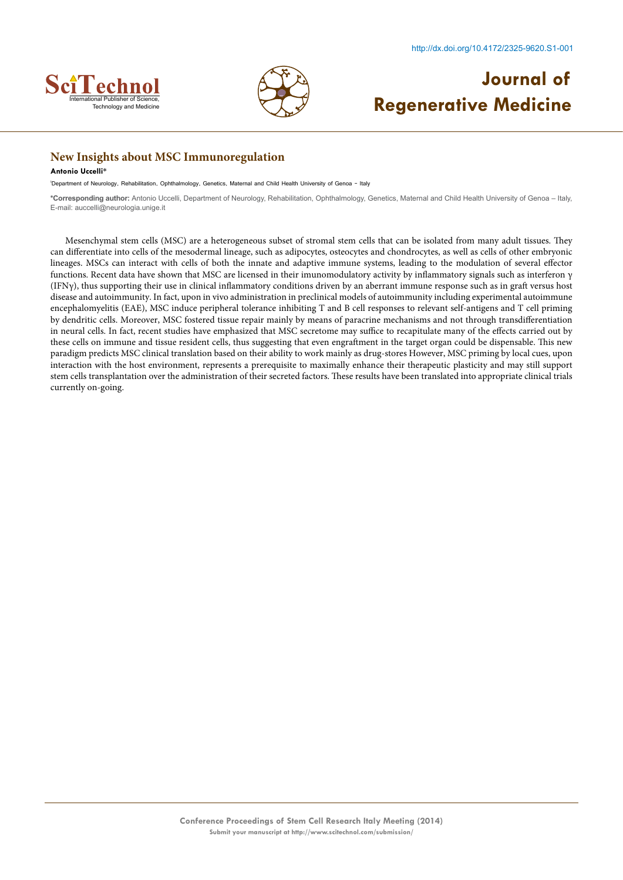



### **New Insights about MSC Immunoregulation**

#### **Antonio Uccelli\***

1 Department of Neurology, Rehabilitation, Ophthalmology, Genetics, Maternal and Child Health University of Genoa – Italy

**\*Corresponding author:** Antonio Uccelli, Department of Neurology, Rehabilitation, Ophthalmology, Genetics, Maternal and Child Health University of Genoa – Italy, E-mail: auccelli@neurologia.unige.it

Mesenchymal stem cells (MSC) are a heterogeneous subset of stromal stem cells that can be isolated from many adult tissues. They can differentiate into cells of the mesodermal lineage, such as adipocytes, osteocytes and chondrocytes, as well as cells of other embryonic lineages. MSCs can interact with cells of both the innate and adaptive immune systems, leading to the modulation of several effector functions. Recent data have shown that MSC are licensed in their imunomodulatory activity by inflammatory signals such as interferon γ (IFNγ), thus supporting their use in clinical inflammatory conditions driven by an aberrant immune response such as in graft versus host disease and autoimmunity. In fact, upon in vivo administration in preclinical models of autoimmunity including experimental autoimmune encephalomyelitis (EAE), MSC induce peripheral tolerance inhibiting T and B cell responses to relevant self-antigens and T cell priming by dendritic cells. Moreover, MSC fostered tissue repair mainly by means of paracrine mechanisms and not through transdifferentiation in neural cells. In fact, recent studies have emphasized that MSC secretome may suffice to recapitulate many of the effects carried out by these cells on immune and tissue resident cells, thus suggesting that even engraftment in the target organ could be dispensable. This new paradigm predicts MSC clinical translation based on their ability to work mainly as drug-stores However, MSC priming by local cues, upon interaction with the host environment, represents a prerequisite to maximally enhance their therapeutic plasticity and may still support stem cells transplantation over the administration of their secreted factors. These results have been translated into appropriate clinical trials currently on-going.